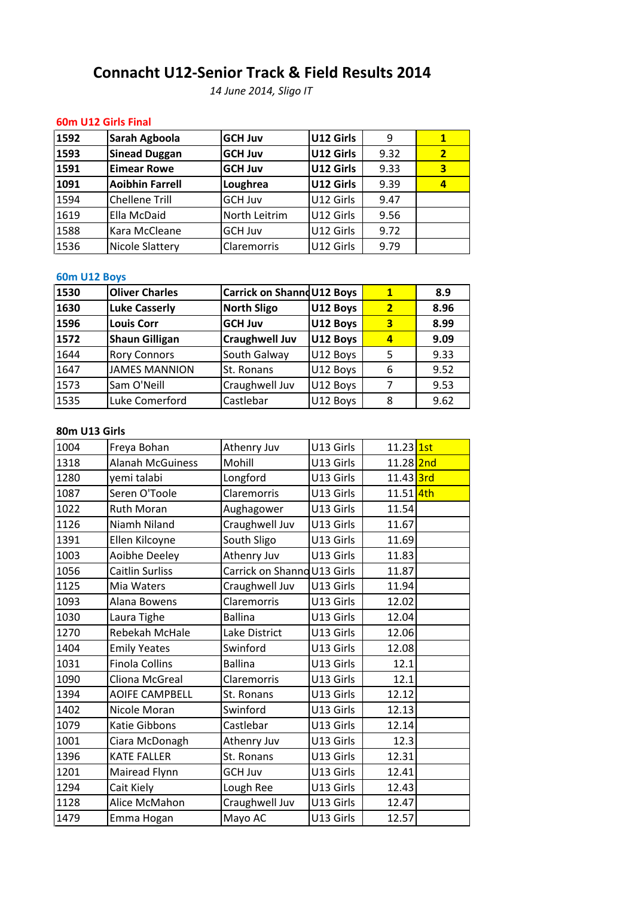## **U12 Girls Final Sarah Agboola**<br> **Sarah Agboola**<br> **Sarah Agboola**<br> **GCH** Juva | U12 Girls | 9 | 1 **U12-Senior Track & Field Results <sup>2014</sup>** *June 2014, Sligo IT*

### 60m U12 Girls Final

| 60m U12 Girls Final<br>U12 Girls<br>Sarah Agboola<br><b>GCH Juv</b><br>9<br><b>Sinead Duggan</b><br>U12 Girls<br><b>GCH Juv</b><br>U12 Girls<br><b>Eimear Rowe</b><br><b>GCH Juv</b><br>U12 Girls<br><b>Aoibhin Farrell</b><br>Loughrea<br>Chellene Trill<br>U12 Girls<br>GCH Juv<br>North Leitrim<br>Ella McDaid<br>U12 Girls<br>U12 Girls<br>Kara McCleane<br>GCH Juv<br>Nicole Slattery<br>Claremorris<br>U12 Girls |      | <b>Connacht U12-Senior Track &amp; Field Results 2014</b> | 14 June 2014, Sligo IT |      |                         |
|------------------------------------------------------------------------------------------------------------------------------------------------------------------------------------------------------------------------------------------------------------------------------------------------------------------------------------------------------------------------------------------------------------------------|------|-----------------------------------------------------------|------------------------|------|-------------------------|
|                                                                                                                                                                                                                                                                                                                                                                                                                        |      |                                                           |                        |      |                         |
| 1593<br>1591<br>1091<br>1594<br>1619<br>1588<br>1536<br>60m U12 Boys                                                                                                                                                                                                                                                                                                                                                   | 1592 |                                                           |                        |      | $\mathbf{1}$            |
|                                                                                                                                                                                                                                                                                                                                                                                                                        |      |                                                           |                        | 9.32 | $\overline{2}$          |
|                                                                                                                                                                                                                                                                                                                                                                                                                        |      |                                                           |                        | 9.33 | $\overline{\mathbf{3}}$ |
|                                                                                                                                                                                                                                                                                                                                                                                                                        |      |                                                           |                        | 9.39 | $\overline{a}$          |
|                                                                                                                                                                                                                                                                                                                                                                                                                        |      |                                                           |                        | 9.47 |                         |
|                                                                                                                                                                                                                                                                                                                                                                                                                        |      |                                                           |                        | 9.56 |                         |
|                                                                                                                                                                                                                                                                                                                                                                                                                        |      |                                                           |                        | 9.72 |                         |
|                                                                                                                                                                                                                                                                                                                                                                                                                        |      |                                                           |                        | 9.79 |                         |
| $\mathbf{1}$                                                                                                                                                                                                                                                                                                                                                                                                           | 1530 |                                                           |                        |      |                         |
| Carrick on Shannd U12 Boys<br><b>Oliver Charles</b><br>1630<br>$\overline{2}$<br><b>North Sligo</b><br>U12 Boys<br>Luke Casserly                                                                                                                                                                                                                                                                                       |      |                                                           |                        |      | 8.9<br>8.96             |

## 60m U12 Boys

| 1588          | Kara McCleane         | GCH Juv                    | U12 Girls | 9.72           |      |
|---------------|-----------------------|----------------------------|-----------|----------------|------|
| 1536          | Nicole Slattery       | <b>Claremorris</b>         | U12 Girls | 9.79           |      |
|               |                       |                            |           |                |      |
| 60m U12 Boys  |                       |                            |           |                |      |
| 1530          | <b>Oliver Charles</b> | Carrick on Shannd U12 Boys |           | $\mathbf{1}$   | 8.9  |
| 1630          | <b>Luke Casserly</b>  | <b>North Sligo</b>         | U12 Boys  | $\overline{2}$ | 8.96 |
| 1596          | <b>Louis Corr</b>     | <b>GCH Juv</b>             | U12 Boys  | 3              | 8.99 |
| 1572          | <b>Shaun Gilligan</b> | <b>Craughwell Juv</b>      | U12 Boys  | $\overline{a}$ | 9.09 |
| 1644          | <b>Rory Connors</b>   | South Galway               | U12 Boys  | 5              | 9.33 |
| 1647          | <b>JAMES MANNION</b>  | St. Ronans                 | U12 Boys  | 6              | 9.52 |
| 1573          | Sam O'Neill           | Craughwell Juv             | U12 Boys  | 7              | 9.53 |
| 1535          | Luke Comerford        | Castlebar                  | U12 Boys  | 8              | 9.62 |
|               |                       |                            |           |                |      |
| 80m U13 Girls |                       |                            |           |                |      |
| 1004          | Freya Bohan           | Athenry Juv                | U13 Girls | 11.23 1st      |      |
| 1318          | Alanah McGuiness      | Mohill                     | U13 Girls | 11.28 2nd      |      |

#### 80m U13 Girls

| 1573          | Sam O'Neill             | Craughwell Juv              | U12 Boys  | 7         | 9.53 |
|---------------|-------------------------|-----------------------------|-----------|-----------|------|
| 1535          | Luke Comerford          | Castlebar                   | U12 Boys  | 8         | 9.62 |
|               |                         |                             |           |           |      |
| 80m U13 Girls |                         |                             |           |           |      |
| 1004          | Freya Bohan             | Athenry Juv                 | U13 Girls | 11.23 1st |      |
| 1318          | <b>Alanah McGuiness</b> | Mohill                      | U13 Girls | 11.28 2nd |      |
| 1280          | yemi talabi             | Longford                    | U13 Girls | 11.43 3rd |      |
| 1087          | Seren O'Toole           | Claremorris                 | U13 Girls | 11.51 4th |      |
| 1022          | <b>Ruth Moran</b>       | Aughagower                  | U13 Girls | 11.54     |      |
| 1126          | Niamh Niland            | Craughwell Juv              | U13 Girls | 11.67     |      |
| 1391          | Ellen Kilcoyne          | South Sligo                 | U13 Girls | 11.69     |      |
| 1003          | <b>Aoibhe Deeley</b>    | Athenry Juv                 | U13 Girls | 11.83     |      |
| 1056          | <b>Caitlin Surliss</b>  | Carrick on Shanno U13 Girls |           | 11.87     |      |
| 1125          | Mia Waters              | Craughwell Juv              | U13 Girls | 11.94     |      |
| 1093          | Alana Bowens            | Claremorris                 | U13 Girls | 12.02     |      |
| 1030          | Laura Tighe             | <b>Ballina</b>              | U13 Girls | 12.04     |      |
| 1270          | Rebekah McHale          | Lake District               | U13 Girls | 12.06     |      |
| 1404          | <b>Emily Yeates</b>     | Swinford                    | U13 Girls | 12.08     |      |
| 1031          | <b>Finola Collins</b>   | <b>Ballina</b>              | U13 Girls | 12.1      |      |
| 1090          | Cliona McGreal          | Claremorris                 | U13 Girls | 12.1      |      |
| 1394          | <b>AOIFE CAMPBELL</b>   | St. Ronans                  | U13 Girls | 12.12     |      |
| 1402          | Nicole Moran            | Swinford                    | U13 Girls | 12.13     |      |
| 1079          | Katie Gibbons           | Castlebar                   | U13 Girls | 12.14     |      |
| 1001          | Ciara McDonagh          | Athenry Juv                 | U13 Girls | 12.3      |      |
| 1396          | <b>KATE FALLER</b>      | St. Ronans                  | U13 Girls | 12.31     |      |
| 1201          | Mairead Flynn           | <b>GCH Juv</b>              | U13 Girls | 12.41     |      |
| 1294          | Cait Kiely              | Lough Ree                   | U13 Girls | 12.43     |      |
| 1128          | Alice McMahon           | Craughwell Juv              | U13 Girls | 12.47     |      |
| 1479          | Emma Hogan              | Mayo AC                     | U13 Girls | 12.57     |      |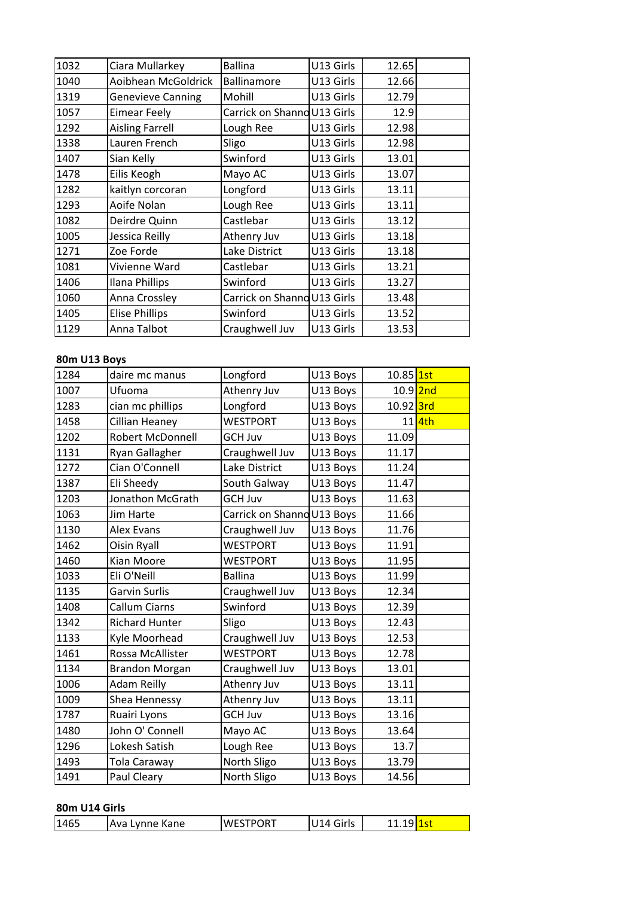| 1032         | Ciara Mullarkey          | <b>Ballina</b>              | U13 Girls | 12.65     |  |
|--------------|--------------------------|-----------------------------|-----------|-----------|--|
| 1040         | Aoibhean McGoldrick      | Ballinamore                 | U13 Girls | 12.66     |  |
| 1319         | <b>Genevieve Canning</b> | Mohill                      | U13 Girls | 12.79     |  |
| 1057         | <b>Eimear Feely</b>      | Carrick on Shanno U13 Girls |           | 12.9      |  |
| 1292         | <b>Aisling Farrell</b>   | Lough Ree                   | U13 Girls | 12.98     |  |
| 1338         | Lauren French            | Sligo                       | U13 Girls | 12.98     |  |
| 1407         | Sian Kelly               | Swinford                    | U13 Girls | 13.01     |  |
| 1478         | Eilis Keogh              | Mayo AC                     | U13 Girls | 13.07     |  |
| 1282         | kaitlyn corcoran         | Longford                    | U13 Girls | 13.11     |  |
| 1293         | Aoife Nolan              | Lough Ree                   | U13 Girls | 13.11     |  |
| 1082         | Deirdre Quinn            | Castlebar                   | U13 Girls | 13.12     |  |
| 1005         | Jessica Reilly           | Athenry Juv                 | U13 Girls | 13.18     |  |
| 1271         | Zoe Forde                | Lake District               | U13 Girls | 13.18     |  |
| 1081         | Vivienne Ward            | Castlebar                   | U13 Girls | 13.21     |  |
| 1406         | Ilana Phillips           | Swinford                    | U13 Girls | 13.27     |  |
| 1060         | Anna Crossley            | Carrick on Shanno U13 Girls |           | 13.48     |  |
| 1405         | <b>Elise Phillips</b>    | Swinford                    | U13 Girls | 13.52     |  |
| 1129         | Anna Talbot              | Craughwell Juv              | U13 Girls | 13.53     |  |
|              |                          |                             |           |           |  |
| 80m U13 Boys |                          |                             |           |           |  |
| 1284         | daire mc manus           | Longford                    | U13 Boys  | 10.85 1st |  |
| 1007         | Ufuoma                   | Athenry Juv                 | U13 Bovs  | 10.9 2nd  |  |

#### 80m U13 Boys

| 1405         | Elise Phillips          | Swinford                   | U13 Girls | 13.52     |        |
|--------------|-------------------------|----------------------------|-----------|-----------|--------|
| 1129         | Anna Talbot             | Craughwell Juv             | U13 Girls | 13.53     |        |
|              |                         |                            |           |           |        |
| 80m U13 Boys |                         |                            |           |           |        |
| 1284         | daire mc manus          | Longford                   | U13 Boys  | 10.85 1st |        |
| 1007         | Ufuoma                  | Athenry Juv                | U13 Boys  | 10.9 2nd  |        |
| 1283         | cian mc phillips        | Longford                   | U13 Boys  | 10.92 3rd |        |
| 1458         | Cillian Heaney          | <b>WESTPORT</b>            | U13 Boys  |           | 11 4th |
| 1202         | <b>Robert McDonnell</b> | <b>GCH Juv</b>             | U13 Boys  | 11.09     |        |
| 1131         | Ryan Gallagher          | Craughwell Juv             | U13 Boys  | 11.17     |        |
| 1272         | Cian O'Connell          | Lake District              | U13 Boys  | 11.24     |        |
| 1387         | Eli Sheedy              | South Galway               | U13 Boys  | 11.47     |        |
| 1203         | Jonathon McGrath        | <b>GCH Juv</b>             | U13 Boys  | 11.63     |        |
| 1063         | Jim Harte               | Carrick on Shanno U13 Boys |           | 11.66     |        |
| 1130         | <b>Alex Evans</b>       | Craughwell Juv             | U13 Boys  | 11.76     |        |
| 1462         | <b>Oisin Ryall</b>      | <b>WESTPORT</b>            | U13 Boys  | 11.91     |        |
| 1460         | Kian Moore              | <b>WESTPORT</b>            | U13 Boys  | 11.95     |        |
| 1033         | Eli O'Neill             | <b>Ballina</b>             | U13 Boys  | 11.99     |        |
| 1135         | <b>Garvin Surlis</b>    | Craughwell Juv             | U13 Boys  | 12.34     |        |
| 1408         | <b>Callum Ciarns</b>    | Swinford                   | U13 Boys  | 12.39     |        |
| 1342         | <b>Richard Hunter</b>   | Sligo                      | U13 Boys  | 12.43     |        |
| 1133         | Kyle Moorhead           | Craughwell Juv             | U13 Boys  | 12.53     |        |
| 1461         | Rossa McAllister        | <b>WESTPORT</b>            | U13 Boys  | 12.78     |        |
| 1134         | <b>Brandon Morgan</b>   | Craughwell Juv             | U13 Boys  | 13.01     |        |
| 1006         | <b>Adam Reilly</b>      | Athenry Juv                | U13 Boys  | 13.11     |        |
| 1009         | Shea Hennessy           | Athenry Juv                | U13 Boys  | 13.11     |        |
| 1787         | Ruairi Lyons            | <b>GCH Juv</b>             | U13 Boys  | 13.16     |        |
| 1480         | John O' Connell         | Mayo AC                    | U13 Boys  | 13.64     |        |
| 1296         | Lokesh Satish           | Lough Ree                  | U13 Boys  | 13.7      |        |
| 1493         | Tola Caraway            | North Sligo                | U13 Boys  | 13.79     |        |
| 1491         | Paul Cleary             | North Sligo                | U13 Boys  | 14.56     |        |

| ___________                    |                  |               |     |
|--------------------------------|------------------|---------------|-----|
| 1465<br><b>IAva Lynne Kane</b> | <b>IWESTPORT</b> | Girls<br>111A | ∘uı |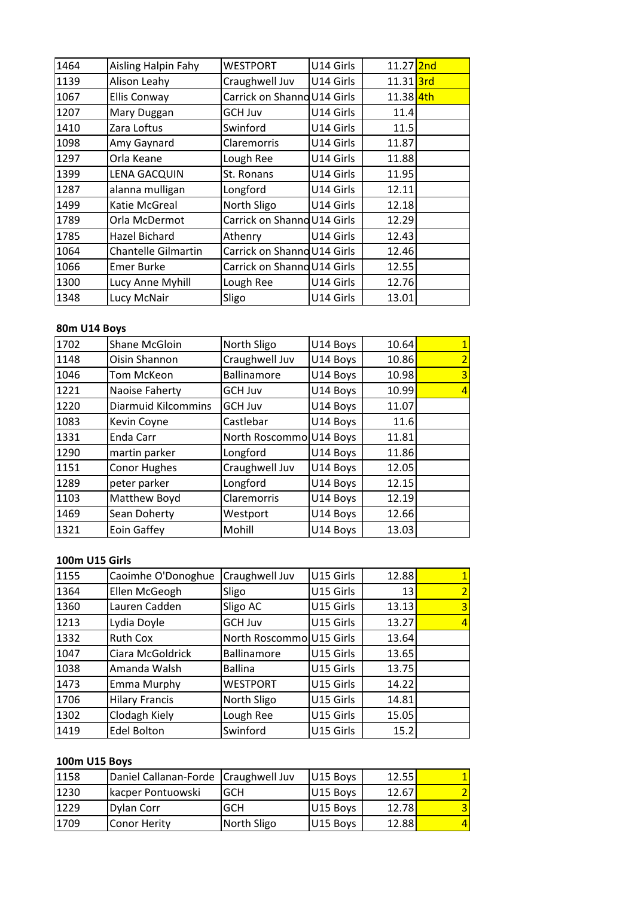| 1464         | Aisling Halpin Fahy        | <b>WESTPORT</b>             | U14 Girls | 11.27 2nd            |                          |
|--------------|----------------------------|-----------------------------|-----------|----------------------|--------------------------|
| 1139         | Alison Leahy               | Craughwell Juv              | U14 Girls | 11.31 <sup>3rd</sup> |                          |
| 1067         | <b>Ellis Conway</b>        | Carrick on Shanno U14 Girls |           | 11.38 4th            |                          |
| 1207         | Mary Duggan                | <b>GCH Juv</b>              | U14 Girls | 11.4                 |                          |
| 1410         | Zara Loftus                | Swinford                    | U14 Girls | 11.5                 |                          |
| 1098         | Amy Gaynard                | Claremorris                 | U14 Girls | 11.87                |                          |
| 1297         | Orla Keane                 | Lough Ree                   | U14 Girls | 11.88                |                          |
| 1399         | <b>LENA GACQUIN</b>        | St. Ronans                  | U14 Girls | 11.95                |                          |
| 1287         | alanna mulligan            | Longford                    | U14 Girls | 12.11                |                          |
| 1499         | Katie McGreal              | North Sligo                 | U14 Girls | 12.18                |                          |
| 1789         | Orla McDermot              | Carrick on Shanno U14 Girls |           | 12.29                |                          |
| 1785         | <b>Hazel Bichard</b>       | Athenry                     | U14 Girls | 12.43                |                          |
| 1064         | <b>Chantelle Gilmartin</b> | Carrick on Shanno U14 Girls |           | 12.46                |                          |
| 1066         | <b>Emer Burke</b>          | Carrick on Shanno U14 Girls |           | 12.55                |                          |
| 1300         | Lucy Anne Myhill           | Lough Ree                   | U14 Girls | 12.76                |                          |
| 1348         | Lucy McNair                | Sligo                       | U14 Girls | 13.01                |                          |
|              |                            |                             |           |                      |                          |
| 80m U14 Boys |                            |                             |           |                      |                          |
| 1702         | Shane McGloin              | North Sligo                 | U14 Boys  | 10.64                |                          |
| 1148         | Oisin Shannon              | Craughwell Juv              | U14 Bovs  | 10.86                | $\overline{\phantom{a}}$ |

## 80m U14 Boys

| 1300                  | Lucy Anne Myhill           | Lough Ree               | U14 Girls | 12.76           |   |
|-----------------------|----------------------------|-------------------------|-----------|-----------------|---|
| 1348                  | Lucy McNair                | Sligo                   | U14 Girls | 13.01           |   |
|                       |                            |                         |           |                 |   |
| 80m U14 Boys          |                            |                         |           |                 |   |
| 1702                  | Shane McGloin              | North Sligo             | U14 Boys  | 10.64           |   |
| 1148                  | Oisin Shannon              | Craughwell Juv          | U14 Boys  | 10.86           |   |
| 1046                  | Tom McKeon                 | Ballinamore             | U14 Boys  | 10.98           | 3 |
| 1221                  | Naoise Faherty             | <b>GCH Juv</b>          | U14 Boys  | 10.99           |   |
| 1220                  | <b>Diarmuid Kilcommins</b> | <b>GCH Juv</b>          | U14 Boys  | 11.07           |   |
| 1083                  | Kevin Coyne                | Castlebar               | U14 Boys  | 11.6            |   |
| 1331                  | Enda Carr                  | North Roscommo U14 Boys |           | 11.81           |   |
| 1290                  | martin parker              | Longford                | U14 Boys  | 11.86           |   |
| 1151                  | Conor Hughes               | Craughwell Juv          | U14 Boys  | 12.05           |   |
| 1289                  | peter parker               | Longford                | U14 Boys  | 12.15           |   |
| 1103                  | Matthew Boyd               | Claremorris             | U14 Boys  | 12.19           |   |
| 1469                  | Sean Doherty               | Westport                | U14 Boys  | 12.66           |   |
| 1321                  | Eoin Gaffey                | Mohill                  | U14 Boys  | 13.03           |   |
|                       |                            |                         |           |                 |   |
| <b>100m U15 Girls</b> |                            |                         |           |                 |   |
| 1155                  | Caoimhe O'Donoghue         | Craughwell Juv          | U15 Girls | 12.88           |   |
| 1364                  | Ellen McGeogh              | Sligo                   | U15 Girls | 13 <sup>1</sup> |   |

#### 100m U15 Girls

| 1469                  | Sean Doherty          | Westport                 | U14 Boys  | 12.66 |   |
|-----------------------|-----------------------|--------------------------|-----------|-------|---|
| 1321                  | Eoin Gaffey           | Mohill                   | U14 Boys  | 13.03 |   |
|                       |                       |                          |           |       |   |
| <b>100m U15 Girls</b> |                       |                          |           |       |   |
| 1155                  | Caoimhe O'Donoghue    | Craughwell Juv           | U15 Girls | 12.88 |   |
| 1364                  | Ellen McGeogh         | Sligo                    | U15 Girls | 13    |   |
| 1360                  | Lauren Cadden         | Sligo AC                 | U15 Girls | 13.13 | 3 |
| 1213                  | Lydia Doyle           | <b>GCH Juv</b>           | U15 Girls | 13.27 | 4 |
| 1332                  | Ruth Cox              | North Roscommo U15 Girls |           | 13.64 |   |
| 1047                  | Ciara McGoldrick      | <b>Ballinamore</b>       | U15 Girls | 13.65 |   |
| 1038                  | Amanda Walsh          | <b>Ballina</b>           | U15 Girls | 13.75 |   |
| 1473                  | <b>Emma Murphy</b>    | <b>WESTPORT</b>          | U15 Girls | 14.22 |   |
| 1706                  | <b>Hilary Francis</b> | North Sligo              | U15 Girls | 14.81 |   |
| 1302                  | Clodagh Kiely         | Lough Ree                | U15 Girls | 15.05 |   |
| 1419                  | <b>Edel Bolton</b>    | Swinford                 | U15 Girls | 15.2  |   |
|                       |                       |                          |           |       |   |
| 100m U15 Boys         |                       |                          |           |       |   |
| 1158                  | Daniel Callanan-Forde | Craughwell Juv           | U15 Boys  | 12.55 |   |
| 1230                  | kacper Pontuowski     | <b>GCH</b>               | U15 Bovs  | 12.67 | っ |

| 1302          | Clodagh Kiely         | Lough Ree      | U15 Girls | 15.05 |                |
|---------------|-----------------------|----------------|-----------|-------|----------------|
| 1419          | <b>Edel Bolton</b>    | Swinford       | U15 Girls | 15.2  |                |
|               |                       |                |           |       |                |
| 100m U15 Boys |                       |                |           |       |                |
| 1158          | Daniel Callanan-Forde | Craughwell Juv | U15 Boys  | 12.55 | $\mathbf{1}$   |
| 1230          | kacper Pontuowski     | GCH            | U15 Boys  | 12.67 | $\overline{2}$ |
| 1229          | <b>Dylan Corr</b>     | GCH            | U15 Boys  | 12.78 | $\overline{3}$ |
| 1709          | Conor Herity          | North Sligo    | U15 Boys  | 12.88 | $\overline{4}$ |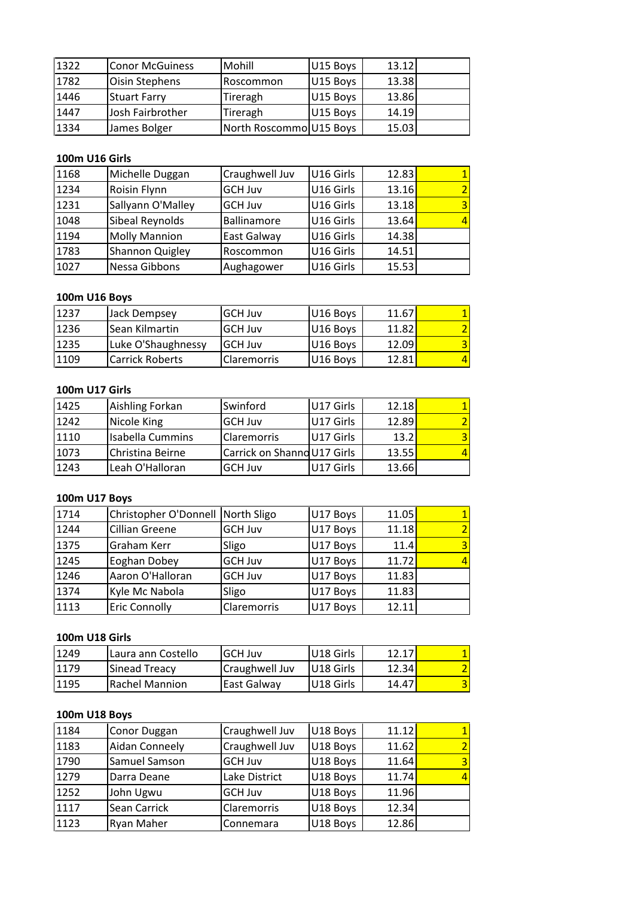| 1322 | <b>Conor McGuiness</b> | Mohill                  | U15 Boys  | 13.12 |  |
|------|------------------------|-------------------------|-----------|-------|--|
| 1782 | Oisin Stephens         | Roscommon               | U15 Boys  | 13.38 |  |
| 1446 | <b>Stuart Farry</b>    | Tireragh                | U15 Boys  | 13.86 |  |
| 1447 | Josh Fairbrother       | Tireragh                | U15 Boys  | 14.19 |  |
| 1334 | James Bolger           | North Roscommo U15 Boys |           | 15.03 |  |
|      |                        |                         |           |       |  |
|      | <b>100m U16 Girls</b>  |                         |           |       |  |
| 1168 | Michelle Duggan        | Craughwell Juv          | U16 Girls | 12.83 |  |
| 1234 | <b>Roisin Flynn</b>    | <b>GCH Juv</b>          | U16 Girls | 13.16 |  |

### 100m U16 Girls

| 1447                  | lJosh Fairbrother    | Tireragh                | U15 Boys  | 14.19 |  |
|-----------------------|----------------------|-------------------------|-----------|-------|--|
| 1334                  | James Bolger         | North Roscommo U15 Boys |           | 15.03 |  |
|                       |                      |                         |           |       |  |
| <b>100m U16 Girls</b> |                      |                         |           |       |  |
| 1168                  | Michelle Duggan      | Craughwell Juv          | U16 Girls | 12.83 |  |
| 1234                  | Roisin Flynn         | <b>GCH Juv</b>          | U16 Girls | 13.16 |  |
| 1231                  | Sallyann O'Malley    | <b>GCH Juv</b>          | U16 Girls | 13.18 |  |
| 1048                  | Sibeal Reynolds      | <b>Ballinamore</b>      | U16 Girls | 13.64 |  |
| 1194                  | <b>Molly Mannion</b> | East Galway             | U16 Girls | 14.38 |  |
| 1783                  | Shannon Quigley      | Roscommon               | U16 Girls | 14.51 |  |
| 1027                  | Nessa Gibbons        | Aughagower              | U16 Girls | 15.53 |  |
|                       |                      |                         |           |       |  |
|                       | 100m U16 Boys        |                         |           |       |  |
| 1237                  | Jack Dempsey         | <b>GCH Juv</b>          | U16 Boys  | 11.67 |  |
| 1236                  | Sean Kilmartin       | <b>GCH Juv</b>          | U16 Bovs  | 11.82 |  |

#### **100m**

| 1783           | <b>Shannon Quigley</b> | Roscommon          | U16 Girls | 14.51 |  |
|----------------|------------------------|--------------------|-----------|-------|--|
| 1027           | Nessa Gibbons          | Aughagower         | U16 Girls | 15.53 |  |
|                |                        |                    |           |       |  |
| 100m U16 Boys  |                        |                    |           |       |  |
| 1237           | Jack Dempsey           | <b>GCH Juv</b>     | U16 Boys  | 11.67 |  |
| 1236           | Sean Kilmartin         | <b>GCH Juv</b>     | U16 Boys  | 11.82 |  |
| 1235           | Luke O'Shaughnessy     | <b>GCH Juv</b>     | U16 Boys  | 12.09 |  |
| 1109           | <b>Carrick Roberts</b> | <b>Claremorris</b> | U16 Boys  | 12.81 |  |
|                |                        |                    |           |       |  |
| 100m U17 Girls |                        |                    |           |       |  |
| 1425           | Aishling Forkan        | Swinford           | U17 Girls | 12.18 |  |
| 1242           | Nicole King            | <b>GCH Juv</b>     | U17 Girls | 12.89 |  |

| 11235                 | Luke O'Shaughnessy                | <b>GCH Juv</b>              | U16 Boys  | 12.09 |  |
|-----------------------|-----------------------------------|-----------------------------|-----------|-------|--|
| 1109                  | <b>Carrick Roberts</b>            | <b>Claremorris</b>          | U16 Boys  | 12.81 |  |
|                       |                                   |                             |           |       |  |
| <b>100m U17 Girls</b> |                                   |                             |           |       |  |
| 1425                  | Aishling Forkan                   | Swinford                    | U17 Girls | 12.18 |  |
| 1242                  | Nicole King                       | <b>GCH Juv</b>              | U17 Girls | 12.89 |  |
| 1110                  | <b>Isabella Cummins</b>           | <b>Claremorris</b>          | U17 Girls | 13.2  |  |
| 1073                  | Christina Beirne                  | Carrick on Shanno U17 Girls |           | 13.55 |  |
| 1243                  | Leah O'Halloran                   | <b>GCH Juv</b>              | U17 Girls | 13.66 |  |
|                       |                                   |                             |           |       |  |
| <b>100m U17 Boys</b>  |                                   |                             |           |       |  |
| 1714                  | Christopher O'Donnell North Sligo |                             | U17 Boys  | 11.05 |  |
| 1244                  | lCillian Greene                   | <b>GCH Juv</b>              | U17 Boys  | 11.18 |  |

### <u>100n</u>

| 1073                  | Christina Beirne      | Carrick on Shanno U17 Girls |           | 13.55 |  |
|-----------------------|-----------------------|-----------------------------|-----------|-------|--|
| 1243                  | Leah O'Halloran       | <b>GCH Juv</b>              | U17 Girls | 13.66 |  |
|                       |                       |                             |           |       |  |
| <b>100m U17 Boys</b>  |                       |                             |           |       |  |
| 1714                  | Christopher O'Donnell | North Sligo                 | U17 Boys  | 11.05 |  |
| 1244                  | Cillian Greene        | <b>GCH Juv</b>              | U17 Boys  | 11.18 |  |
| 1375                  | Graham Kerr           | Sligo                       | U17 Boys  | 11.4  |  |
| 1245                  | Eoghan Dobey          | <b>GCH Juv</b>              | U17 Boys  | 11.72 |  |
| 1246                  | Aaron O'Halloran      | <b>GCH Juv</b>              | U17 Boys  | 11.83 |  |
| 1374                  | Kyle Mc Nabola        | Sligo                       | U17 Boys  | 11.83 |  |
| 1113                  | <b>Eric Connolly</b>  | Claremorris                 | U17 Boys  | 12.11 |  |
|                       |                       |                             |           |       |  |
| <b>100m U18 Girls</b> |                       |                             |           |       |  |
| 1249                  | Laura ann Costello    | <b>GCH Juv</b>              | U18 Girls | 12.17 |  |
| 1179                  | Sinead Treacy         | Craughwell Juv              | U18 Girls | 12.34 |  |

#### 100m U18 Girls

| 1374 | Kyle Mc Nabola        | Sligo          | U17 Boys  | 11.831 |  |
|------|-----------------------|----------------|-----------|--------|--|
| 1113 | <b>Eric Connolly</b>  | Claremorris    | U17 Boys  | 12.11  |  |
|      |                       |                |           |        |  |
|      | <b>100m U18 Girls</b> |                |           |        |  |
| 1249 | Laura ann Costello    | <b>GCH Juv</b> | U18 Girls | 12.17  |  |
| 1179 | <b>Sinead Treacy</b>  | Craughwell Juv | U18 Girls | 12.34  |  |
| 1195 | <b>Rachel Mannion</b> | East Galway    | U18 Girls | 14.47  |  |
|      |                       |                |           |        |  |
|      | 100m U18 Boys         |                |           |        |  |
| 1184 | Conor Duggan          | Craughwell Juv | U18 Boys  | 11.12  |  |
| 1183 | lAidan Conneelv       | Craughwell Juv | U18 Boys  | 11.62  |  |

#### 100m U18 Boys

| 1179          | <b>Sinead Treacy</b>  | Craughwell Juv     | U18 Girls | 12.34 |   |
|---------------|-----------------------|--------------------|-----------|-------|---|
| 1195          | <b>Rachel Mannion</b> | East Galway        | U18 Girls | 14.47 | 3 |
|               |                       |                    |           |       |   |
| 100m U18 Boys |                       |                    |           |       |   |
| 1184          | Conor Duggan          | Craughwell Juv     | U18 Boys  | 11.12 |   |
| 1183          | <b>Aidan Conneely</b> | Craughwell Juv     | U18 Boys  | 11.62 |   |
| 1790          | Samuel Samson         | <b>GCH Juv</b>     | U18 Boys  | 11.64 |   |
| 1279          | Darra Deane           | Lake District      | U18 Boys  | 11.74 |   |
| 1252          | John Ugwu             | <b>GCH Juv</b>     | U18 Boys  | 11.96 |   |
| 1117          | Sean Carrick          | <b>Claremorris</b> | U18 Boys  | 12.34 |   |
| 1123          | Ryan Maher            | <b>Connemara</b>   | U18 Boys  | 12.86 |   |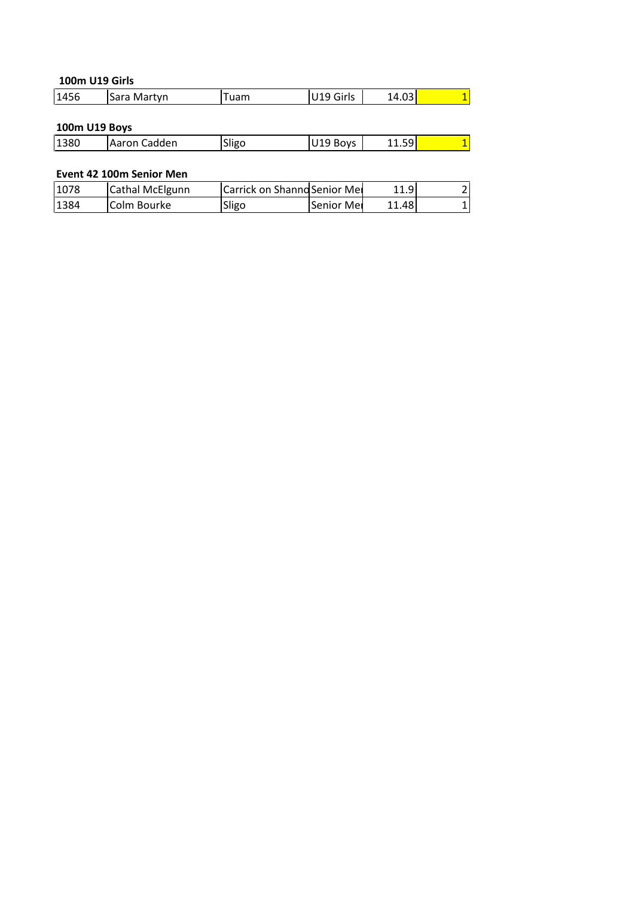## **U19 Girls 100m U19 Girls**

|      | <b>100m U19 Girls</b> |      |           |       |    |
|------|-----------------------|------|-----------|-------|----|
| 1456 | Sara Martyn           | Tuam | U19 Girls | 14.03 | 1. |
|      | 100m U19 Boys         |      |           |       |    |
|      |                       |      |           |       |    |

| 1456          | Sara Martyn              | ruam  | U19 Girls                            | 14.03 |  |
|---------------|--------------------------|-------|--------------------------------------|-------|--|
|               |                          |       |                                      |       |  |
| 100m U19 Boys |                          |       |                                      |       |  |
| 1380          | Aaron Cadden             | Sligo | U19 Boys                             | 11.59 |  |
|               |                          |       |                                      |       |  |
|               | Event 42 100m Senior Men |       |                                      |       |  |
| 1078          | lCathal McElgunn         |       | <b>ICarrick on Shannd Senior Med</b> |       |  |

| 100m U19 Boys |                          |                              |            |       |               |
|---------------|--------------------------|------------------------------|------------|-------|---------------|
| 1380          | Aaron Cadden             | Sligo                        | U19 Boys   | 11.59 | 1             |
|               |                          |                              |            |       |               |
|               | Event 42 100m Senior Men |                              |            |       |               |
| 1078          | Cathal McElgunn          | Carrick on Shanno Senior Mer |            | 11.9  | $\mathcal{P}$ |
| 1384          | Colm Bourke              | Sligo                        | Senior Mer | 11.48 | 1             |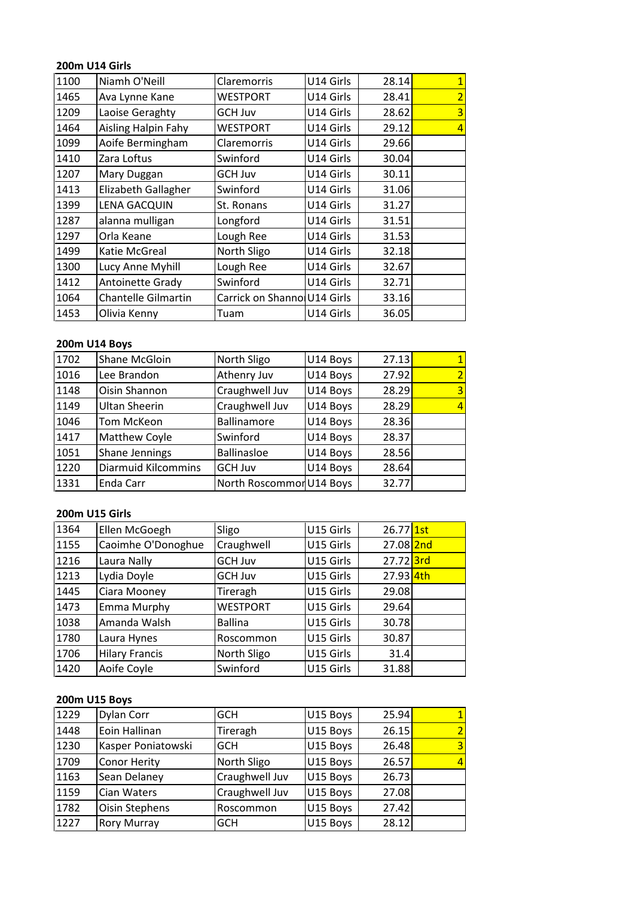## **U14 Girls** 200m U14 Girls

|      | <b>200m U14 Girls</b>      |                             |           |       |                |
|------|----------------------------|-----------------------------|-----------|-------|----------------|
| 1100 | Niamh O'Neill              | Claremorris                 | U14 Girls | 28.14 |                |
| 1465 | Ava Lynne Kane             | <b>WESTPORT</b>             | U14 Girls | 28.41 | 2              |
| 1209 | Laoise Geraghty            | <b>GCH Juv</b>              | U14 Girls | 28.62 |                |
| 1464 | Aisling Halpin Fahy        | <b>WESTPORT</b>             | U14 Girls | 29.12 | $\overline{A}$ |
| 1099 | Aoife Bermingham           | Claremorris                 | U14 Girls | 29.66 |                |
| 1410 | Zara Loftus                | Swinford                    | U14 Girls | 30.04 |                |
| 1207 | Mary Duggan                | <b>GCH Juv</b>              | U14 Girls | 30.11 |                |
| 1413 | Elizabeth Gallagher        | Swinford                    | U14 Girls | 31.06 |                |
| 1399 | <b>LENA GACQUIN</b>        | St. Ronans                  | U14 Girls | 31.27 |                |
| 1287 | alanna mulligan            | Longford                    | U14 Girls | 31.51 |                |
| 1297 | Orla Keane                 | Lough Ree                   | U14 Girls | 31.53 |                |
| 1499 | Katie McGreal              | North Sligo                 | U14 Girls | 32.18 |                |
| 1300 | Lucy Anne Myhill           | Lough Ree                   | U14 Girls | 32.67 |                |
| 1412 | Antoinette Grady           | Swinford                    | U14 Girls | 32.71 |                |
| 1064 | <b>Chantelle Gilmartin</b> | Carrick on Shanno U14 Girls |           | 33.16 |                |
| 1453 | Olivia Kenny               | Tuam                        | U14 Girls | 36.05 |                |
|      |                            |                             |           |       |                |
|      | <b>200m U14 Boys</b>       |                             |           |       |                |
| 1702 | <b>Shane McGloin</b>       | North Sligo                 | U14 Boys  | 27.13 |                |
| 1016 | Lee Brandon                | Athenry Juv                 | U14 Bovs  | 27.92 |                |

#### 200m U14 Boys

| 1064 | Chantelle Gilmartin  | Carrick on Shanno U14 Girls |           | 33.16     |   |
|------|----------------------|-----------------------------|-----------|-----------|---|
| 1453 | Olivia Kenny         | Tuam                        | U14 Girls | 36.05     |   |
|      |                      |                             |           |           |   |
|      | <b>200m U14 Boys</b> |                             |           |           |   |
| 1702 | Shane McGloin        | North Sligo                 | U14 Boys  | 27.13     |   |
| 1016 | Lee Brandon          | Athenry Juv                 | U14 Boys  | 27.92     |   |
| 1148 | Oisin Shannon        | Craughwell Juv              | U14 Boys  | 28.29     | 3 |
| 1149 | Ultan Sheerin        | Craughwell Juv              | U14 Boys  | 28.29     |   |
| 1046 | Tom McKeon           | <b>Ballinamore</b>          | U14 Boys  | 28.36     |   |
| 1417 | Matthew Coyle        | Swinford                    | U14 Boys  | 28.37     |   |
| 1051 | Shane Jennings       | <b>Ballinasloe</b>          | U14 Boys  | 28.56     |   |
| 1220 | Diarmuid Kilcommins  | <b>GCH Juv</b>              | U14 Boys  | 28.64     |   |
| 1331 | Enda Carr            | North Roscommon U14 Boys    |           | 32.77     |   |
|      |                      |                             |           |           |   |
|      | 200m U15 Girls       |                             |           |           |   |
| 1364 | Ellen McGoegh        | Sligo                       | U15 Girls | 26.77 1st |   |
| 1155 | Caoimhe O'Donoghue   | Craughwell                  | U15 Girls | 27.08 2nd |   |

### <u>200n</u>

| 1220 | Diarmuid Kilcommins   | GCH Juv                  | U14 Boys  | 28.64                |                          |
|------|-----------------------|--------------------------|-----------|----------------------|--------------------------|
| 1331 | Enda Carr             | North Roscommon U14 Boys |           | 32.77                |                          |
|      |                       |                          |           |                      |                          |
|      | <b>200m U15 Girls</b> |                          |           |                      |                          |
| 1364 | Ellen McGoegh         | Sligo                    | U15 Girls | 26.77 1st            |                          |
| 1155 | Caoimhe O'Donoghue    | Craughwell               | U15 Girls | $27.08$ 2nd          |                          |
| 1216 | Laura Nally           | <b>GCH Juv</b>           | U15 Girls | 27.72 <sup>3rd</sup> |                          |
| 1213 | Lydia Doyle           | <b>GCH Juv</b>           | U15 Girls | 27.93 4th            |                          |
| 1445 | Ciara Mooney          | Tireragh                 | U15 Girls | 29.08                |                          |
| 1473 | Emma Murphy           | <b>WESTPORT</b>          | U15 Girls | 29.64                |                          |
| 1038 | Amanda Walsh          | <b>Ballina</b>           | U15 Girls | 30.78                |                          |
| 1780 | Laura Hynes           | Roscommon                | U15 Girls | 30.87                |                          |
| 1706 | <b>Hilary Francis</b> | North Sligo              | U15 Girls | 31.4                 |                          |
| 1420 | Aoife Coyle           | Swinford                 | U15 Girls | 31.88                |                          |
|      |                       |                          |           |                      |                          |
|      | 200m U15 Boys         |                          |           |                      |                          |
| 1229 | Dylan Corr            | <b>GCH</b>               | U15 Boys  | 25.94                |                          |
| 1448 | Eoin Hallinan         | Tireragh                 | U15 Bovs  | 26.15                | $\overline{\phantom{a}}$ |

#### 200m U15 Boys

| 1706 | <b>Hilary Francis</b> | North Sligo    | U15 Girls | 31.4  |   |
|------|-----------------------|----------------|-----------|-------|---|
| 1420 | Aoife Coyle           | Swinford       | U15 Girls | 31.88 |   |
|      |                       |                |           |       |   |
|      | 200m U15 Boys         |                |           |       |   |
| 1229 | Dylan Corr            | <b>GCH</b>     | U15 Boys  | 25.94 |   |
| 1448 | Eoin Hallinan         | Tireragh       | U15 Boys  | 26.15 |   |
| 1230 | Kasper Poniatowski    | <b>GCH</b>     | U15 Boys  | 26.48 | 3 |
| 1709 | Conor Herity          | North Sligo    | U15 Boys  | 26.57 |   |
| 1163 | Sean Delaney          | Craughwell Juv | U15 Boys  | 26.73 |   |
| 1159 | Cian Waters           | Craughwell Juv | U15 Boys  | 27.08 |   |
| 1782 | Oisin Stephens        | Roscommon      | U15 Boys  | 27.42 |   |
| 1227 | <b>Rory Murray</b>    | <b>GCH</b>     | U15 Boys  | 28.12 |   |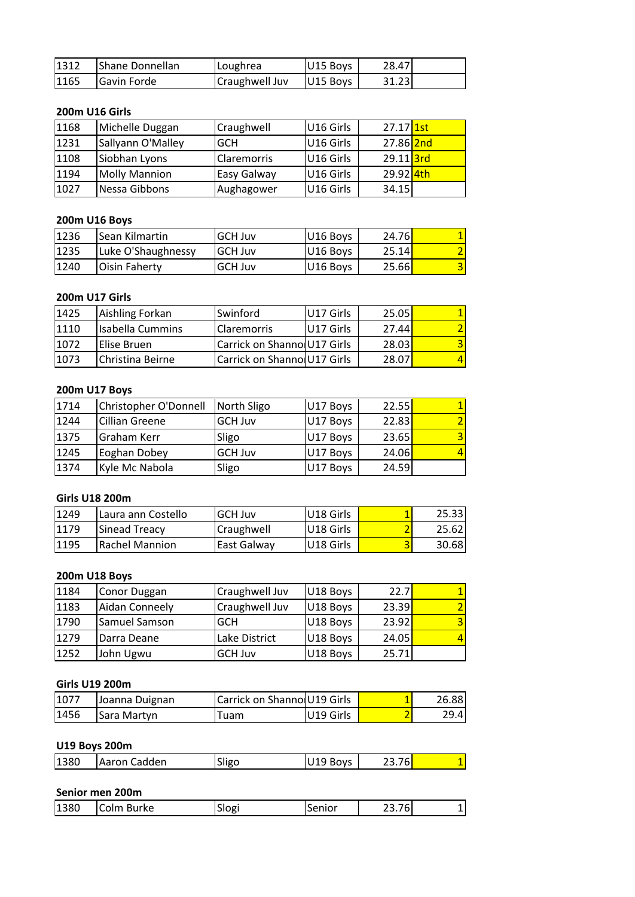| 1312 | Shane Donnellan       | Loughrea       | U15 Boys  | 28.47     |  |
|------|-----------------------|----------------|-----------|-----------|--|
| 1165 | Gavin Forde           | Craughwell Juv | U15 Boys  | 31.23     |  |
|      |                       |                |           |           |  |
|      | <b>200m U16 Girls</b> |                |           |           |  |
| 1168 | Michelle Duggan       | Craughwell     | U16 Girls | 27.17 1st |  |
| 1231 | Sallvann O'Mallev     | <b>GCH</b>     | U16 Girls | 27.86 2nd |  |

| 1312 | Shane Donnellan       | Loughrea       | U15 Boys  | 28.47                |  |
|------|-----------------------|----------------|-----------|----------------------|--|
| 1165 | Gavin Forde           | Craughwell Juv | U15 Boys  | 31.23                |  |
|      |                       |                |           |                      |  |
|      | <b>200m U16 Girls</b> |                |           |                      |  |
| 1168 | Michelle Duggan       | Craughwell     | U16 Girls | $27.17$ 1st          |  |
| 1231 | Sallyann O'Malley     | <b>GCH</b>     | U16 Girls | 27.86 2nd            |  |
| 1108 | Siobhan Lyons         | Claremorris    | U16 Girls | 29.11 <sup>3rd</sup> |  |
| 1194 | <b>Molly Mannion</b>  | Easy Galway    | U16 Girls | 29.92 4th            |  |
| 1027 | Nessa Gibbons         | Aughagower     | U16 Girls | 34.15                |  |
|      |                       |                |           |                      |  |
|      | <b>200m U16 Boys</b>  |                |           |                      |  |
| 1236 | Sean Kilmartin        | <b>GCH Juv</b> | U16 Boys  | 24.76                |  |
| 1235 | Luke O'Shaughnessy    | <b>GCH Juv</b> | U16 Bovs  | 25.14                |  |

## 200m U16 Boys

| 1194 | <b>Molly Mannion</b> | Easy Galway    | U16 Girls | 29.92 <b>4th</b> |  |
|------|----------------------|----------------|-----------|------------------|--|
| 1027 | Nessa Gibbons        | Aughagower     | U16 Girls | 34.15            |  |
|      |                      |                |           |                  |  |
|      | 200m U16 Boys        |                |           |                  |  |
| 1236 | Sean Kilmartin       | <b>GCH Juv</b> | U16 Boys  | 24.76            |  |
| 1235 | Luke O'Shaughnessy   | <b>GCH Juv</b> | U16 Boys  | 25.14            |  |
| 1240 | Oisin Faherty        | <b>GCH Juv</b> | U16 Boys  | 25.66            |  |
|      |                      |                |           |                  |  |
|      | 200m U17 Girls       |                |           |                  |  |
| 1425 | Aishling Forkan      | Swinford       | U17 Girls | 25.05            |  |
| 1110 | Isabella Cummins     | Claremorris    | U17 Girls | 27.44            |  |

#### **200m**

| 1235 | Luke O'Shaughnessy      | <b>GCH Juv</b>              | U16 Boys  | 25.14 |   |
|------|-------------------------|-----------------------------|-----------|-------|---|
| 1240 | Oisin Faherty           | <b>GCH Juv</b>              | U16 Boys  | 25.66 | 3 |
|      |                         |                             |           |       |   |
|      | <b>200m U17 Girls</b>   |                             |           |       |   |
| 1425 | Aishling Forkan         | Swinford                    | U17 Girls | 25.05 |   |
| 1110 | <b>Isabella Cummins</b> | Claremorris                 | U17 Girls | 27.44 |   |
| 1072 | Elise Bruen             | Carrick on Shanno U17 Girls |           | 28.03 |   |
| 1073 | Christina Beirne        | Carrick on Shanno U17 Girls |           | 28.07 |   |
|      |                         |                             |           |       |   |
|      | 200m U17 Boys           |                             |           |       |   |
| 1714 | Christopher O'Donnell   | North Sligo                 | U17 Boys  | 22.55 |   |
| 1244 | Cillian Greene          | <b>GCH Juv</b>              | U17 Bovs  | 22.83 |   |

| 1072 | Elise Bruen           | Carrick on Shanno U17 Girls  |           | 28.03 |       |
|------|-----------------------|------------------------------|-----------|-------|-------|
| 1073 | Christina Beirne      | Carrick on Shannol U17 Girls |           | 28.07 |       |
|      |                       |                              |           |       |       |
|      | 200m U17 Boys         |                              |           |       |       |
| 1714 | Christopher O'Donnell | North Sligo                  | U17 Boys  | 22.55 |       |
| 1244 | <b>Cillian Greene</b> | <b>GCH Juv</b>               | U17 Boys  | 22.83 |       |
| 1375 | Graham Kerr           | Sligo                        | U17 Boys  | 23.65 |       |
| 1245 | Eoghan Dobey          | <b>GCH Juv</b>               | U17 Boys  | 24.06 |       |
| 1374 | Kyle Mc Nabola        | Sligo                        | U17 Boys  | 24.59 |       |
|      |                       |                              |           |       |       |
|      | <b>Girls U18 200m</b> |                              |           |       |       |
| 1249 | Laura ann Costello    | <b>GCH Juv</b>               | U18 Girls |       | 25.33 |
| 1179 | Sinead Treacy         | Craughwell                   | U18 Girls |       | 25.62 |

### Girls U18 200m

| 1245 | Eoghan Dobey          | <b>GCH Juv</b> | U17 Boys  | 24.06  |       |
|------|-----------------------|----------------|-----------|--------|-------|
| 1374 | Kyle Mc Nabola        | Sligo          | U17 Boys  | 24.59  |       |
|      |                       |                |           |        |       |
|      | <b>Girls U18 200m</b> |                |           |        |       |
| 1249 | Laura ann Costello    | GCH Juv        | U18 Girls |        | 25.33 |
| 1179 | <b>Sinead Treacy</b>  | Craughwell     | U18 Girls | 2      | 25.62 |
| 1195 | <b>Rachel Mannion</b> | East Galway    | U18 Girls | 3      | 30.68 |
|      |                       |                |           |        |       |
|      | 200m U18 Boys         |                |           |        |       |
| 1184 | <b>Conor Duggan</b>   | Craughwell Juv | U18 Boys  | 22.7   |       |
| 1183 | Aidan Conneely        | Craughwell Juv | U18 Boys  | 23.39l |       |

| 1179 | Sinead Treacy         | Craughwell                  | U18 Girls | 2     | 25.62 |
|------|-----------------------|-----------------------------|-----------|-------|-------|
| 1195 | <b>Rachel Mannion</b> | East Galway                 | U18 Girls | 3     | 30.68 |
|      |                       |                             |           |       |       |
|      | <b>200m U18 Boys</b>  |                             |           |       |       |
| 1184 | Conor Duggan          | Craughwell Juv              | U18 Boys  | 22.7  |       |
| 1183 | Aidan Conneely        | Craughwell Juv              | U18 Boys  | 23.39 |       |
| 1790 | Samuel Samson         | <b>GCH</b>                  | U18 Boys  | 23.92 | 3     |
| 1279 | Darra Deane           | Lake District               | U18 Boys  | 24.05 |       |
| 1252 | John Ugwu             | <b>GCH Juv</b>              | U18 Boys  | 25.71 |       |
|      |                       |                             |           |       |       |
|      | <b>Girls U19 200m</b> |                             |           |       |       |
| 1077 | Joanna Duignan        | Carrick on Shanno U19 Girls |           |       | 26.88 |
| 1456 | Sara Martyn           | Tuam                        | U19 Girls |       | 29.4  |

| 1252 | John Ugwu             | <b>GCH Juv</b>              | U18 Boys  | 25.71 |       |
|------|-----------------------|-----------------------------|-----------|-------|-------|
|      |                       |                             |           |       |       |
|      | <b>Girls U19 200m</b> |                             |           |       |       |
| 1077 | Joanna Duignan        | Carrick on Shanno U19 Girls |           |       | 26.88 |
| 1456 | Sara Martyn           | Tuam                        | U19 Girls | 2     | 29.4  |
|      |                       |                             |           |       |       |
|      | <b>U19 Boys 200m</b>  |                             |           |       |       |
| 1380 | Aaron Cadden          | Sligo                       | U19 Boys  | 23.76 |       |
|      |                       |                             |           |       |       |
|      | Senior men 200m       |                             |           |       |       |

| 1456 | Sara Martyn          | Tuam   | U19 Girls |        | 29.4 |
|------|----------------------|--------|-----------|--------|------|
|      | <b>U19 Boys 200m</b> |        |           |        |      |
| 1380 | Aaron Cadden         | Sligo  | U19 Boys  | 23.76  |      |
|      | Senior men 200m      |        |           |        |      |
| 1380 | lColm Burke          | lSlogi | lSenior   | 23.761 |      |

| 1380 | <b>Colm</b><br>Burke | Slogi | Senior | $- - -$<br>$^{\prime}$<br>-- - - |  |
|------|----------------------|-------|--------|----------------------------------|--|
|------|----------------------|-------|--------|----------------------------------|--|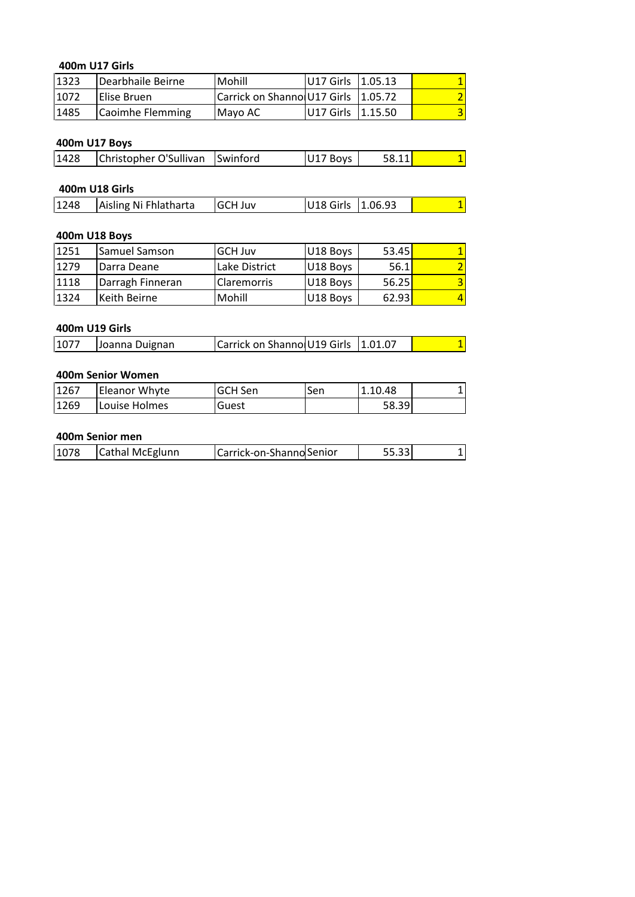## **U17 Girls** 400m U17 Girls

| 400m U17 Girls |                        |                             |           |         |   |
|----------------|------------------------|-----------------------------|-----------|---------|---|
| 1323           | Dearbhaile Beirne      | Mohill                      | U17 Girls | 1.05.13 |   |
| 1072           | Elise Bruen            | Carrick on Shanno U17 Girls |           | 1.05.72 |   |
| 1485           | Caoimhe Flemming       | Mayo AC                     | U17 Girls | 1.15.50 | 3 |
|                |                        |                             |           |         |   |
| 400m U17 Boys  |                        |                             |           |         |   |
| 1428           | Christopher O'Sullivan | Swinford                    | U17 Boys  | 58.11   | 1 |
|                |                        |                             |           |         |   |
| 400m U18 Girls |                        |                             |           |         |   |

#### **400m**

| 1485 | Caoimhe Flemming       | Mayo AC        | U17 Girls   1.15.50 |         |  |
|------|------------------------|----------------|---------------------|---------|--|
|      |                        |                |                     |         |  |
|      | 400m U17 Boys          |                |                     |         |  |
| 1428 | Christopher O'Sullivan | Swinford       | U17 Boys            | 58.11   |  |
|      |                        |                |                     |         |  |
|      | 400m U18 Girls         |                |                     |         |  |
| 1248 | Aisling Ni Fhlatharta  | <b>GCH Juv</b> | U18 Girls           | 1.06.93 |  |
|      |                        |                |                     |         |  |
|      | 400m U18 Boys          |                |                     |         |  |

| 11428 | Christopher O'Sullivan | <b>I</b> Swinford | U17 Bovs            | 58.11          |  |
|-------|------------------------|-------------------|---------------------|----------------|--|
|       |                        |                   |                     |                |  |
|       | 400m U18 Girls         |                   |                     |                |  |
| 1248  | Aisling Ni Fhlatharta  | <b>GCH Juv</b>    | U18 Girls   1.06.93 |                |  |
|       |                        |                   |                     |                |  |
|       | 400m U18 Boys          |                   |                     |                |  |
| 1251  | ISamuel Samson         | <b>GCH Juv</b>    | U18 Boys            | 53.45 <b>1</b> |  |

#### **400m**

| 1248 | Aisling Ni Fhlatharta | <b>GCH Juv</b>              | U18 Girls | 1.06.93 | 1 |
|------|-----------------------|-----------------------------|-----------|---------|---|
|      |                       |                             |           |         |   |
|      | 400m U18 Boys         |                             |           |         |   |
| 1251 | Samuel Samson         | <b>GCH Juv</b>              | U18 Boys  | 53.45   |   |
| 1279 | Darra Deane           | Lake District               | U18 Boys  | 56.1    |   |
| 1118 | Darragh Finneran      | Claremorris                 | U18 Boys  | 56.25   | 3 |
| 1324 | Keith Beirne          | Mohill                      | U18 Boys  | 62.93   | 4 |
|      |                       |                             |           |         |   |
|      | 400m U19 Girls        |                             |           |         |   |
| 1077 | Joanna Duignan        | Carrick on Shanno U19 Girls |           | 1.01.07 |   |

| 1324  | Keith Beirne      | Mohill  | U18 Boys                              | 62.93   |  |
|-------|-------------------|---------|---------------------------------------|---------|--|
|       | 400m U19 Girls    |         |                                       |         |  |
| 1077  | Joanna Duignan    |         | Carrick on Shanno U19 Girls   1.01.07 |         |  |
|       | 400m Senior Women |         |                                       |         |  |
| 11267 | Eleanor Whyte     | GCH Sen | Sen                                   | 1.10.48 |  |

|      | 400m U19 Girls       |                                     |     |         |  |
|------|----------------------|-------------------------------------|-----|---------|--|
| 1077 | Joanna Duignan       | Carrick on Shanno U19 Girls 1.01.07 |     |         |  |
|      |                      |                                     |     |         |  |
|      | 400m Senior Women    |                                     |     |         |  |
| 1267 | <b>Eleanor Whyte</b> | GCH Sen                             | Sen | 1.10.48 |  |
| 1269 | Louise Holmes        | Guest                               |     | 58.39   |  |
|      |                      |                                     |     |         |  |
|      | 400m Senior men      |                                     |     |         |  |
| 1078 | Cathal McEglunn      | Carrick-on-Shanno Senior            |     | 55.33   |  |

|  | 1078 | Cathal McEglunn | Carrick-on-Shanno Senior |  |  |  |
|--|------|-----------------|--------------------------|--|--|--|
|--|------|-----------------|--------------------------|--|--|--|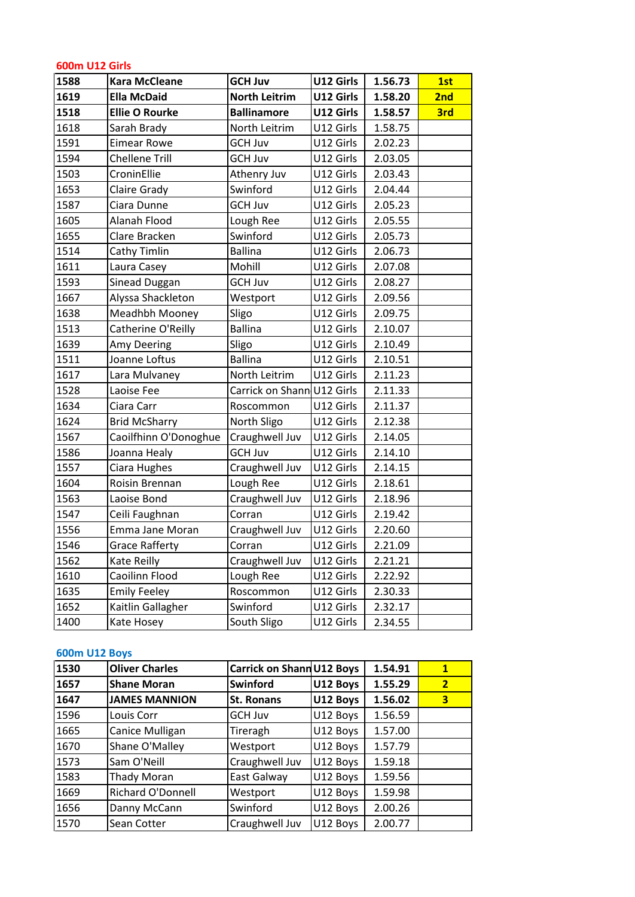| <b>600m U12 Girls</b> |                       |                            |           |         |                |
|-----------------------|-----------------------|----------------------------|-----------|---------|----------------|
| 1588                  | <b>Kara McCleane</b>  | <b>GCH Juv</b>             | U12 Girls | 1.56.73 | 1st            |
| 1619                  | <b>Ella McDaid</b>    | <b>North Leitrim</b>       | U12 Girls | 1.58.20 | 2nd            |
| 1518                  | <b>Ellie O Rourke</b> | <b>Ballinamore</b>         | U12 Girls | 1.58.57 | 3rd            |
| 1618                  | Sarah Brady           | North Leitrim              | U12 Girls | 1.58.75 |                |
| 1591                  | <b>Eimear Rowe</b>    | <b>GCH Juv</b>             | U12 Girls | 2.02.23 |                |
| 1594                  | <b>Chellene Trill</b> | <b>GCH Juv</b>             | U12 Girls | 2.03.05 |                |
| 1503                  | CroninEllie           | Athenry Juv                | U12 Girls | 2.03.43 |                |
| 1653                  | Claire Grady          | Swinford                   | U12 Girls | 2.04.44 |                |
| 1587                  | Ciara Dunne           | <b>GCH Juv</b>             | U12 Girls | 2.05.23 |                |
| 1605                  | Alanah Flood          | Lough Ree                  | U12 Girls | 2.05.55 |                |
| 1655                  | Clare Bracken         | Swinford                   | U12 Girls | 2.05.73 |                |
| 1514                  | Cathy Timlin          | <b>Ballina</b>             | U12 Girls | 2.06.73 |                |
| 1611                  | Laura Casey           | Mohill                     | U12 Girls | 2.07.08 |                |
| 1593                  | Sinead Duggan         | <b>GCH Juv</b>             | U12 Girls | 2.08.27 |                |
| 1667                  | Alyssa Shackleton     | Westport                   | U12 Girls | 2.09.56 |                |
| 1638                  | Meadhbh Mooney        | Sligo                      | U12 Girls | 2.09.75 |                |
| 1513                  | Catherine O'Reilly    | <b>Ballina</b>             | U12 Girls | 2.10.07 |                |
| 1639                  | Amy Deering           | Sligo                      | U12 Girls | 2.10.49 |                |
| 1511                  | Joanne Loftus         | <b>Ballina</b>             | U12 Girls | 2.10.51 |                |
| 1617                  | Lara Mulvaney         | North Leitrim              | U12 Girls | 2.11.23 |                |
| 1528                  | Laoise Fee            | Carrick on Shann U12 Girls |           | 2.11.33 |                |
| 1634                  | Ciara Carr            | Roscommon                  | U12 Girls | 2.11.37 |                |
| 1624                  | <b>Brid McSharry</b>  | North Sligo                | U12 Girls | 2.12.38 |                |
| 1567                  | Caoilfhinn O'Donoghue | Craughwell Juv             | U12 Girls | 2.14.05 |                |
| 1586                  | Joanna Healy          | <b>GCH Juv</b>             | U12 Girls | 2.14.10 |                |
| 1557                  | Ciara Hughes          | Craughwell Juv             | U12 Girls | 2.14.15 |                |
| 1604                  | Roisin Brennan        | Lough Ree                  | U12 Girls | 2.18.61 |                |
| 1563                  | Laoise Bond           | Craughwell Juv             | U12 Girls | 2.18.96 |                |
| 1547                  | Ceili Faughnan        | Corran                     | U12 Girls | 2.19.42 |                |
| 1556                  | Emma Jane Moran       | Craughwell Juv             | U12 Girls | 2.20.60 |                |
| 1546                  | <b>Grace Rafferty</b> | Corran                     | U12 Girls | 2.21.09 |                |
| 1562                  | Kate Reilly           | Craughwell Juv             | U12 Girls | 2.21.21 |                |
| 1610                  | Caoilinn Flood        | Lough Ree                  | U12 Girls | 2.22.92 |                |
| 1635                  | <b>Emily Feeley</b>   | Roscommon                  | U12 Girls | 2.30.33 |                |
| 1652                  | Kaitlin Gallagher     | Swinford                   | U12 Girls | 2.32.17 |                |
| 1400                  | Kate Hosey            | South Sligo                | U12 Girls | 2.34.55 |                |
| <b>600m U12 Boys</b>  |                       |                            |           |         |                |
| 1530                  | <b>Oliver Charles</b> | Carrick on Shann U12 Boys  |           | 1.54.91 | $\mathbf{1}$   |
| 1657                  | <b>Shane Moran</b>    | <b>Swinford</b>            | U12 Boys  | 1.55.29 | 2 <sup>1</sup> |
|                       |                       |                            |           |         |                |

#### 600m U12 Boys

| 1652                 | Kaitlin Gallagher        | Swinford                  | U12 Girls | 2.32.17 |                |
|----------------------|--------------------------|---------------------------|-----------|---------|----------------|
| 1400                 | Kate Hosey               | South Sligo               | U12 Girls | 2.34.55 |                |
|                      |                          |                           |           |         |                |
| <b>600m U12 Boys</b> |                          |                           |           |         |                |
| 1530                 | <b>Oliver Charles</b>    | Carrick on Shann U12 Boys |           | 1.54.91 | $\mathbf{1}$   |
| 1657                 | <b>Shane Moran</b>       | Swinford                  | U12 Boys  | 1.55.29 | $\overline{2}$ |
| 1647                 | <b>JAMES MANNION</b>     | <b>St. Ronans</b>         | U12 Boys  | 1.56.02 | 3              |
| 1596                 | Louis Corr               | <b>GCH Juv</b>            | U12 Boys  | 1.56.59 |                |
| 1665                 | Canice Mulligan          | Tireragh                  | U12 Boys  | 1.57.00 |                |
| 1670                 | Shane O'Malley           | Westport                  | U12 Boys  | 1.57.79 |                |
| 1573                 | Sam O'Neill              | Craughwell Juv            | U12 Boys  | 1.59.18 |                |
| 1583                 | Thady Moran              | East Galway               | U12 Boys  | 1.59.56 |                |
| 1669                 | <b>Richard O'Donnell</b> | Westport                  | U12 Boys  | 1.59.98 |                |
| 1656                 | Danny McCann             | Swinford                  | U12 Boys  | 2.00.26 |                |
| 1570                 | Sean Cotter              | Craughwell Juv            | U12 Boys  | 2.00.77 |                |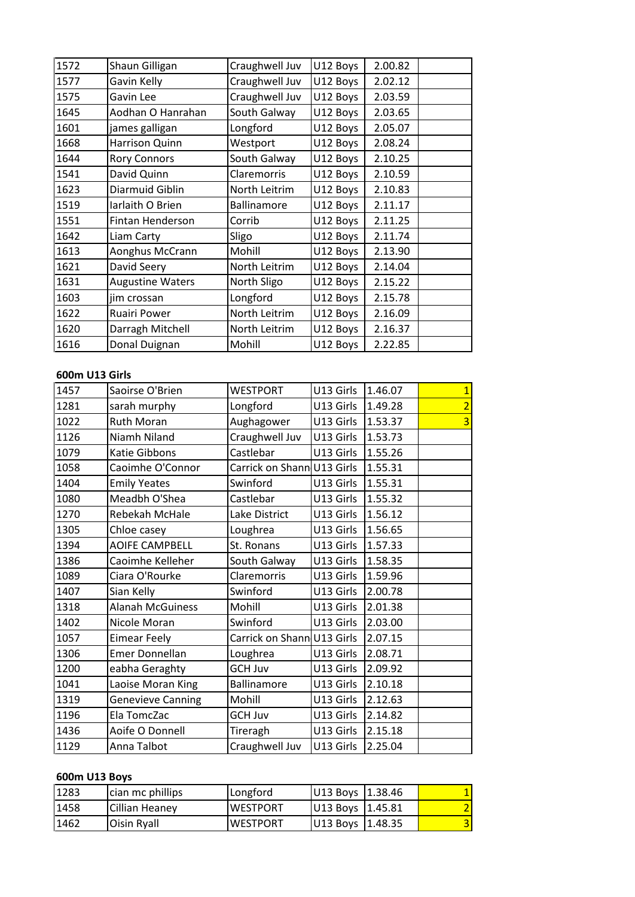| 1572                  | Shaun Gilligan          | Craughwell Juv  | U12 Boys  | 2.00.82 |                |
|-----------------------|-------------------------|-----------------|-----------|---------|----------------|
| 1577                  | Gavin Kelly             | Craughwell Juv  | U12 Boys  | 2.02.12 |                |
| 1575                  | Gavin Lee               | Craughwell Juv  | U12 Boys  | 2.03.59 |                |
| 1645                  | Aodhan O Hanrahan       | South Galway    | U12 Boys  | 2.03.65 |                |
| 1601                  | james galligan          | Longford        | U12 Boys  | 2.05.07 |                |
| 1668                  | Harrison Quinn          | Westport        | U12 Boys  | 2.08.24 |                |
| 1644                  | <b>Rory Connors</b>     | South Galway    | U12 Boys  | 2.10.25 |                |
| 1541                  | David Quinn             | Claremorris     | U12 Boys  | 2.10.59 |                |
| 1623                  | Diarmuid Giblin         | North Leitrim   | U12 Boys  | 2.10.83 |                |
| 1519                  | Iarlaith O Brien        | Ballinamore     | U12 Boys  | 2.11.17 |                |
| 1551                  | Fintan Henderson        | Corrib          | U12 Boys  | 2.11.25 |                |
| 1642                  | Liam Carty              | Sligo           | U12 Boys  | 2.11.74 |                |
| 1613                  | Aonghus McCrann         | Mohill          | U12 Boys  | 2.13.90 |                |
| 1621                  | David Seery             | North Leitrim   | U12 Boys  | 2.14.04 |                |
| 1631                  | <b>Augustine Waters</b> | North Sligo     | U12 Boys  | 2.15.22 |                |
| 1603                  | jim crossan             | Longford        | U12 Boys  | 2.15.78 |                |
| 1622                  | Ruairi Power            | North Leitrim   | U12 Boys  | 2.16.09 |                |
| 1620                  | Darragh Mitchell        | North Leitrim   | U12 Boys  | 2.16.37 |                |
| 1616                  | Donal Duignan           | Mohill          | U12 Boys  | 2.22.85 |                |
|                       |                         |                 |           |         |                |
| <b>600m U13 Girls</b> |                         |                 |           |         |                |
| 1457                  | Saoirse O'Brien         | <b>WESTPORT</b> | U13 Girls | 1.46.07 | 1              |
| 1281                  | sarah murphy            | Longford        | U13 Girls | 1.49.28 | $\overline{2}$ |

### 600m U13 Girls

| 1620           | Darragh Mitchell         | North Leitrim              | U12 Boys         | 2.16.37 |                |
|----------------|--------------------------|----------------------------|------------------|---------|----------------|
| 1616           | Donal Duignan            | Mohill                     | U12 Boys         | 2.22.85 |                |
|                |                          |                            |                  |         |                |
| 600m U13 Girls |                          |                            |                  |         |                |
| 1457           | Saoirse O'Brien          | <b>WESTPORT</b>            | U13 Girls        | 1.46.07 | $\overline{1}$ |
| 1281           | sarah murphy             | Longford                   | U13 Girls        | 1.49.28 | $\overline{2}$ |
| 1022           | <b>Ruth Moran</b>        | Aughagower                 | U13 Girls        | 1.53.37 | 3              |
| 1126           | Niamh Niland             | Craughwell Juv             | U13 Girls        | 1.53.73 |                |
| 1079           | Katie Gibbons            | Castlebar                  | U13 Girls        | 1.55.26 |                |
| 1058           | Caoimhe O'Connor         | Carrick on Shann U13 Girls |                  | 1.55.31 |                |
| 1404           | <b>Emily Yeates</b>      | Swinford                   | U13 Girls        | 1.55.31 |                |
| 1080           | Meadbh O'Shea            | Castlebar                  | U13 Girls        | 1.55.32 |                |
| 1270           | Rebekah McHale           | Lake District              | U13 Girls        | 1.56.12 |                |
| 1305           | Chloe casey              | Loughrea                   | U13 Girls        | 1.56.65 |                |
| 1394           | <b>AOIFE CAMPBELL</b>    | St. Ronans                 | U13 Girls        | 1.57.33 |                |
| 1386           | Caoimhe Kelleher         | South Galway               | U13 Girls        | 1.58.35 |                |
| 1089           | Ciara O'Rourke           | Claremorris                | U13 Girls        | 1.59.96 |                |
| 1407           | Sian Kelly               | Swinford                   | U13 Girls        | 2.00.78 |                |
| 1318           | <b>Alanah McGuiness</b>  | Mohill                     | U13 Girls        | 2.01.38 |                |
| 1402           | Nicole Moran             | Swinford                   | U13 Girls        | 2.03.00 |                |
| 1057           | <b>Eimear Feely</b>      | Carrick on Shann U13 Girls |                  | 2.07.15 |                |
| 1306           | <b>Emer Donnellan</b>    | Loughrea                   | U13 Girls        | 2.08.71 |                |
| 1200           | eabha Geraghty           | <b>GCH Juv</b>             | U13 Girls        | 2.09.92 |                |
| 1041           | Laoise Moran King        | <b>Ballinamore</b>         | U13 Girls        | 2.10.18 |                |
| 1319           | <b>Genevieve Canning</b> | Mohill                     | U13 Girls        | 2.12.63 |                |
| 1196           | Ela TomcZac              | <b>GCH Juv</b>             | U13 Girls        | 2.14.82 |                |
| 1436           | Aoife O Donnell          | Tireragh                   | U13 Girls        | 2.15.18 |                |
| 1129           | Anna Talbot              | Craughwell Juv             | U13 Girls        | 2.25.04 |                |
|                |                          |                            |                  |         |                |
| 600m U13 Boys  |                          |                            |                  |         |                |
| 1283           | cian mc phillips         | Longford                   | U13 Boys         | 1.38.46 | $\overline{1}$ |
| 1458           | Cillian Heanev           | <b>WESTPORT</b>            | U13 Boys 1.45.81 |         | $\overline{2}$ |

| 1436          | Aoife O Donnell  | Tireragh        | U13 Girls 12.15.18 |         |                |
|---------------|------------------|-----------------|--------------------|---------|----------------|
| 1129          | Anna Talbot      | Craughwell Juv  | U13 Girls 2.25.04  |         |                |
|               |                  |                 |                    |         |                |
| 600m U13 Boys |                  |                 |                    |         |                |
| 1283          | cian mc phillips | Longford        | U13 Boys           | 1.38.46 | $1\vert$       |
| 1458          | Cillian Heaney   | <b>WESTPORT</b> | U13 Boys           | 1.45.81 | $\overline{2}$ |
| 1462          | Oisin Ryall      | <b>WESTPORT</b> | U13 Boys           | 1.48.35 | 3              |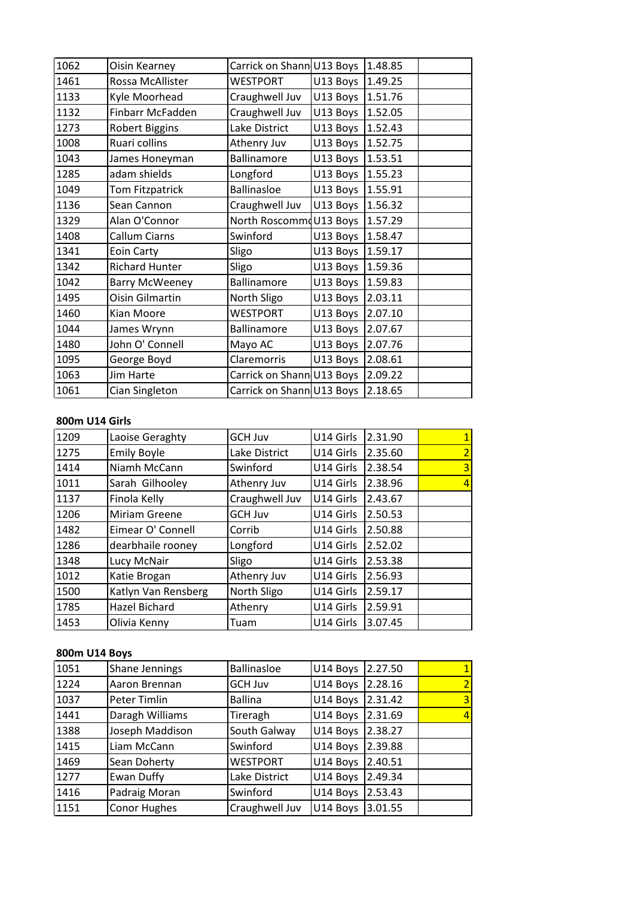| 1062           | Oisin Kearney          | Carrick on Shann U13 Boys |           | 1.48.85 |                |
|----------------|------------------------|---------------------------|-----------|---------|----------------|
| 1461           | Rossa McAllister       | <b>WESTPORT</b>           | U13 Boys  | 1.49.25 |                |
| 1133           | Kyle Moorhead          | Craughwell Juv            | U13 Boys  | 1.51.76 |                |
| 1132           | Finbarr McFadden       | Craughwell Juv            | U13 Boys  | 1.52.05 |                |
| 1273           | <b>Robert Biggins</b>  | Lake District             | U13 Boys  | 1.52.43 |                |
| 1008           | Ruari collins          | Athenry Juv               | U13 Boys  | 1.52.75 |                |
| 1043           | James Honeyman         | Ballinamore               | U13 Boys  | 1.53.51 |                |
| 1285           | adam shields           | Longford                  | U13 Boys  | 1.55.23 |                |
| 1049           | Tom Fitzpatrick        | <b>Ballinasloe</b>        | U13 Boys  | 1.55.91 |                |
| 1136           | Sean Cannon            | Craughwell Juv            | U13 Boys  | 1.56.32 |                |
| 1329           | Alan O'Connor          | North Roscommo            | U13 Boys  | 1.57.29 |                |
| 1408           | Callum Ciarns          | Swinford                  | U13 Boys  | 1.58.47 |                |
| 1341           | Eoin Carty             | Sligo                     | U13 Boys  | 1.59.17 |                |
| 1342           | <b>Richard Hunter</b>  | Sligo                     | U13 Boys  | 1.59.36 |                |
| 1042           | <b>Barry McWeeney</b>  | Ballinamore               | U13 Boys  | 1.59.83 |                |
| 1495           | <b>Oisin Gilmartin</b> | North Sligo               | U13 Boys  | 2.03.11 |                |
| 1460           | Kian Moore             | <b>WESTPORT</b>           | U13 Boys  | 2.07.10 |                |
| 1044           | James Wrynn            | Ballinamore               | U13 Boys  | 2.07.67 |                |
| 1480           | John O' Connell        | Mayo AC                   | U13 Boys  | 2.07.76 |                |
| 1095           | George Boyd            | Claremorris               | U13 Boys  | 2.08.61 |                |
| 1063           | <b>Jim Harte</b>       | Carrick on Shann U13 Boys |           | 2.09.22 |                |
| 1061           | Cian Singleton         | Carrick on Shann U13 Boys |           | 2.18.65 |                |
|                |                        |                           |           |         |                |
| 800m U14 Girls |                        |                           |           |         |                |
| 1209           | Laoise Geraghty        | <b>GCH Juv</b>            | U14 Girls | 2.31.90 | $\overline{1}$ |
| 1275           | <b>Fmily Boyle</b>     | Lake District             | U14 Girls | 2.35.60 | $\overline{2}$ |

### 800m U14 Girls

| 1063           | Jim Harte            | Carrick on Shann U13 Boys |           | 12.09.22 |                |
|----------------|----------------------|---------------------------|-----------|----------|----------------|
| 1061           | Cian Singleton       | Carrick on Shann U13 Boys |           | 2.18.65  |                |
|                |                      |                           |           |          |                |
| 800m U14 Girls |                      |                           |           |          |                |
| 1209           | Laoise Geraghty      | <b>GCH Juv</b>            | U14 Girls | 2.31.90  | 1              |
| 1275           | <b>Emily Boyle</b>   | Lake District             | U14 Girls | 2.35.60  |                |
| 1414           | Niamh McCann         | Swinford                  | U14 Girls | 2.38.54  | 3              |
| 1011           | Sarah Gilhooley      | Athenry Juv               | U14 Girls | 2.38.96  |                |
| 1137           | Finola Kelly         | Craughwell Juv            | U14 Girls | 2.43.67  |                |
| 1206           | <b>Miriam Greene</b> | <b>GCH Juv</b>            | U14 Girls | 2.50.53  |                |
| 1482           | Eimear O' Connell    | Corrib                    | U14 Girls | 2.50.88  |                |
| 1286           | dearbhaile rooney    | Longford                  | U14 Girls | 2.52.02  |                |
| 1348           | Lucy McNair          | Sligo                     | U14 Girls | 2.53.38  |                |
| 1012           | Katie Brogan         | Athenry Juv               | U14 Girls | 2.56.93  |                |
| 1500           | Katlyn Van Rensberg  | North Sligo               | U14 Girls | 2.59.17  |                |
| 1785           | Hazel Bichard        | Athenry                   | U14 Girls | 2.59.91  |                |
| 1453           | Olivia Kenny         | Tuam                      | U14 Girls | 3.07.45  |                |
|                |                      |                           |           |          |                |
|                | 800m U14 Boys        |                           |           |          |                |
| 1051           | Shane Jennings       | <b>Ballinasloe</b>        | U14 Boys  | 2.27.50  |                |
| 1224           | Aaron Brennan        | <b>GCH Juv</b>            | U14 Boys  | 2.28.16  | $\overline{2}$ |

#### 800m U14 Boys

| 1785          | Hazel Bichard         | Athenry            | U14 Girls | 12.59.91 |   |
|---------------|-----------------------|--------------------|-----------|----------|---|
| 1453          | Olivia Kenny          | Tuam               | U14 Girls | 3.07.45  |   |
|               |                       |                    |           |          |   |
| 800m U14 Boys |                       |                    |           |          |   |
| 1051          | <b>Shane Jennings</b> | <b>Ballinasloe</b> | U14 Boys  | 2.27.50  |   |
| 1224          | Aaron Brennan         | <b>GCH Juv</b>     | U14 Boys  | 2.28.16  |   |
| 1037          | Peter Timlin          | <b>Ballina</b>     | U14 Boys  | 2.31.42  | 3 |
| 1441          | Daragh Williams       | Tireragh           | U14 Boys  | 2.31.69  |   |
| 1388          | Joseph Maddison       | South Galway       | U14 Boys  | 2.38.27  |   |
| 1415          | Liam McCann           | Swinford           | U14 Boys  | 2.39.88  |   |
| 1469          | <b>Sean Doherty</b>   | <b>WESTPORT</b>    | U14 Boys  | 2.40.51  |   |
| 1277          | Ewan Duffy            | Lake District      | U14 Boys  | 2.49.34  |   |
| 1416          | Padraig Moran         | Swinford           | U14 Boys  | 2.53.43  |   |
| 1151          | <b>Conor Hughes</b>   | Craughwell Juv     | U14 Boys  | 3.01.55  |   |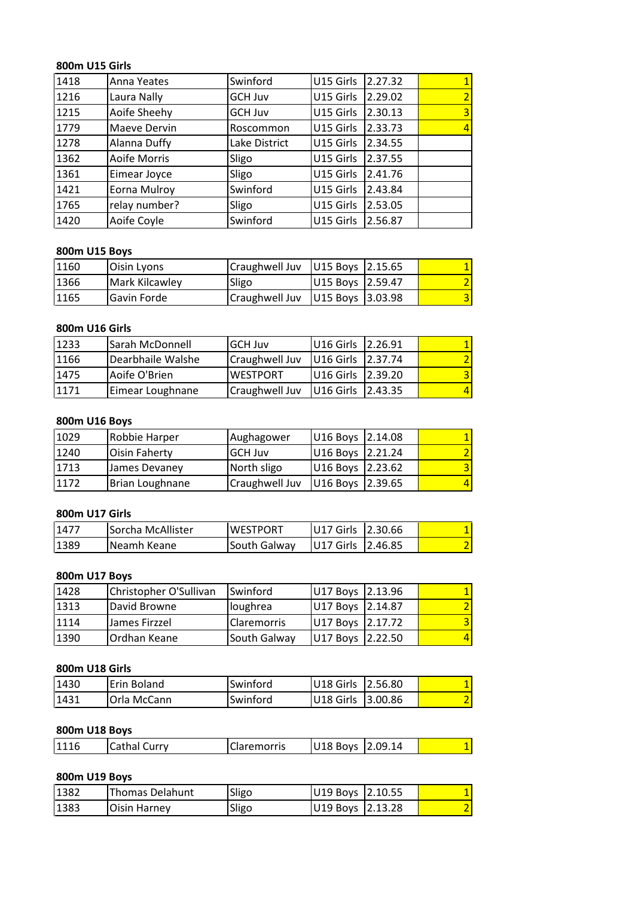## **U15 Girls** 800m U15 Girls

| 800m U15 Girls |                |                |           |         |                |
|----------------|----------------|----------------|-----------|---------|----------------|
| 1418           | Anna Yeates    | Swinford       | U15 Girls | 2.27.32 | $\mathbf{1}$   |
| 1216           | Laura Nally    | <b>GCH Juv</b> | U15 Girls | 2.29.02 | $\overline{2}$ |
| 1215           | Aoife Sheehy   | <b>GCH Juv</b> | U15 Girls | 2.30.13 | 3              |
| 1779           | Maeve Dervin   | Roscommon      | U15 Girls | 2.33.73 |                |
| 1278           | Alanna Duffy   | Lake District  | U15 Girls | 2.34.55 |                |
| 1362           | Aoife Morris   | Sligo          | U15 Girls | 2.37.55 |                |
| 1361           | Eimear Joyce   | Sligo          | U15 Girls | 2.41.76 |                |
| 1421           | Eorna Mulroy   | Swinford       | U15 Girls | 2.43.84 |                |
| 1765           | relay number?  | Sligo          | U15 Girls | 2.53.05 |                |
| 1420           | Aoife Coyle    | Swinford       | U15 Girls | 2.56.87 |                |
|                |                |                |           |         |                |
|                | 800m U15 Boys  |                |           |         |                |
| 1160           | Oisin Lyons    | Craughwell Juv | U15 Boys  | 2.15.65 |                |
| 1366           | Mark Kilcawlev | Sligo          | U15 Bovs  | 2.59.47 | $\overline{2}$ |

## 800m U15 Boys

| 1765           | relay number?     | Sligo          | IU15 Girls | 12.53.05 |  |
|----------------|-------------------|----------------|------------|----------|--|
| 1420           | Aoife Coyle       | Swinford       | U15 Girls  | 2.56.87  |  |
|                |                   |                |            |          |  |
| 800m U15 Boys  |                   |                |            |          |  |
| 1160           | Oisin Lyons       | Craughwell Juv | U15 Boys   | 2.15.65  |  |
| 1366           | Mark Kilcawley    | Sligo          | U15 Boys   | 2.59.47  |  |
| 1165           | Gavin Forde       | Craughwell Juv | U15 Boys   | 3.03.98  |  |
|                |                   |                |            |          |  |
| 800m U16 Girls |                   |                |            |          |  |
| 1233           | Sarah McDonnell   | <b>GCH Juv</b> | U16 Girls  | 2.26.91  |  |
| 1166           | Dearbhaile Walshe | Craughwell Juv | U16 Girls  | 2.37.74  |  |

### **800m**

| 1366           | Mark Kilcawley       | Sligo           | U15 Boys  | 12.59.47 |   |
|----------------|----------------------|-----------------|-----------|----------|---|
| 1165           | Gavin Forde          | Craughwell Juv  | U15 Boys  | 3.03.98  | 3 |
|                |                      |                 |           |          |   |
| 800m U16 Girls |                      |                 |           |          |   |
| 1233           | Sarah McDonnell      | <b>GCH Juv</b>  | U16 Girls | 2.26.91  |   |
| 1166           | Dearbhaile Walshe    | Craughwell Juv  | U16 Girls | 2.37.74  |   |
| 1475           | Aoife O'Brien        | <b>WESTPORT</b> | U16 Girls | 2.39.20  | 3 |
| 1171           | Eimear Loughnane     | Craughwell Juv  | U16 Girls | 2.43.35  |   |
|                |                      |                 |           |          |   |
|                | 800m U16 Boys        |                 |           |          |   |
| 1029           | Robbie Harper        | Aughagower      | U16 Boys  | 2.14.08  |   |
| 1240           | <b>Oisin Faherty</b> | <b>GCH Juv</b>  | U16 Boys  | 2.21.24  |   |

#### **800m**

| 1475           | Aoife O'Brien        | <b>WESTPORT</b> | U <sub>16</sub> Girls | 2.39.20 | ٩ |
|----------------|----------------------|-----------------|-----------------------|---------|---|
| 1171           | Eimear Loughnane     | Craughwell Juv  | U16 Girls             | 2.43.35 |   |
|                |                      |                 |                       |         |   |
| 800m U16 Boys  |                      |                 |                       |         |   |
| 1029           | Robbie Harper        | Aughagower      | U16 Boys              | 2.14.08 |   |
| 1240           | <b>Oisin Faherty</b> | <b>GCH Juv</b>  | U16 Boys              | 2.21.24 |   |
| 1713           | James Devaney        | North sligo     | U16 Boys              | 2.23.62 |   |
| 1172           | Brian Loughnane      | Craughwell Juv  | U16 Boys              | 2.39.65 |   |
|                |                      |                 |                       |         |   |
| 800m U17 Girls |                      |                 |                       |         |   |
| 1477           | Sorcha McAllister    | <b>WESTPORT</b> | U17 Girls             | 2.30.66 |   |
| 1389           | Neamh Keane          | South Galway    | U17 Girls             | 2.46.85 |   |

### 800m U17 Girls

| 1172           | Brian Loughnane        | Craughwell Juv  | U16 Boys 2.39.65 |         | 4 |
|----------------|------------------------|-----------------|------------------|---------|---|
| 800m U17 Girls |                        |                 |                  |         |   |
| 1477           | Sorcha McAllister      | <b>WESTPORT</b> | U17 Girls        | 2.30.66 |   |
| 1389           | Neamh Keane            | South Galway    | U17 Girls        | 2.46.85 |   |
| 800m U17 Boys  |                        |                 |                  |         |   |
| 1428           | Christopher O'Sullivan | Swinford        | U17 Boys         | 2.13.96 |   |
| 1313           | David Browne           | lloughrea       | U17 Boys         | 2.14.87 |   |

#### **800m**

| 1477 | Sorcha McAllister      | <b>WESTPORT</b> | U17 Girls | 2.30.66 |   |
|------|------------------------|-----------------|-----------|---------|---|
| 1389 | Neamh Keane            | South Galway    | U17 Girls | 2.46.85 |   |
|      |                        |                 |           |         |   |
|      | 800m U17 Boys          |                 |           |         |   |
| 1428 | Christopher O'Sullivan | Swinford        | U17 Boys  | 2.13.96 |   |
| 1313 | David Browne           | loughrea        | U17 Boys  | 2.14.87 |   |
| 1114 | James Firzzel          | Claremorris     | U17 Boys  | 2.17.72 | 3 |
| 1390 | Ordhan Keane           | South Galway    | U17 Boys  | 2.22.50 |   |
|      |                        |                 |           |         |   |
|      | 800m U18 Girls         |                 |           |         |   |
| 1430 | Erin Boland            | Swinford        | U18 Girls | 2.56.80 |   |
| 1431 | lOrla McCann           | Swinford        | U18 Girls | 3.00.86 |   |

| 1390 | <b>Ordhan Keane</b> | South Galway | U17 Boys 2.22.50 |         | 4 |
|------|---------------------|--------------|------------------|---------|---|
|      |                     |              |                  |         |   |
|      | 800m U18 Girls      |              |                  |         |   |
| 1430 | Erin Boland         | Swinford     | U18 Girls        | 2.56.80 |   |
| 1431 | Orla McCann         | Swinford     | U18 Girls        | 3.00.86 |   |
|      |                     |              |                  |         |   |
|      | 800m U18 Boys       |              |                  |         |   |
| 1116 | <b>Cathal Curry</b> | Claremorris  | U18 Boys         | 2.09.14 |   |
|      |                     |              |                  |         |   |
|      | 800m U19 Boys       |              |                  |         |   |

| 11431         | <b>IOrla McCann</b> | <b>Swinford</b>    | U18 Girls 13.00.86 |  |
|---------------|---------------------|--------------------|--------------------|--|
|               | 800m U18 Boys       |                    |                    |  |
| 1116          | <b>Cathal Curry</b> | <b>Claremorris</b> | U18 Boys 2.09.14   |  |
| 800m U19 Boys |                     |                    |                    |  |
| 1382          | IThomas Delahunt    | Sligo              | U19 Boys 12.10.55  |  |

| 800m U18 Boys |                        |                    |                  |         |                |
|---------------|------------------------|--------------------|------------------|---------|----------------|
| 1116          | <b>Cathal Curry</b>    | <b>Claremorris</b> | U18 Boys 2.09.14 |         |                |
| 800m U19 Boys |                        |                    |                  |         |                |
| 1382          | <b>Thomas Delahunt</b> | Sligo              | U19 Boys         | 2.10.55 |                |
| 1383          | <b>Oisin Harney</b>    | Sligo              | U19 Boys         | 2.13.28 | $\overline{2}$ |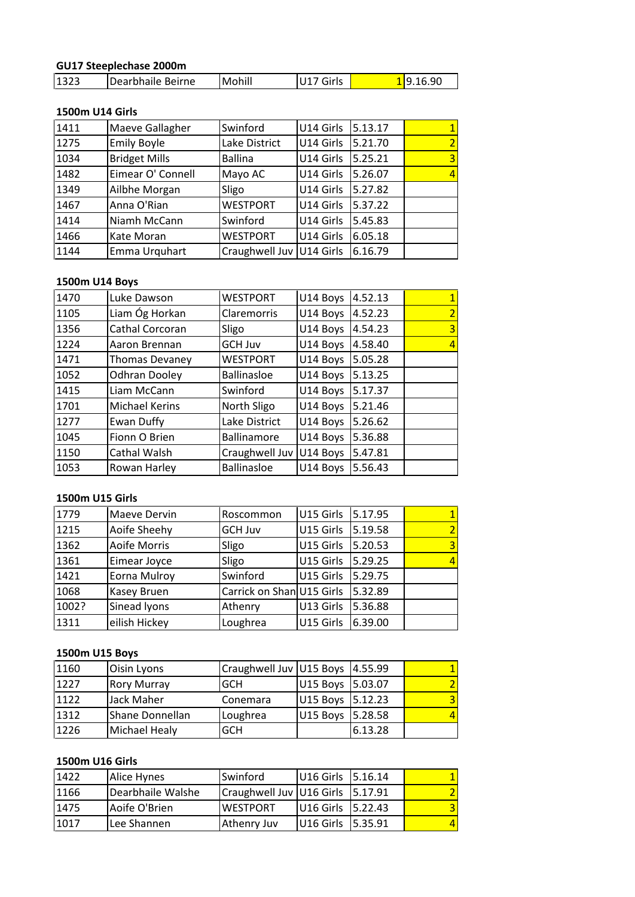## **Steeplechase 2000m** <u>GU17</u>

|      | GU17 Steeplechase 2000m |          |           |          |          |
|------|-------------------------|----------|-----------|----------|----------|
| 1323 | Dearbhaile Beirne       | Mohill   | U17 Girls |          | 19.16.90 |
|      |                         |          |           |          |          |
|      | 1500m U14 Girls         |          |           |          |          |
| 1411 | Maeve Gallagher         | Swinford | U14 Girls | 15.13.17 |          |

## 1500m U14 Girls

| 1323 | Dearbhaile Beirne      | Mohill                     | U17 Girls |         | 19.16.90                 |
|------|------------------------|----------------------------|-----------|---------|--------------------------|
|      |                        |                            |           |         |                          |
|      | <b>1500m U14 Girls</b> |                            |           |         |                          |
| 1411 | Maeve Gallagher        | Swinford                   | U14 Girls | 5.13.17 |                          |
| 1275 | <b>Emily Boyle</b>     | Lake District              | U14 Girls | 5.21.70 | 2                        |
| 1034 | <b>Bridget Mills</b>   | <b>Ballina</b>             | U14 Girls | 5.25.21 | 3                        |
| 1482 | Eimear O' Connell      | Mayo AC                    | U14 Girls | 5.26.07 | 4                        |
| 1349 | Ailbhe Morgan          | Sligo                      | U14 Girls | 5.27.82 |                          |
| 1467 | Anna O'Rian            | <b>WESTPORT</b>            | U14 Girls | 5.37.22 |                          |
| 1414 | Niamh McCann           | Swinford                   | U14 Girls | 5.45.83 |                          |
| 1466 | Kate Moran             | <b>WESTPORT</b>            | U14 Girls | 6.05.18 |                          |
| 1144 | Emma Urquhart          | Craughwell Juv   U14 Girls |           | 6.16.79 |                          |
|      |                        |                            |           |         |                          |
|      | 1500m U14 Boys         |                            |           |         |                          |
| 1470 | Luke Dawson            | <b>WESTPORT</b>            | U14 Boys  | 4.52.13 |                          |
| 1105 | Liam Óg Horkan         | Claremorris                | U14 Boys  | 4.52.23 | $\overline{\phantom{a}}$ |

#### 1500m U14 Boys

| 1466 | Kate Moran            | WESTPORT                 | U14 Girls        | 6.05.18 |                |
|------|-----------------------|--------------------------|------------------|---------|----------------|
| 1144 | Emma Urquhart         | Craughwell Juv U14 Girls |                  | 6.16.79 |                |
|      |                       |                          |                  |         |                |
|      | 1500m U14 Boys        |                          |                  |         |                |
| 1470 | Luke Dawson           | <b>WESTPORT</b>          | U14 Boys         | 4.52.13 |                |
| 1105 | Liam Óg Horkan        | Claremorris              | U14 Boys         | 4.52.23 |                |
| 1356 | Cathal Corcoran       | Sligo                    | U14 Boys         | 4.54.23 | 3              |
| 1224 | Aaron Brennan         | <b>GCH Juv</b>           | U14 Boys         | 4.58.40 |                |
| 1471 | <b>Thomas Devaney</b> | <b>WESTPORT</b>          | U14 Boys         | 5.05.28 |                |
| 1052 | <b>Odhran Dooley</b>  | <b>Ballinasloe</b>       | U14 Boys 5.13.25 |         |                |
| 1415 | Liam McCann           | Swinford                 | U14 Boys 5.17.37 |         |                |
| 1701 | <b>Michael Kerins</b> | North Sligo              | U14 Boys         | 5.21.46 |                |
| 1277 | Ewan Duffy            | Lake District            | U14 Boys         | 5.26.62 |                |
| 1045 | Fionn O Brien         | Ballinamore              | U14 Boys         | 5.36.88 |                |
| 1150 | Cathal Walsh          | Craughwell Juv           | U14 Boys         | 5.47.81 |                |
| 1053 | Rowan Harley          | <b>Ballinasloe</b>       | U14 Boys         | 5.56.43 |                |
|      |                       |                          |                  |         |                |
|      | 1500m U15 Girls       |                          |                  |         |                |
| 1779 | Maeve Dervin          | Roscommon                | U15 Girls        | 5.17.95 |                |
| 1215 | Aoife Sheehv          | <b>GCH Juv</b>           | U15 Girls        | 5.19.58 | $\overline{2}$ |

### 1500m U15 Girls

| 1150            | Cathal Walsh       | Craughwell Juv   U14 Boys |                  | 15.47.81 |   |
|-----------------|--------------------|---------------------------|------------------|----------|---|
| 1053            | Rowan Harley       | <b>Ballinasloe</b>        | U14 Boys 5.56.43 |          |   |
|                 |                    |                           |                  |          |   |
| 1500m U15 Girls |                    |                           |                  |          |   |
| 1779            | Maeve Dervin       | Roscommon                 | U15 Girls        | 5.17.95  |   |
| 1215            | Aoife Sheehy       | <b>GCH Juv</b>            | U15 Girls        | 5.19.58  |   |
| 1362            | Aoife Morris       | Sligo                     | U15 Girls        | 5.20.53  | 3 |
| 1361            | Eimear Joyce       | Sligo                     | U15 Girls        | 5.29.25  |   |
| 1421            | Eorna Mulroy       | Swinford                  | U15 Girls        | 5.29.75  |   |
| 1068            | Kasey Bruen        | Carrick on Shan U15 Girls |                  | 5.32.89  |   |
| 1002?           | Sinead lyons       | Athenry                   | U13 Girls        | 5.36.88  |   |
| 1311            | eilish Hickey      | Loughrea                  | U15 Girls        | 6.39.00  |   |
|                 |                    |                           |                  |          |   |
| 1500m U15 Boys  |                    |                           |                  |          |   |
| 1160            | Oisin Lyons        | Craughwell Juv U15 Boys   |                  | 4.55.99  |   |
| 1227            | <b>Rory Murray</b> | <b>GCH</b>                | U15 Boys         | 15.03.07 |   |

| 1002? | Sinead lyons       | Athenry                  | U13 Girls | 15.36.88 |  |
|-------|--------------------|--------------------------|-----------|----------|--|
| 1311  | eilish Hickey      | Loughrea                 | U15 Girls | 6.39.00  |  |
|       |                    |                          |           |          |  |
|       | 1500m U15 Boys     |                          |           |          |  |
| 1160  | Oisin Lyons        | Craughwell Juv           | U15 Boys  | 4.55.99  |  |
| 1227  | <b>Rory Murray</b> | <b>GCH</b>               | U15 Boys  | 5.03.07  |  |
| 1122  | Jack Maher         | Conemara                 | U15 Boys  | 5.12.23  |  |
| 1312  | Shane Donnellan    | Loughrea                 | U15 Boys  | 5.28.58  |  |
| 1226  | Michael Healy      | <b>GCH</b>               |           | 6.13.28  |  |
|       |                    |                          |           |          |  |
|       | 1500m U16 Girls    |                          |           |          |  |
| 1422  | Alice Hynes        | Swinford                 | U16 Girls | 5.16.14  |  |
| 1166  | Dearbhaile Walshe  | Craughwell Juv U16 Girls |           | 5.17.91  |  |

| 1312            | Shane Donnellan   | Loughrea                 | U15 Boys 15.28.58     |          |  |
|-----------------|-------------------|--------------------------|-----------------------|----------|--|
| 1226            | Michael Healy     | <b>GCH</b>               |                       | 6.13.28  |  |
| 1500m U16 Girls |                   |                          |                       |          |  |
| 1422            | Alice Hynes       | Swinford                 | U16 Girls 5.16.14     |          |  |
| 1166            | Dearbhaile Walshe | Craughwell Juv U16 Girls |                       | 5.17.91  |  |
| 1475            | Aoife O'Brien     | <b>WESTPORT</b>          | U <sub>16</sub> Girls | 15.22.43 |  |
| 1017            | Lee Shannen       | <b>Athenry Juv</b>       | U <sub>16</sub> Girls | 5.35.91  |  |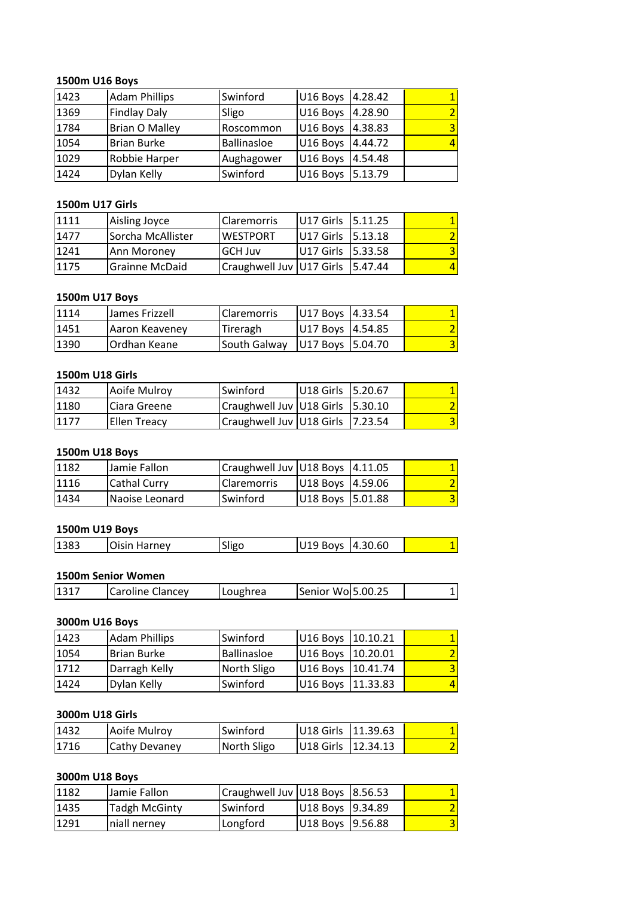## **U16 Boys** 1500m U16 Boys

|      | 1500m U16 Boys        |                    |           |         |   |
|------|-----------------------|--------------------|-----------|---------|---|
| 1423 | <b>Adam Phillips</b>  | Swinford           | U16 Boys  | 4.28.42 |   |
| 1369 | <b>Findlay Daly</b>   | Sligo              | U16 Boys  | 4.28.90 |   |
| 1784 | <b>Brian O Malley</b> | Roscommon          | U16 Boys  | 4.38.83 | 3 |
| 1054 | <b>Brian Burke</b>    | <b>Ballinasloe</b> | U16 Boys  | 4.44.72 |   |
| 1029 | Robbie Harper         | Aughagower         | U16 Boys  | 4.54.48 |   |
| 1424 | Dylan Kelly           | Swinford           | U16 Boys  | 5.13.79 |   |
|      |                       |                    |           |         |   |
|      | 1500m U17 Girls       |                    |           |         |   |
| 1111 | Aisling Joyce         | Claremorris        | U17 Girls | 5.11.25 |   |
| 1477 | Sorcha McAllister     | <b>WESTPORT</b>    | U17 Girls | 5.13.18 |   |

#### **1500m**

| 1029 | Robbie Harper          | Aughagower               | U16 Boys  | 4.54.48 |   |
|------|------------------------|--------------------------|-----------|---------|---|
| 1424 | Dylan Kelly            | Swinford                 | U16 Boys  | 5.13.79 |   |
|      |                        |                          |           |         |   |
|      | <b>1500m U17 Girls</b> |                          |           |         |   |
| 1111 | Aisling Joyce          | Claremorris              | U17 Girls | 5.11.25 |   |
| 1477 | Sorcha McAllister      | <b>WESTPORT</b>          | U17 Girls | 5.13.18 |   |
| 1241 | Ann Moroney            | <b>GCH Juv</b>           | U17 Girls | 5.33.58 | 3 |
| 1175 | <b>Grainne McDaid</b>  | Craughwell Juv U17 Girls |           | 5.47.44 |   |
|      |                        |                          |           |         |   |
|      | 1500m U17 Boys         |                          |           |         |   |
| 1114 | James Frizzell         | Claremorris              | U17 Boys  | 4.33.54 |   |
| 1451 | Aaron Keavenev         | Tireragh                 | U17 Boys  | 4.54.85 |   |

#### 1500m U17 Boys

| 11241 | Ann Moroney     | <b>GCH Juv</b>            | IU17 Girls 15.33.58 |         |  |
|-------|-----------------|---------------------------|---------------------|---------|--|
| 1175  | Grainne McDaid  | Craughwell Juv U17 Girls  |                     | 5.47.44 |  |
|       |                 |                           |                     |         |  |
|       | 1500m U17 Boys  |                           |                     |         |  |
| 1114  | James Frizzell  | <b>Claremorris</b>        | U17 Boys            | 4.33.54 |  |
| 1451  | Aaron Keaveney  | Tireragh                  | U17 Boys            | 4.54.85 |  |
| 1390  | Ordhan Keane    | South Galway              | U17 Boys            | 5.04.70 |  |
|       |                 |                           |                     |         |  |
|       | 1500m U18 Girls |                           |                     |         |  |
| 1432  | Aoife Mulroy    | Swinford                  | U18 Girls           | 5.20.67 |  |
| 1180  | Ciara Greene    | Craughwell Juv IU18 Girls |                     | 5.30.10 |  |

#### 1500m U18 Girls

| 1451 | Aaron Keaveney      | Tireragh                 | U17 Boys  | 4.54.85  |  |
|------|---------------------|--------------------------|-----------|----------|--|
| 1390 | Ordhan Keane        | South Galway             | U17 Boys  | 5.04.70  |  |
|      |                     |                          |           |          |  |
|      | 1500m U18 Girls     |                          |           |          |  |
| 1432 | Aoife Mulroy        | Swinford                 | U18 Girls | 5.20.67  |  |
| 1180 | Ciara Greene        | Craughwell Juv U18 Girls |           | 15.30.10 |  |
| 1177 | <b>Ellen Treacy</b> | Craughwell Juv U18 Girls |           | 7.23.54  |  |
|      |                     |                          |           |          |  |
|      | 1500m U18 Boys      |                          |           |          |  |
| 1182 | Jamie Fallon        | Craughwell Juv U18 Boys  |           | 4.11.05  |  |
| 1116 | <b>Cathal Curry</b> | <b>Claremorris</b>       | U18 Boys  | 14.59.06 |  |

#### 1500m U18 Boys

| 1180 | Ciara Greene        | Craughwell Juv   U18 Girls |          | $ 5.30.10\rangle$ |   |
|------|---------------------|----------------------------|----------|-------------------|---|
| 1177 | <b>Ellen Treacy</b> | Craughwell Juv U18 Girls   |          | 17.23.54          | 3 |
|      |                     |                            |          |                   |   |
|      | 1500m U18 Boys      |                            |          |                   |   |
| 1182 | Jamie Fallon        | Craughwell Juv   U18 Boys  |          | 14.11.05          |   |
| 1116 | Cathal Curry        | Claremorris                | U18 Boys | 4.59.06           |   |
| 1434 | Naoise Leonard      | Swinford                   | U18 Boys | 5.01.88           | 3 |
|      |                     |                            |          |                   |   |
|      | 1500m U19 Boys      |                            |          |                   |   |
| 1383 | Oisin Harney        | Sligo                      | U19 Boys | 4.30.60           |   |
|      |                     |                            |          |                   |   |
|      | 1500m Senior Women  |                            |          |                   |   |

#### 1500m U19 Boys

| 1434 | <b>Naoise Leonard</b>     | <b>Swinford</b> | U18 Boys 15.01.88 |  |
|------|---------------------------|-----------------|-------------------|--|
|      |                           |                 |                   |  |
|      | 1500m U19 Boys            |                 |                   |  |
| 1383 | <b>Oisin Harney</b>       | Sligo           | U19 Boys 4.30.60  |  |
|      |                           |                 |                   |  |
|      | <b>1500m Senior Women</b> |                 |                   |  |
| 1317 | <b>ICaroline Clancev</b>  | <b>Loughrea</b> | Senior Wol5.00.25 |  |

## <u>1500</u>

|      | 1500m U19 Boys       |                 |                      |
|------|----------------------|-----------------|----------------------|
| 1383 | <b>Oisin Harney</b>  | Sligo           | U19 Boys<br>4.30.60  |
|      |                      |                 |                      |
|      | 1500m Senior Women   |                 |                      |
| 1317 | Caroline Clancey     | Loughrea        | Senior Wo 5.00.25    |
|      |                      |                 |                      |
|      | 3000m U16 Boys       |                 |                      |
| 1423 | <b>Adam Phillips</b> | <b>Swinford</b> | U16 Boys<br>10.10.21 |

## **3000m**

| 1317 | Caroline Clancey     | Loughrea           | Senior Wol5.00.25 |          |   |
|------|----------------------|--------------------|-------------------|----------|---|
|      |                      |                    |                   |          |   |
|      | 3000m U16 Boys       |                    |                   |          |   |
| 1423 | <b>Adam Phillips</b> | Swinford           | U16 Boys          | 10.10.21 |   |
| 1054 | <b>Brian Burke</b>   | <b>Ballinasloe</b> | U16 Boys          | 10.20.01 |   |
| 1712 | Darragh Kelly        | North Sligo        | U16 Boys          | 10.41.74 | 3 |
| 1424 | Dylan Kelly          | Swinford           | U16 Boys          | 11.33.83 |   |
|      |                      |                    |                   |          |   |
|      | 3000m U18 Girls      |                    |                   |          |   |
| 1432 | Aoife Mulroy         | Swinford           | U18 Girls         | 11.39.63 |   |
| 1716 | Cathy Devaney        | North Sligo        | U18 Girls         | 12.34.13 |   |

### 3000m U18 Girls

| 1424 | Dylan Kelly          | Swinford                  | U16 Boys   11.33.83 |          |  |
|------|----------------------|---------------------------|---------------------|----------|--|
|      |                      |                           |                     |          |  |
|      | 3000m U18 Girls      |                           |                     |          |  |
| 1432 | Aoife Mulroy         | Swinford                  | U18 Girls           | 11.39.63 |  |
| 1716 | <b>Cathy Devaney</b> | North Sligo               | U18 Girls           | 12.34.13 |  |
|      |                      |                           |                     |          |  |
|      | 3000m U18 Boys       |                           |                     |          |  |
| 1182 | Jamie Fallon         | Craughwell Juv   U18 Boys |                     | 8.56.53  |  |
| 1435 | <b>Tadgh McGinty</b> | Swinford                  | U18 Boys            | 9.34.89  |  |

| 1432           | Aoife Mulroy         | Swinford                        | U18 Girls 11.39.63 |          |  |
|----------------|----------------------|---------------------------------|--------------------|----------|--|
| 1716           | <b>Cathy Devaney</b> | North Sligo                     | U18 Girls          | 12.34.13 |  |
|                |                      |                                 |                    |          |  |
| 3000m U18 Boys |                      |                                 |                    |          |  |
| 1182           | Jamie Fallon         | Craughwell Juv U18 Boys 8.56.53 |                    |          |  |
| 1435           | <b>Tadgh McGinty</b> | Swinford                        | U18 Boys           | 9.34.89  |  |
| 1291           | niall nerney         | Longford                        | U18 Boys           | 9.56.88  |  |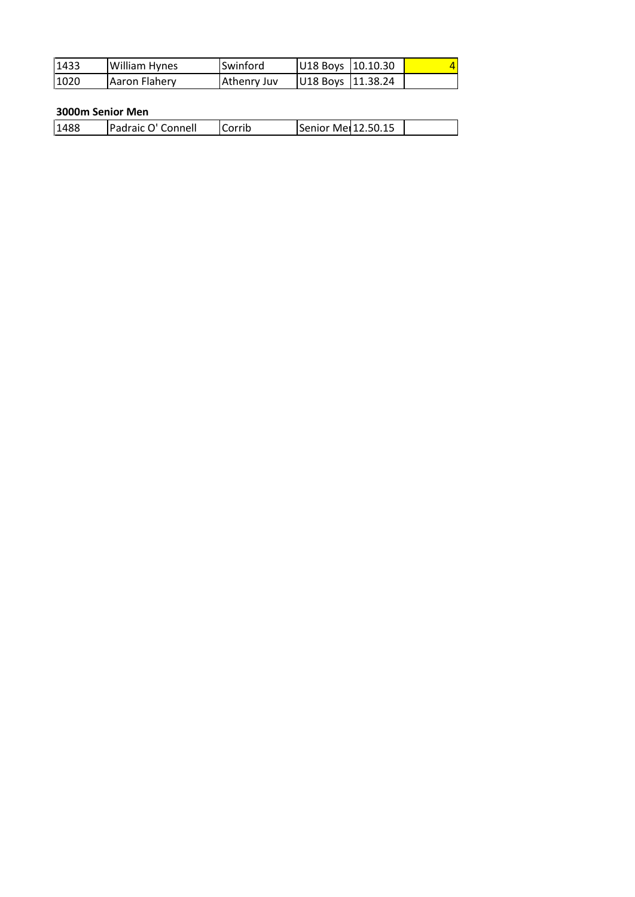| 1433 | William Hynes      | Swinford    | U18 Boys           | 10.10.30 |  |
|------|--------------------|-------------|--------------------|----------|--|
| 1020 | Aaron Flahery      | Athenry Juv | U18 Boys           | 11.38.24 |  |
|      |                    |             |                    |          |  |
|      | 3000m Senior Men   |             |                    |          |  |
| 1488 | Padraic O' Connell | Corrib      | Senior Mer12.50.15 |          |  |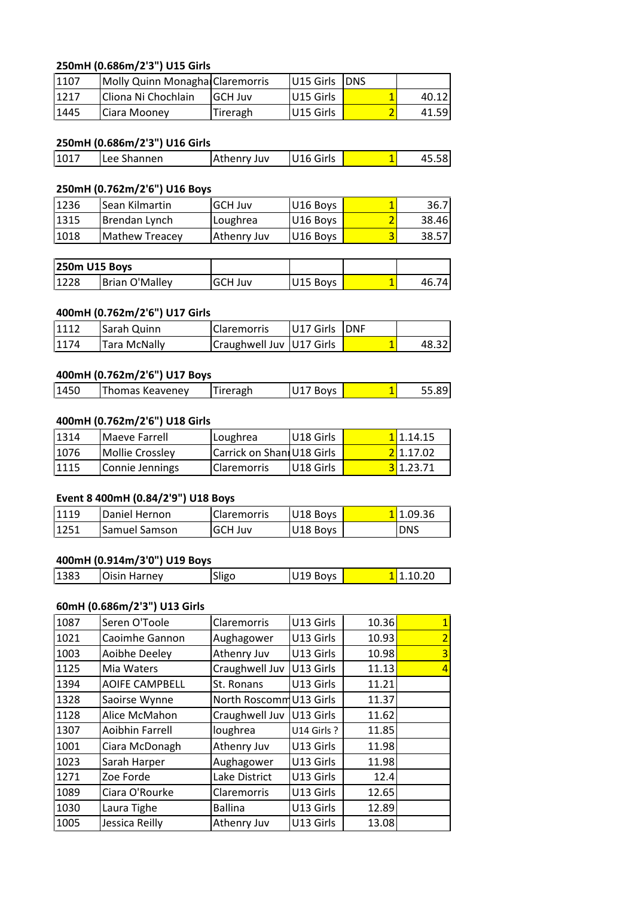## **(0.686m/2'3") U15 Girls** <u>250n</u>

|      | 250mH (0.686m/2'3") U15 Girls   |                |           |            |       |
|------|---------------------------------|----------------|-----------|------------|-------|
| 1107 | Molly Quinn Monagha Claremorris |                | U15 Girls | <b>DNS</b> |       |
| 1217 | Cliona Ni Chochlain             | <b>GCH Juv</b> | U15 Girls | 1          | 40.12 |
| 1445 | Ciara Mooney                    | Tireragh       | U15 Girls | 2          | 41.59 |
|      |                                 |                |           |            |       |
|      | 250mH (0.686m/2'3") U16 Girls   |                |           |            |       |
| 1017 | Lee Shannen                     | Athenry Juv    | U16 Girls | 1          | 45.58 |
|      |                                 |                |           |            |       |
|      | 250mH (0.762m/2'6") U16 Boys    |                |           |            |       |

#### 250mH (0.686m/2'3") U16 Girls

| 11445 | Ciara Mooney                  | <b>Tireragh</b> | IU15 Girls            | 41.59 |
|-------|-------------------------------|-----------------|-----------------------|-------|
|       |                               |                 |                       |       |
|       | 250mH (0.686m/2'3") U16 Girls |                 |                       |       |
| 1017  | Lee Shannen                   | Athenry Juv     | U <sub>16</sub> Girls | 45.58 |
|       |                               |                 |                       |       |
|       | 250mH (0.762m/2'6") U16 Boys  |                 |                       |       |
| 1236  | lSean Kilmartin               | lGCH Juv        | U16 Bovs              | 36.7  |

#### <u>250n</u>

| 1017 | Lee Shannen                  | Athenry Juv    | U16 Girls |   | 45.58 |
|------|------------------------------|----------------|-----------|---|-------|
|      |                              |                |           |   |       |
|      | 250mH (0.762m/2'6") U16 Boys |                |           |   |       |
| 1236 | Sean Kilmartin               | <b>GCH Juv</b> | U16 Boys  |   | 36.7  |
| 1315 | Brendan Lynch                | Loughrea       | U16 Boys  |   | 38.46 |
| 1018 | <b>Mathew Treacey</b>        | Athenry Juv    | U16 Boys  | 3 | 38.57 |
|      |                              |                |           |   |       |
|      | 250m U15 Boys                |                |           |   |       |
| 1228 | <b>Brian O'Mallev</b>        | <b>GCH Juv</b> | U15 Boys  |   | 46.74 |

| 1315 | Brendan Lynch                 | Loughrea                  | U16 Boys  |            | 38.46 |
|------|-------------------------------|---------------------------|-----------|------------|-------|
| 1018 | <b>Mathew Treacey</b>         | Athenry Juv               | U16 Boys  |            | 38.57 |
|      |                               |                           |           |            |       |
|      | 250m U15 Boys                 |                           |           |            |       |
| 1228 | <b>Brian O'Malley</b>         | <b>GCH Juv</b>            | U15 Boys  |            | 46.74 |
|      | 400mH (0.762m/2'6") U17 Girls |                           |           |            |       |
| 1112 | Sarah Quinn                   | <b>Claremorris</b>        | U17 Girls | <b>DNF</b> |       |
| 1174 | <b>Tara McNally</b>           | Craughwell Juv 1017 Girls |           |            | 48.32 |

#### **(0.762m/2'6") U17 Boys**

| 1112 | Sarah Quinn                  | Claremorris                | U17 Girls | <b>DNF</b> |       |
|------|------------------------------|----------------------------|-----------|------------|-------|
| 1174 | <b>Tara McNally</b>          | Craughwell Juv   U17 Girls |           |            | 48.32 |
|      |                              |                            |           |            |       |
|      | 400mH (0.762m/2'6") U17 Boys |                            |           |            |       |

#### <u>400n</u>

| 1174 | Tara McNally                  |          | Craughwell Juv   U17 Girls | 48.321   |
|------|-------------------------------|----------|----------------------------|----------|
|      |                               |          |                            |          |
|      | 400mH (0.762m/2'6") U17 Boys  |          |                            |          |
| 1450 | <b>Thomas Keaveney</b>        | Tireragh | U17 Boys                   | 55.89    |
|      |                               |          |                            |          |
|      | 400mH (0.762m/2'6") U18 Girls |          |                            |          |
| 1314 | Maeve Farrell                 | Loughrea | U18 Girls                  | I1.14.15 |

#### <u>400n</u>

| Maeve Farrell   |             | U18 Girls                                 |                           | 11.14.15 |
|-----------------|-------------|-------------------------------------------|---------------------------|----------|
| Mollie Crossley |             |                                           |                           | 21.17.02 |
| Connie Jennings | Claremorris | U18 Girls                                 |                           | 31.23.71 |
|                 |             | 400mH (0.762m/2'6") U18 Girls<br>Loughrea | Carrick on Shan U18 Girls |          |

#### **(0.914m/3'0") U19 Boys**

| 1119 | Daniel Hernon                | <b>Claremorris</b> | U18 Boys | 11.09.36   |
|------|------------------------------|--------------------|----------|------------|
| 1251 | Samuel Samson                | <b>GCH Juv</b>     | U18 Boys | <b>DNS</b> |
|      |                              |                    |          |            |
|      | 400mH (0.914m/3'0") U19 Boys |                    |          |            |

#### <u>400n</u>

| 11251                        | lSamuel Samson               | lGCH Juv      | U18 Boys  | <b>DNS</b> |  |  |  |  |
|------------------------------|------------------------------|---------------|-----------|------------|--|--|--|--|
|                              |                              |               |           |            |  |  |  |  |
| 400mH (0.914m/3'0") U19 Boys |                              |               |           |            |  |  |  |  |
| 1383                         | <b>Oisin Harney</b>          | Sligo         | U19 Boys  | 11.10.20   |  |  |  |  |
|                              |                              |               |           |            |  |  |  |  |
|                              | 60mH (0.686m/2'3") U13 Girls |               |           |            |  |  |  |  |
| 1087                         | lSeren O'Toole               | l Claremorris | U13 Girls | 10.36      |  |  |  |  |

### 60mH (0.686m/2'3") U13 Girls

|      | 400mH (0.914m/3'0") U19 Boys |                         |            |       |                |
|------|------------------------------|-------------------------|------------|-------|----------------|
| 1383 | Oisin Harney                 | Sligo                   | U19 Boys   |       | 11.10.20       |
|      | 60mH (0.686m/2'3") U13 Girls |                         |            |       |                |
| 1087 | Seren O'Toole                | Claremorris             | U13 Girls  | 10.36 | 1              |
| 1021 | Caoimhe Gannon               | Aughagower              | U13 Girls  | 10.93 | $\overline{2}$ |
| 1003 | Aoibhe Deeley                | Athenry Juv             | U13 Girls  | 10.98 | 3              |
| 1125 | Mia Waters                   | Craughwell Juv          | U13 Girls  | 11.13 | 4              |
| 1394 | <b>AOIFE CAMPBELL</b>        | St. Ronans              | U13 Girls  | 11.21 |                |
| 1328 | Saoirse Wynne                | North Roscomm U13 Girls |            | 11.37 |                |
| 1128 | Alice McMahon                | Craughwell Juv          | U13 Girls  | 11.62 |                |
| 1307 | Aoibhin Farrell              | loughrea                | U14 Girls? | 11.85 |                |
| 1001 | Ciara McDonagh               | Athenry Juv             | U13 Girls  | 11.98 |                |
| 1023 | Sarah Harper                 | Aughagower              | U13 Girls  | 11.98 |                |
| 1271 | Zoe Forde                    | Lake District           | U13 Girls  | 12.4  |                |
| 1089 | Ciara O'Rourke               | Claremorris             | U13 Girls  | 12.65 |                |
| 1030 | Laura Tighe                  | <b>Ballina</b>          | U13 Girls  | 12.89 |                |
| 1005 | Jessica Reilly               | Athenry Juv             | U13 Girls  | 13.08 |                |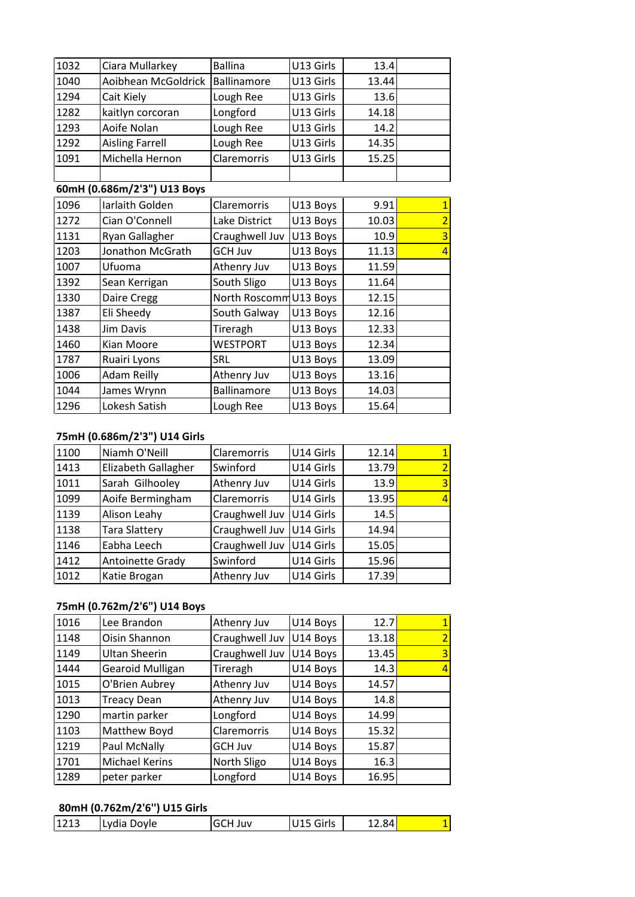| 1032 | Ciara Mullarkey              | <b>Ballina</b>         | U13 Girls | 13.4  |                |
|------|------------------------------|------------------------|-----------|-------|----------------|
| 1040 | Aoibhean McGoldrick          | Ballinamore            | U13 Girls | 13.44 |                |
| 1294 | Cait Kiely                   | Lough Ree              | U13 Girls | 13.6  |                |
| 1282 | kaitlyn corcoran             | Longford               | U13 Girls | 14.18 |                |
| 1293 | Aoife Nolan                  | Lough Ree              | U13 Girls | 14.2  |                |
| 1292 | <b>Aisling Farrell</b>       | Lough Ree              | U13 Girls | 14.35 |                |
| 1091 | Michella Hernon              | <b>Claremorris</b>     | U13 Girls | 15.25 |                |
|      |                              |                        |           |       |                |
|      | 60mH (0.686m/2'3") U13 Boys  |                        |           |       |                |
| 1096 | Iarlaith Golden              | <b>Claremorris</b>     | U13 Boys  | 9.91  | $\mathbf{1}$   |
| 1272 | Cian O'Connell               | Lake District          | U13 Boys  | 10.03 | $\overline{2}$ |
| 1131 | Ryan Gallagher               | Craughwell Juv         | U13 Boys  | 10.9  | $\overline{3}$ |
| 1203 | Jonathon McGrath             | GCH Juv                | U13 Boys  | 11.13 | 4              |
| 1007 | Ufuoma                       | Athenry Juv            | U13 Boys  | 11.59 |                |
| 1392 | Sean Kerrigan                | South Sligo            | U13 Boys  | 11.64 |                |
| 1330 | Daire Cregg                  | North Roscomm U13 Boys |           | 12.15 |                |
| 1387 | Eli Sheedy                   | South Galway           | U13 Boys  | 12.16 |                |
| 1438 | <b>Jim Davis</b>             | Tireragh               | U13 Boys  | 12.33 |                |
| 1460 | Kian Moore                   | <b>WESTPORT</b>        | U13 Boys  | 12.34 |                |
| 1787 | Ruairi Lyons                 | SRL                    | U13 Boys  | 13.09 |                |
| 1006 | Adam Reilly                  | Athenry Juv            | U13 Boys  | 13.16 |                |
| 1044 | James Wrynn                  | <b>Ballinamore</b>     | U13 Boys  | 14.03 |                |
| 1296 | Lokesh Satish                | Lough Ree              | U13 Boys  | 15.64 |                |
|      |                              |                        |           |       |                |
|      | 75mH (0.686m/2'3") U14 Girls |                        |           |       |                |
| 1100 | Niamh O'Neill                | Claremorris            | U14 Girls | 12.14 | $\overline{1}$ |
| 1413 | <b>Flizabeth Gallagher</b>   | Swinford               | U14 Girls | 13.79 | $\overline{2}$ |

### <u>75ml</u>

| 1044 | James Wrynn                  | <b>Ballinamore</b>       | U13 Boys  | 14.03 |   |
|------|------------------------------|--------------------------|-----------|-------|---|
| 1296 | Lokesh Satish                | Lough Ree                | U13 Boys  | 15.64 |   |
|      |                              |                          |           |       |   |
|      | 75mH (0.686m/2'3") U14 Girls |                          |           |       |   |
| 1100 | Niamh O'Neill                | <b>Claremorris</b>       | U14 Girls | 12.14 |   |
| 1413 | Elizabeth Gallagher          | Swinford                 | U14 Girls | 13.79 |   |
| 1011 | Sarah Gilhooley              | Athenry Juv              | U14 Girls | 13.9  | 3 |
| 1099 | Aoife Bermingham             | Claremorris              | U14 Girls | 13.95 |   |
| 1139 | Alison Leahy                 | Craughwell Juv           | U14 Girls | 14.5  |   |
| 1138 | <b>Tara Slattery</b>         | Craughwell Juv           | U14 Girls | 14.94 |   |
| 1146 | Eabha Leech                  | Craughwell Juv           | U14 Girls | 15.05 |   |
| 1412 | Antoinette Grady             | Swinford                 | U14 Girls | 15.96 |   |
| 1012 | Katie Brogan                 | Athenry Juv              | U14 Girls | 17.39 |   |
|      |                              |                          |           |       |   |
|      | 75mH (0.762m/2'6") U14 Boys  |                          |           |       |   |
| 1016 | Lee Brandon                  | Athenry Juv              | U14 Boys  | 12.7  |   |
| 1148 | Oisin Shannon                | Craughwell Juv 1U14 Bovs |           | 13.18 |   |

#### <u>75ml</u>

| 1412 | Antoinette Grady             | Swinford       | U14 Girls | 15.961 |   |
|------|------------------------------|----------------|-----------|--------|---|
| 1012 | Katie Brogan                 | Athenry Juv    | U14 Girls | 17.39  |   |
|      |                              |                |           |        |   |
|      | 75mH (0.762m/2'6") U14 Boys  |                |           |        |   |
| 1016 | Lee Brandon                  | Athenry Juv    | U14 Boys  | 12.7   | 1 |
| 1148 | Oisin Shannon                | Craughwell Juv | U14 Boys  | 13.18  | 2 |
| 1149 | <b>Ultan Sheerin</b>         | Craughwell Juv | U14 Boys  | 13.45  | 3 |
| 1444 | Gearoid Mulligan             | Tireragh       | U14 Boys  | 14.3   | 4 |
| 1015 | O'Brien Aubrey               | Athenry Juv    | U14 Boys  | 14.57  |   |
| 1013 | <b>Treacy Dean</b>           | Athenry Juv    | U14 Boys  | 14.8   |   |
| 1290 | martin parker                | Longford       | U14 Boys  | 14.99  |   |
| 1103 | Matthew Boyd                 | Claremorris    | U14 Boys  | 15.32  |   |
| 1219 | Paul McNally                 | <b>GCH Juv</b> | U14 Boys  | 15.87  |   |
| 1701 | Michael Kerins               | North Sligo    | U14 Boys  | 16.3   |   |
| 1289 | peter parker                 | Longford       | U14 Boys  | 16.95  |   |
|      |                              |                |           |        |   |
|      | 80mH (0.762m/2'6") U15 Girls |                |           |        |   |
| 1213 | Lvdia Dovle                  | <b>GCH Juv</b> | U15 Girls | 12.84l |   |

## **(0.762m/2'6'') U15 Girls**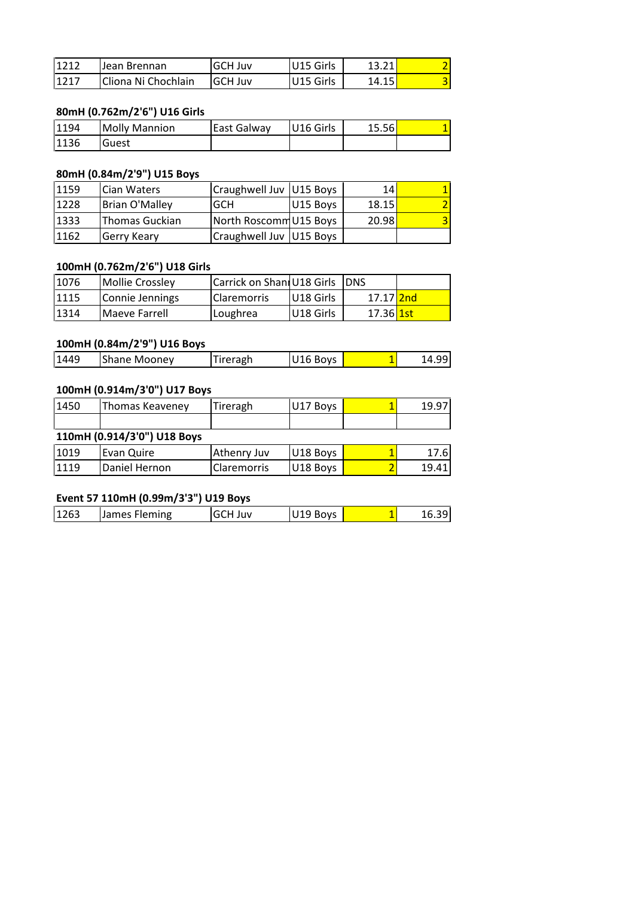| 1212 | Jean Brennan                 | <b>GCH Juv</b> | U15 Girls | 13.21 |   |
|------|------------------------------|----------------|-----------|-------|---|
| 1217 | Cliona Ni Chochlain          | <b>GCH Juv</b> | U15 Girls | 14.15 | 3 |
|      |                              |                |           |       |   |
|      | 80mH (0.762m/2'6") U16 Girls |                |           |       |   |
| 1194 | <b>Molly Mannion</b>         | East Galway    | U16 Girls | 15.56 |   |
|      |                              |                |           |       |   |

#### <u>80ml</u>

| 1217 | Cliona Ni Chochlain          | <b>GCH Juv</b>            | U15 Girls | 14.15 |  |
|------|------------------------------|---------------------------|-----------|-------|--|
|      |                              |                           |           |       |  |
|      | 80mH (0.762m/2'6") U16 Girls |                           |           |       |  |
| 1194 | <b>Molly Mannion</b>         | East Galway               | U16 Girls | 15.56 |  |
| 1136 | Guest                        |                           |           |       |  |
|      |                              |                           |           |       |  |
|      | 80mH (0.84m/2'9") U15 Boys   |                           |           |       |  |
| 1159 | <b>Cian Waters</b>           | Craughwell Juv   U15 Boys |           | 14    |  |
| 1228 | <b>Brian O'Mallev</b>        | <b>GCH</b>                | U15 Boys  | 18.15 |  |

## 80mH (0.84m/2'9") U15 Boys

| 1194 | <b>Molly Mannion</b>          | East Galway                | U16 Girls | 15.56                  |  |
|------|-------------------------------|----------------------------|-----------|------------------------|--|
| 1136 | Guest                         |                            |           |                        |  |
|      |                               |                            |           |                        |  |
|      | 80mH (0.84m/2'9") U15 Boys    |                            |           |                        |  |
| 1159 | Cian Waters                   | Craughwell Juv   U15 Boys  |           | 14                     |  |
| 1228 | <b>Brian O'Malley</b>         | <b>GCH</b>                 | U15 Boys  | 18.15                  |  |
| 1333 | <b>Thomas Guckian</b>         | North Roscomm U15 Boys     |           | 20.98                  |  |
| 1162 | Gerry Keary                   | Craughwell Juv   U15 Boys  |           |                        |  |
|      |                               |                            |           |                        |  |
|      | 100mH (0.762m/2'6") U18 Girls |                            |           |                        |  |
| 1076 | <b>Mollie Crossley</b>        | Carrick on Shani U18 Girls |           | <b>DNS</b>             |  |
| 1115 | Connie Jennings               | <b>Claremorris</b>         | U18 Girls | 17.17 <mark>2nd</mark> |  |

### <u>100n</u>

| 1333 | Thomas Guckian                | North Roscomm U15 Boys     |           | 20.98      |       |
|------|-------------------------------|----------------------------|-----------|------------|-------|
| 1162 | Gerry Keary                   | Craughwell Juv   U15 Boys  |           |            |       |
|      |                               |                            |           |            |       |
|      | 100mH (0.762m/2'6") U18 Girls |                            |           |            |       |
| 1076 | <b>Mollie Crossley</b>        | Carrick on Shani U18 Girls |           | <b>DNS</b> |       |
| 1115 | Connie Jennings               | Claremorris                | U18 Girls | 17.17 2nd  |       |
| 1314 | Maeve Farrell                 | Loughrea                   | U18 Girls | 17.36 1st  |       |
|      |                               |                            |           |            |       |
|      | 100mH (0.84m/2'9") U16 Boys   |                            |           |            |       |
| 1449 | <b>Shane Mooney</b>           | Tireragh                   | U16 Boys  |            | 14.99 |

#### **110mH**

| 1314 | Maeve Farrell                | Loughrea | IU18 Girls | 17.36 <mark>1st</mark> |       |
|------|------------------------------|----------|------------|------------------------|-------|
|      | 100mH (0.84m/2'9") U16 Boys  |          |            |                        |       |
| 1449 | <b>Shane Mooney</b>          | Tireragh | U16 Boys   |                        | 14.99 |
|      |                              |          |            |                        |       |
|      | 100mH (0.914m/3'0") U17 Boys |          |            |                        |       |
| 1450 | Thomas Keavenev              | Tireragh | IU17 Bovs  |                        | 19.97 |

## **(0.914/3'0") U18 Boys**

| 1449 | <b>Shane Mooney</b>                  | Tireragh       | U16 Boys | 1 | 14.991 |
|------|--------------------------------------|----------------|----------|---|--------|
|      |                                      |                |          |   |        |
|      | 100mH (0.914m/3'0") U17 Boys         |                |          |   |        |
| 1450 | <b>Thomas Keaveney</b>               | Tireragh       | U17 Boys |   | 19.97  |
|      |                                      |                |          |   |        |
|      | 110mH (0.914/3'0") U18 Boys          |                |          |   |        |
| 1019 | Evan Quire                           | Athenry Juv    | U18 Boys |   | 17.6   |
| 1119 | Daniel Hernon                        | Claremorris    | U18 Boys | 2 | 19.41  |
|      |                                      |                |          |   |        |
|      | Event 57 110mH (0.99m/3'3") U19 Boys |                |          |   |        |
| 1263 | James Fleming                        | <b>GCH Juv</b> | U19 Boys |   | 16.39  |

## **<sup>57</sup> 110mH (0.99m/3'3") U19 Boys**

| 1263 | <b>James Fleming</b> | . Juv<br>- IGC. | <b>BOVS</b> |  | u<br>10.JJ |
|------|----------------------|-----------------|-------------|--|------------|
|------|----------------------|-----------------|-------------|--|------------|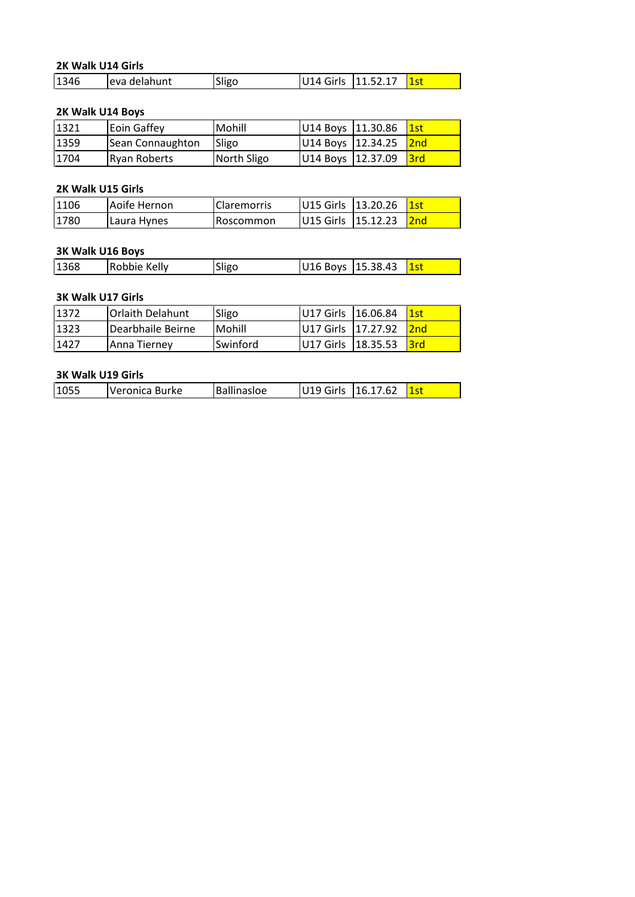## **Walk U14 Girls** 2K Walk U14 Girls

|      | 2K Walk U14 Girls  |        |                    |          |     |  |
|------|--------------------|--------|--------------------|----------|-----|--|
| 1346 | eva delahunt       | Sligo  | U14 Girls          | 11.52.17 | 1st |  |
|      |                    |        |                    |          |     |  |
|      | 2K Walk U14 Boys   |        |                    |          |     |  |
| 1321 | <b>Eoin Gaffev</b> | Mohill | U14 Boys 111.30.86 |          | 1st |  |

#### 2K Walk U14 Boys

|      | 2K Walk U14 Girls   |                    |           |          |     |
|------|---------------------|--------------------|-----------|----------|-----|
| 1346 | eva delahunt        | Sligo              | U14 Girls | 11.52.17 | 1st |
|      | 2K Walk U14 Boys    |                    |           |          |     |
| 1321 | Eoin Gaffey         | Mohill             | U14 Boys  | 11.30.86 | 1st |
| 1359 | Sean Connaughton    | Sligo              | U14 Boys  | 12.34.25 | 2nd |
| 1704 | <b>Ryan Roberts</b> | North Sligo        | U14 Boys  | 12.37.09 | 3rd |
|      | 2K Walk U15 Girls   |                    |           |          |     |
| 1106 | Aoife Hernon        | <b>Claremorris</b> | U15 Girls | 13.20.26 | 1st |
| 1780 | Laura Hynes         | Roscommon          | U15 Girls | 15.12.23 | 2nd |

| 1704 | Ryan Roberts             | North Sligo        | U14 Boys 12.37.09 |          | <u> 3rd</u>     |
|------|--------------------------|--------------------|-------------------|----------|-----------------|
|      |                          |                    |                   |          |                 |
|      | 2K Walk U15 Girls        |                    |                   |          |                 |
| 1106 | Aoife Hernon             | <b>Claremorris</b> | U15 Girls         | 13.20.26 | 1st             |
| 1780 | Laura Hynes              | Roscommon          | U15 Girls         | 15.12.23 | 2 <sub>nd</sub> |
|      |                          |                    |                   |          |                 |
|      | 3K Walk U16 Boys         |                    |                   |          |                 |
| 1368 | Robbie Kelly             | Sligo              | U16 Boys          | 15.38.43 | <b>1st</b>      |
|      |                          |                    |                   |          |                 |
|      | <b>3K Walk U17 Girls</b> |                    |                   |          |                 |

#### <u>3K W</u>

| 1780              | Laura Hynes       | Roscommon | <b>IU15 Girls 115.12.23</b> | <b>2nd</b> |
|-------------------|-------------------|-----------|-----------------------------|------------|
|                   |                   |           |                             |            |
| 3K Walk U16 Boys  |                   |           |                             |            |
| 1368              | Robbie Kelly      | Sligo     | U16 Boys   15.38.43         | 1st        |
|                   |                   |           |                             |            |
| 3K Walk U17 Girls |                   |           |                             |            |
| 1372              | lOrlaith Delahunt | Sligo     | U17 Girls 116.06.84         |            |

#### 3K Walk U17 Girls

| 1368 | Robbie Kelly             | Sligo    | U16 Boys  | 15.38.43 | 1st |
|------|--------------------------|----------|-----------|----------|-----|
|      |                          |          |           |          |     |
|      | <b>3K Walk U17 Girls</b> |          |           |          |     |
| 1372 | Orlaith Delahunt         | Sligo    | U17 Girls | 16.06.84 | 1st |
| 1323 | Dearbhaile Beirne        | Mohill   | U17 Girls | 17.27.92 | 2nd |
| 1427 | Anna Tierney             | Swinford | U17 Girls | 18.35.53 | 3rd |

| Ballinasloe<br>Veronica Burke<br>U19 Girls   16.17.62<br>1055 |
|---------------------------------------------------------------|
|---------------------------------------------------------------|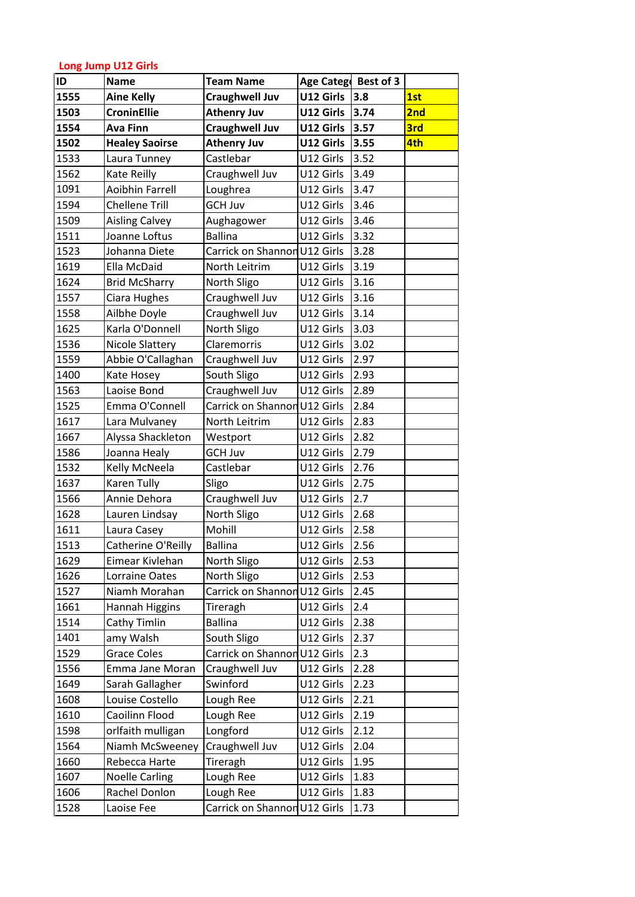## **Jump U12 Girls** <u>Long</u>

|      | <b>Long Jump U12 Girls</b> |                              |                   |           |     |  |  |
|------|----------------------------|------------------------------|-------------------|-----------|-----|--|--|
| ID   | <b>Name</b>                | <b>Team Name</b>             | <b>Age Catego</b> | Best of 3 |     |  |  |
| 1555 | <b>Aine Kelly</b>          | <b>Craughwell Juv</b>        | U12 Girls         | 3.8       | 1st |  |  |
| 1503 | <b>CroninEllie</b>         | <b>Athenry Juv</b>           | U12 Girls         | 3.74      | 2nd |  |  |
| 1554 | <b>Ava Finn</b>            | <b>Craughwell Juv</b>        | U12 Girls         | 3.57      | 3rd |  |  |
| 1502 | <b>Healey Saoirse</b>      | <b>Athenry Juv</b>           | U12 Girls         | 3.55      | 4th |  |  |
| 1533 | Laura Tunney               | Castlebar                    | U12 Girls         | 3.52      |     |  |  |
| 1562 | Kate Reilly                | Craughwell Juv               | U12 Girls         | 3.49      |     |  |  |
| 1091 | Aoibhin Farrell            | Loughrea                     | U12 Girls         | 3.47      |     |  |  |
| 1594 | <b>Chellene Trill</b>      | <b>GCH Juv</b>               | U12 Girls         | 3.46      |     |  |  |
| 1509 | <b>Aisling Calvey</b>      | Aughagower                   | U12 Girls         | 3.46      |     |  |  |
| 1511 | Joanne Loftus              | <b>Ballina</b>               | U12 Girls         | 3.32      |     |  |  |
| 1523 | Johanna Diete              | Carrick on Shannon U12 Girls |                   | 3.28      |     |  |  |
| 1619 | <b>Ella McDaid</b>         | North Leitrim                | U12 Girls         | 3.19      |     |  |  |
| 1624 | <b>Brid McSharry</b>       | North Sligo                  | U12 Girls         | 3.16      |     |  |  |
| 1557 | Ciara Hughes               | Craughwell Juv               | U12 Girls         | 3.16      |     |  |  |
| 1558 | Ailbhe Doyle               | Craughwell Juv               | U12 Girls         | 3.14      |     |  |  |
| 1625 | Karla O'Donnell            | North Sligo                  | U12 Girls         | 3.03      |     |  |  |
| 1536 | Nicole Slattery            | Claremorris                  | U12 Girls         | 3.02      |     |  |  |
| 1559 | Abbie O'Callaghan          | Craughwell Juv               | U12 Girls         | 2.97      |     |  |  |
| 1400 | Kate Hosey                 | South Sligo                  | U12 Girls         | 2.93      |     |  |  |
| 1563 | Laoise Bond                | Craughwell Juv               | U12 Girls         | 2.89      |     |  |  |
| 1525 | Emma O'Connell             | Carrick on Shannon U12 Girls |                   | 2.84      |     |  |  |
| 1617 | Lara Mulvaney              | North Leitrim                | U12 Girls         | 2.83      |     |  |  |
| 1667 | Alyssa Shackleton          | Westport                     | U12 Girls         | 2.82      |     |  |  |
| 1586 | Joanna Healy               | <b>GCH Juv</b>               | U12 Girls         | 2.79      |     |  |  |
| 1532 | Kelly McNeela              | Castlebar                    | U12 Girls         | 2.76      |     |  |  |
| 1637 | Karen Tully                | Sligo                        | U12 Girls         | 2.75      |     |  |  |
| 1566 | Annie Dehora               | Craughwell Juv               | U12 Girls         | 2.7       |     |  |  |
| 1628 | Lauren Lindsay             | North Sligo                  | U12 Girls         | 2.68      |     |  |  |
| 1611 | Laura Casey                | Mohill                       | U12 Girls         | 2.58      |     |  |  |
| 1513 | Catherine O'Reilly         | <b>Ballina</b>               | U12 Girls         | 2.56      |     |  |  |
| 1629 | Eimear Kivlehan            | North Sligo                  | U12 Girls         | 2.53      |     |  |  |
| 1626 | Lorraine Oates             | North Sligo                  | U12 Girls         | 2.53      |     |  |  |
| 1527 | Niamh Morahan              | Carrick on Shannon U12 Girls |                   | 2.45      |     |  |  |
| 1661 | Hannah Higgins             | Tireragh                     | U12 Girls         | 2.4       |     |  |  |
| 1514 | Cathy Timlin               | <b>Ballina</b>               | U12 Girls         | 2.38      |     |  |  |
| 1401 | amy Walsh                  | South Sligo                  | U12 Girls         | 2.37      |     |  |  |
| 1529 | <b>Grace Coles</b>         | Carrick on Shannon U12 Girls |                   | 2.3       |     |  |  |
| 1556 | Emma Jane Moran            | Craughwell Juv               | U12 Girls         | 2.28      |     |  |  |
| 1649 | Sarah Gallagher            | Swinford                     | U12 Girls         | 2.23      |     |  |  |
| 1608 | Louise Costello            | Lough Ree                    | U12 Girls         | 2.21      |     |  |  |
| 1610 | Caoilinn Flood             | Lough Ree                    | U12 Girls         | 2.19      |     |  |  |
| 1598 | orlfaith mulligan          | Longford                     | U12 Girls         | 2.12      |     |  |  |
| 1564 | Niamh McSweeney            | Craughwell Juv               | U12 Girls         | 2.04      |     |  |  |
| 1660 | Rebecca Harte              | Tireragh                     | U12 Girls         | 1.95      |     |  |  |
| 1607 | <b>Noelle Carling</b>      | Lough Ree                    | U12 Girls         | 1.83      |     |  |  |
| 1606 | Rachel Donlon              | Lough Ree                    | U12 Girls         | 1.83      |     |  |  |
| 1528 | Laoise Fee                 | Carrick on Shannon U12 Girls |                   | 1.73      |     |  |  |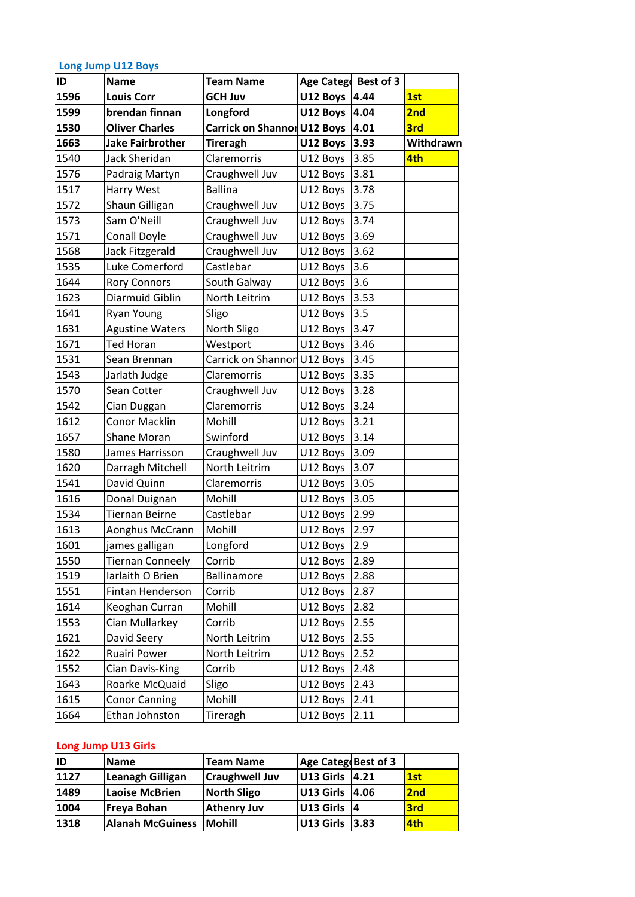## **Jump U12 Boys** Long Jump U12 Boys

|              | <b>Long Jump U12 Boys</b>                  |                                                       |                      |              |            |
|--------------|--------------------------------------------|-------------------------------------------------------|----------------------|--------------|------------|
| ID           | <b>Name</b>                                | <b>Team Name</b>                                      | <b>Age Catego</b>    | Best of 3    |            |
| 1596         | <b>Louis Corr</b>                          | <b>GCH Juv</b>                                        | U12 Boys 4.44        |              | 1st        |
| 1599<br>1530 | brendan finnan<br><b>Oliver Charles</b>    | Longford                                              | U12 Boys             | 4.04<br>4.01 | 2nd<br>3rd |
| 1663         | <b>Jake Fairbrother</b>                    | <b>Carrick on Shannon U12 Boys</b><br><b>Tireragh</b> | U12 Boys             | 3.93         | Withdrawn  |
| 1540         | Jack Sheridan                              | Claremorris                                           | U12 Boys             | 3.85         | 4th        |
| 1576         |                                            |                                                       |                      | 3.81         |            |
|              | Padraig Martyn                             | Craughwell Juv<br><b>Ballina</b>                      | U12 Boys             | 3.78         |            |
| 1517         | Harry West                                 |                                                       | U12 Boys             | 3.75         |            |
| 1572         | Shaun Gilligan                             | Craughwell Juv                                        | U12 Boys             |              |            |
| 1573         | Sam O'Neill                                | Craughwell Juv                                        | U12 Boys             | 3.74         |            |
| 1571         | Conall Doyle                               | Craughwell Juv                                        | U12 Boys             | 3.69         |            |
| 1568         | Jack Fitzgerald<br>Luke Comerford          | Craughwell Juv<br>Castlebar                           | U12 Boys             | 3.62<br>3.6  |            |
| 1535<br>1644 |                                            | South Galway                                          | U12 Boys             | 3.6          |            |
| 1623         | <b>Rory Connors</b><br>Diarmuid Giblin     | North Leitrim                                         | U12 Boys             | 3.53         |            |
| 1641         |                                            |                                                       | U12 Boys             | 3.5          |            |
| 1631         | <b>Ryan Young</b>                          | Sligo                                                 | U12 Boys             | 3.47         |            |
| 1671         | <b>Agustine Waters</b><br><b>Ted Horan</b> | North Sligo                                           | U12 Boys             | 3.46         |            |
| 1531         | Sean Brennan                               | Westport<br>Carrick on Shannon                        | U12 Boys             | 3.45         |            |
| 1543         |                                            | Claremorris                                           | U12 Boys<br>U12 Boys | 3.35         |            |
| 1570         | Jarlath Judge<br>Sean Cotter               |                                                       |                      | 3.28         |            |
| 1542         | Cian Duggan                                | Craughwell Juv<br>Claremorris                         | U12 Boys<br>U12 Boys | 3.24         |            |
| 1612         | <b>Conor Macklin</b>                       | Mohill                                                | U12 Boys             | 3.21         |            |
| 1657         | <b>Shane Moran</b>                         | Swinford                                              | U12 Boys             | 3.14         |            |
| 1580         | James Harrisson                            | Craughwell Juv                                        | U12 Boys             | 3.09         |            |
| 1620         | Darragh Mitchell                           | North Leitrim                                         | U12 Boys             | 3.07         |            |
| 1541         | David Quinn                                | Claremorris                                           | U12 Boys             | 3.05         |            |
| 1616         | Donal Duignan                              | Mohill                                                | U12 Boys             | 3.05         |            |
| 1534         | Tiernan Beirne                             | Castlebar                                             | U12 Boys             | 2.99         |            |
| 1613         | Aonghus McCrann                            | Mohill                                                | U12 Boys             | 2.97         |            |
| 1601         | james galligan                             | Longford                                              | U12 Boys             | 2.9          |            |
| 1550         | Tiernan Conneely                           | Corrib                                                | U12 Boys             | 2.89         |            |
| 1519         | Iarlaith O Brien                           | Ballinamore                                           | U12 Boys             | 2.88         |            |
| 1551         | Fintan Henderson                           | Corrib                                                | U12 Boys             | 2.87         |            |
| 1614         | Keoghan Curran                             | Mohill                                                | U12 Boys             | 2.82         |            |
| 1553         | Cian Mullarkey                             | Corrib                                                | U12 Boys             | 2.55         |            |
| 1621         | David Seery                                | North Leitrim                                         | U12 Boys             | 2.55         |            |
| 1622         | Ruairi Power                               | North Leitrim                                         | U12 Boys             | 2.52         |            |
| 1552         | Cian Davis-King                            | Corrib                                                | U12 Boys             | 2.48         |            |
| 1643         | Roarke McQuaid                             | Sligo                                                 | U12 Boys             | 2.43         |            |
| 1615         | <b>Conor Canning</b>                       | Mohill                                                | U12 Boys             | 2.41         |            |
| 1664         | Ethan Johnston                             | Tireragh                                              | U12 Boys             | 2.11         |            |
|              |                                            |                                                       |                      |              |            |
|              | <b>Long Jump U13 Girls</b>                 |                                                       |                      |              |            |
| <b>ID</b>    | <b>Name</b>                                | <b>Team Name</b>                                      | Age Categ Best of 3  |              |            |
| 1127         | <b>Leanagh Gilligan</b>                    | <b>Craughwell Juv</b>                                 | U13 Girls 4.21       |              | 1st        |

| 1615 | <b>Conor Canning</b>       | Mohill                | U12 Boys 2.41       |            |
|------|----------------------------|-----------------------|---------------------|------------|
| 1664 | Ethan Johnston             | Tireragh              | U12 Boys<br>2.11    |            |
|      |                            |                       |                     |            |
|      | <b>Long Jump U13 Girls</b> |                       |                     |            |
| İID  | <b>Name</b>                | <b>Team Name</b>      | Age Categ Best of 3 |            |
| 1127 | Leanagh Gilligan           | <b>Craughwell Juv</b> | U13 Girls<br>14.21  | 1st        |
| 1489 | <b>Laoise McBrien</b>      | <b>North Sligo</b>    | U13 Girls<br>14.06  | 2nd        |
| 1004 | Freya Bohan                | <b>Athenry Juv</b>    | U13 Girls<br>14     | <b>3rd</b> |
| 1318 | <b>Alanah McGuiness</b>    | <b>Mohill</b>         | U13 Girls<br>3.83   | 4th        |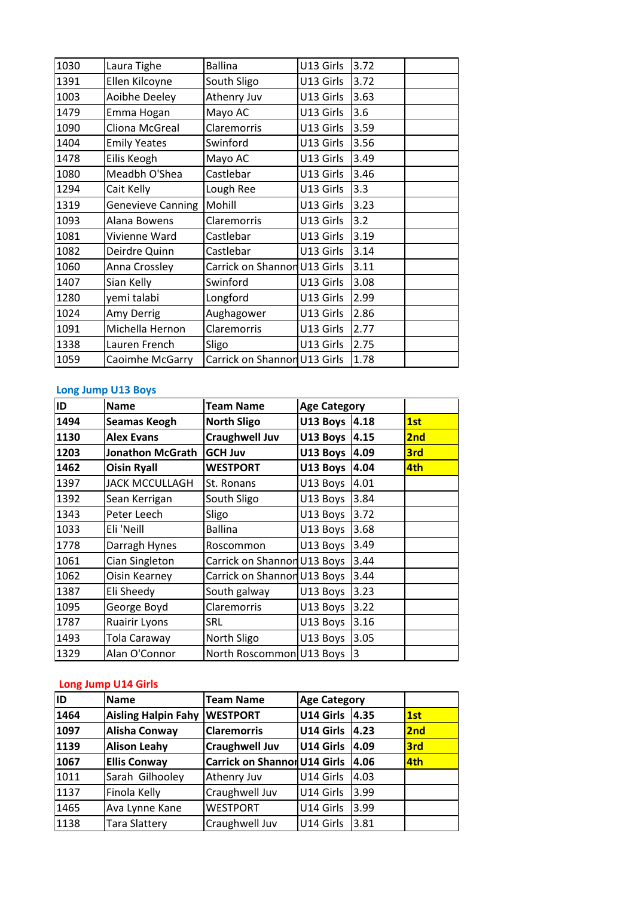| 1494 | Seamas Keogh              | <b>North Sligo</b>           | U13 Boys 4.18       |      | 1st |
|------|---------------------------|------------------------------|---------------------|------|-----|
| ID   | <b>Name</b>               | <b>Team Name</b>             | <b>Age Category</b> |      |     |
|      | <b>Long Jump U13 Boys</b> |                              |                     |      |     |
| 1059 | Caoimhe McGarry           | Carrick on Shannon           | U13 Girls           | 1.78 |     |
| 1338 | Lauren French             | Sligo                        | U13 Girls           | 2.75 |     |
| 1091 | Michella Hernon           | Claremorris                  | U13 Girls           | 2.77 |     |
| 1024 | Amy Derrig                | Aughagower                   | U13 Girls           | 2.86 |     |
| 1280 | yemi talabi               | Longford                     | U13 Girls           | 2.99 |     |
| 1407 | Sian Kelly                | Swinford                     | U13 Girls           | 3.08 |     |
| 1060 | Anna Crossley             | Carrick on Shannon U13 Girls |                     | 3.11 |     |
| 1082 | Deirdre Quinn             | Castlebar                    | U13 Girls           | 3.14 |     |
| 1081 | Vivienne Ward             | Castlebar                    | U13 Girls           | 3.19 |     |
| 1093 | Alana Bowens              | Claremorris                  | U13 Girls           | 3.2  |     |
| 1319 | <b>Genevieve Canning</b>  | Mohill                       | U13 Girls           | 3.23 |     |
| 1294 | Cait Kelly                | Lough Ree                    | U13 Girls           | 3.3  |     |
| 1080 | Meadbh O'Shea             | Castlebar                    | U13 Girls           | 3.46 |     |
| 1478 | Eilis Keogh               | Mayo AC                      | U13 Girls           | 3.49 |     |
| 1404 | <b>Emily Yeates</b>       | Swinford                     | U13 Girls           | 3.56 |     |
| 1090 | Cliona McGreal            | Claremorris                  | U13 Girls           | 3.59 |     |
| 1479 | Emma Hogan                | Mayo AC                      | U13 Girls           | 3.6  |     |
| 1003 | <b>Aoibhe Deeley</b>      | Athenry Juv                  | U13 Girls           | 3.63 |     |
| 1391 | Ellen Kilcoyne            | South Sligo                  | U13 Girls           | 3.72 |     |
| 1030 | Laura Tighe               | <b>Ballina</b>               | U13 Girls           | 3.72 |     |

## Long Jump U13 Boys

| 1464       | <b>Aisling Halpin Fahy WESTPORT</b>                                                  |                                                                 | U14 Girls 4.35                              |                | 1st             |
|------------|--------------------------------------------------------------------------------------|-----------------------------------------------------------------|---------------------------------------------|----------------|-----------------|
| ID         | <b>Name</b>                                                                          | <b>Team Name</b>                                                | <b>Age Category</b>                         |                |                 |
|            | <b>Long Jump U14 Girls</b>                                                           |                                                                 |                                             |                |                 |
| 1329       | Alan O'Connor                                                                        | North Roscommon U13 Boys                                        |                                             | $\overline{3}$ |                 |
| 1493       | Tola Caraway                                                                         | North Sligo                                                     | U13 Boys                                    | 3.05           |                 |
| 1787       | <b>Ruairir Lyons</b>                                                                 | SRL                                                             | U13 Boys                                    | 3.16           |                 |
| 1095       | George Boyd                                                                          | Claremorris                                                     | U13 Boys                                    | 3.22           |                 |
| 1387       | Eli Sheedy                                                                           | South galway                                                    | U13 Boys                                    | 3.23           |                 |
| 1062       | <b>Oisin Kearney</b>                                                                 | Carrick on Shannon U13 Boys                                     |                                             | 3.44           |                 |
| 1061       | Cian Singleton                                                                       | Carrick on Shannon U13 Boys                                     |                                             | 3.44           |                 |
| 1778       | Darragh Hynes                                                                        | Roscommon                                                       | U13 Boys                                    | 3.49           |                 |
| 1033       | Eli 'Neill                                                                           | <b>Ballina</b>                                                  | U13 Boys                                    | 3.68           |                 |
| 1343       | Peter Leech                                                                          | Sligo                                                           | U13 Boys                                    | 3.72           |                 |
| 1392       | Sean Kerrigan                                                                        | South Sligo                                                     | U13 Boys                                    | 3.84           |                 |
| 1397       | <b>JACK MCCULLAGH</b>                                                                | St. Ronans                                                      | U13 Boys                                    | 4.01           |                 |
| 1462       | <b>Oisin Ryall</b>                                                                   | <b>WESTPORT</b>                                                 | U13 Boys                                    | 4.04           | 4th             |
| 1203       | <b>Jonathon McGrath</b>                                                              | <b>GCH Juv</b>                                                  | U13 Boys                                    | 4.09           | 3rd             |
| 1130       |                                                                                      |                                                                 |                                             |                | 2 <sub>nd</sub> |
|            |                                                                                      |                                                                 |                                             |                | 1st             |
|            |                                                                                      |                                                                 |                                             |                |                 |
| ID<br>1494 | <b>Long Jump U13 Boys</b><br><b>Name</b><br><b>Seamas Keogh</b><br><b>Alex Evans</b> | <b>Team Name</b><br><b>North Sligo</b><br><b>Craughwell Juv</b> | <b>Age Category</b><br>U13 Boys<br>U13 Boys | 4.18<br>4.15   |                 |
| 1059       | Caoimhe McGarry                                                                      | Carrick on Shannon U13 Girls                                    |                                             | 1.78           |                 |
| 1338       | Lauren French                                                                        | Sligo                                                           | U13 Girls                                   | 12.75          |                 |

#### **Long**

| 1493 | Tola Caraway               | North Sligo                         | U13 Boys            | 3.05 |            |
|------|----------------------------|-------------------------------------|---------------------|------|------------|
| 1329 | Alan O'Connor              | North Roscommon U13 Boys            |                     | 13   |            |
|      |                            |                                     |                     |      |            |
|      | <b>Long Jump U14 Girls</b> |                                     |                     |      |            |
| ID   | <b>Name</b>                | <b>Team Name</b>                    | <b>Age Category</b> |      |            |
| 1464 | <b>Aisling Halpin Fahy</b> | <b>WESTPORT</b>                     | U14 Girls           | 4.35 | 1st        |
| 1097 | <b>Alisha Conway</b>       | <b>Claremorris</b>                  | U14 Girls           | 4.23 | 2nd        |
| 1139 | <b>Alison Leahy</b>        | <b>Craughwell Juv</b>               | U14 Girls           | 4.09 | 3rd        |
| 1067 | <b>Ellis Conway</b>        | <b>Carrick on Shannon U14 Girls</b> |                     | 4.06 | <b>4th</b> |
| 1011 | Sarah Gilhooley            | Athenry Juv                         | U14 Girls           | 4.03 |            |
| 1137 | Finola Kelly               | Craughwell Juv                      | U14 Girls           | 3.99 |            |
| 1465 | Ava Lynne Kane             | <b>WESTPORT</b>                     | U14 Girls           | 3.99 |            |
| 1138 | <b>Tara Slattery</b>       | Craughwell Juv                      | U14 Girls           | 3.81 |            |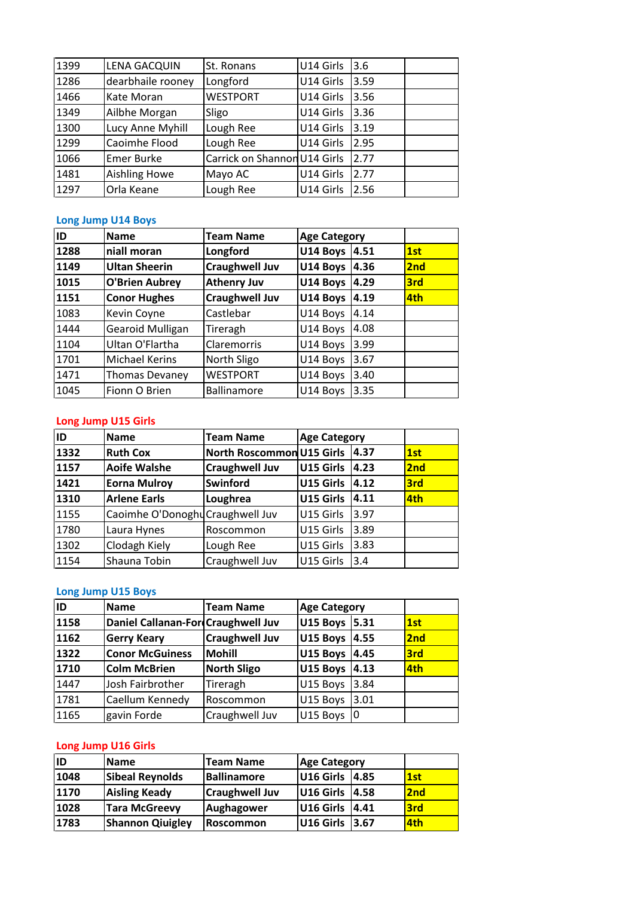| Orla Keane<br><b>Long Jump U14 Boys</b><br><b>Name</b> | Lough Ree<br><b>Team Name</b> | U14 Girls<br><b>Age Category</b> | 2.56                         |  |
|--------------------------------------------------------|-------------------------------|----------------------------------|------------------------------|--|
|                                                        |                               |                                  |                              |  |
|                                                        |                               |                                  |                              |  |
|                                                        |                               |                                  |                              |  |
| <b>Aishling Howe</b>                                   | Mayo AC                       | U14 Girls                        | 2.77                         |  |
| <b>Emer Burke</b>                                      |                               |                                  | 2.77                         |  |
| Caoimhe Flood                                          | Lough Ree                     | U14 Girls                        | 2.95                         |  |
| Lucy Anne Myhill                                       | Lough Ree                     | U14 Girls                        | 3.19                         |  |
| Ailbhe Morgan                                          | Sligo                         | U14 Girls                        | 3.36                         |  |
| Kate Moran                                             | <b>WESTPORT</b>               | U14 Girls                        | 3.56                         |  |
| dearbhaile rooney                                      | Longford                      | U14 Girls                        | 3.59                         |  |
| LENA GACQUIN                                           | St. Ronans                    | U14 Girls                        | 3.6                          |  |
|                                                        |                               |                                  | Carrick on Shannon U14 Girls |  |

#### <u>Long</u>

| 1332 | <b>Ruth Cox</b>            | North Roscommon U15 Girls 4.37 |                     |      | 1st |
|------|----------------------------|--------------------------------|---------------------|------|-----|
| ID   | <b>Name</b>                | <b>Team Name</b>               | <b>Age Category</b> |      |     |
|      | <b>Long Jump U15 Girls</b> |                                |                     |      |     |
| 1045 | Fionn O Brien              | <b>Ballinamore</b>             | U14 Boys            | 3.35 |     |
| 1471 | <b>Thomas Devaney</b>      | <b>WESTPORT</b>                | U14 Boys            | 3.40 |     |
| 1701 | <b>Michael Kerins</b>      | North Sligo                    | U14 Boys            | 3.67 |     |
| 1104 | Ultan O'Flartha            | Claremorris                    | U14 Boys            | 3.99 |     |
| 1444 | Gearoid Mulligan           | Tireragh                       | U14 Boys            | 4.08 |     |
| 1083 | Kevin Coyne                | Castlebar                      | U14 Boys            | 4.14 |     |
| 1151 | <b>Conor Hughes</b>        | <b>Craughwell Juv</b>          | U14 Boys            | 4.19 | 4th |
| 1015 | <b>O'Brien Aubrey</b>      | <b>Athenry Juv</b>             | U14 Boys            | 4.29 | 3rd |
| 1149 | <b>Ultan Sheerin</b>       | <b>Craughwell Juv</b>          | U14 Boys            | 4.36 | 2nd |
| 1288 | niall moran                | Longford                       | U14 Boys            | 4.51 | 1st |
| ID   | <b>Name</b>                | <b>Team Name</b>               | <b>Age Category</b> |      |     |
|      | <b>Long Jump U14 Boys</b>  |                                |                     |      |     |
| 1297 | Orla Keane                 | Lough Ree                      | U14 Girls           | 2.56 |     |
| 1481 | Aishling Howe              | Mayo AC                        | U14 Girls           | 2.77 |     |

#### <u>Long</u>

| ID           | <b>Name</b>                      | <b>Team Name</b>                 | <b>Age Category</b>  |              |     |
|--------------|----------------------------------|----------------------------------|----------------------|--------------|-----|
|              |                                  |                                  |                      |              |     |
|              | <b>Long Jump U15 Boys</b>        |                                  |                      |              |     |
| 1154         | Shauna Tobin                     | Craughwell Juv                   | U15 Girls            | 3.4          |     |
| 1302         | Clodagh Kiely                    | Lough Ree                        | U15 Girls            | 3.83         |     |
| 1780         | Laura Hynes                      | Roscommon                        | U15 Girls            | 3.89         |     |
| 1155         | Caoimhe O'Donoghu Craughwell Juv |                                  | U15 Girls            | 3.97         |     |
| 1310         | <b>Arlene Earls</b>              | Loughrea                         | U15 Girls            | 4.11         | 4th |
| 1421         | <b>Eorna Mulroy</b>              | Swinford                         | U15 Girls            | 4.12         | 3rd |
| 1157         | <b>Aoife Walshe</b>              | <b>Craughwell Juv</b>            | U15 Girls            | 4.23         | 2nd |
| 1332         | <b>Ruth Cox</b>                  | <b>North Roscommon U15 Girls</b> |                      | 4.37         | 1st |
| ID           | <b>Name</b>                      | <b>Team Name</b>                 | <b>Age Category</b>  |              |     |
|              | <b>Long Jump U15 Girls</b>       |                                  |                      |              |     |
|              |                                  |                                  |                      |              |     |
| 1471<br>1045 | Thomas Devaney<br>Fionn O Brien  | WESTPORT<br><b>Ballinamore</b>   | U14 Boys<br>U14 Boys | 3.40<br>3.35 |     |

#### <u>Long</u>

| 1048 | <b>Sibeal Revnolds</b>             | <b>Ballinamore</b>    | U16 Girls           | 14.85 | 1st |
|------|------------------------------------|-----------------------|---------------------|-------|-----|
| ID   | <b>Name</b>                        | <b>Team Name</b>      | <b>Age Category</b> |       |     |
|      | <b>Long Jump U16 Girls</b>         |                       |                     |       |     |
| 1165 | gavin Forde                        | Craughwell Juv        | U15 Boys            | 0     |     |
| 1781 | Caellum Kennedy                    | Roscommon             | U15 Boys            | 3.01  |     |
| 1447 | Josh Fairbrother                   | Tireragh              | U15 Boys            | 3.84  |     |
| 1710 | <b>Colm McBrien</b>                | <b>North Sligo</b>    | U15 Boys            | 4.13  | 4th |
| 1322 | <b>Conor McGuiness</b>             | <b>Mohill</b>         | U15 Boys            | 4.45  | 3rd |
| 1162 | <b>Gerry Keary</b>                 | <b>Craughwell Juv</b> | U15 Boys            | 4.55  | 2nd |
| 1158 | Daniel Callanan-For Craughwell Juv |                       | U15 Boys            | 5.31  | 1st |
| ID   | <b>Name</b>                        | <b>Team Name</b>      | <b>Age Category</b> |       |     |
|      | <b>Long Jump U15 Boys</b>          |                       |                     |       |     |
| 1154 | Shauna Tobin                       | Craughwell Juv        | U15 Girls           | 3.4   |     |
| 1302 | Clodagh Kiely                      | Lough Ree             | U15 Girls           | 3.83  |     |

| 1781 | Caellum Kennedy         | Roscommon             | U15 Boys 13.01      |       |            |
|------|-------------------------|-----------------------|---------------------|-------|------------|
| 1165 | gavin Forde             | Craughwell Juv        | U15 Boys $ 0$       |       |            |
|      |                         |                       |                     |       |            |
|      | Long Jump U16 Girls     |                       |                     |       |            |
| lid  | <b>Name</b>             | <b>Team Name</b>      | <b>Age Category</b> |       |            |
| 1048 | <b>Sibeal Reynolds</b>  | <b>Ballinamore</b>    | U16 Girls           | 4.85  | 1st        |
| 1170 | <b>Aisling Keady</b>    | <b>Craughwell Juv</b> | U16 Girls           | 14.58 | 2nd        |
| 1028 | <b>Tara McGreevy</b>    | Aughagower            | U16 Girls           | 4.41  | <b>3rd</b> |
| 1783 | <b>Shannon Qiuigley</b> | Roscommon             | U16 Girls           | 3.67  | 4th        |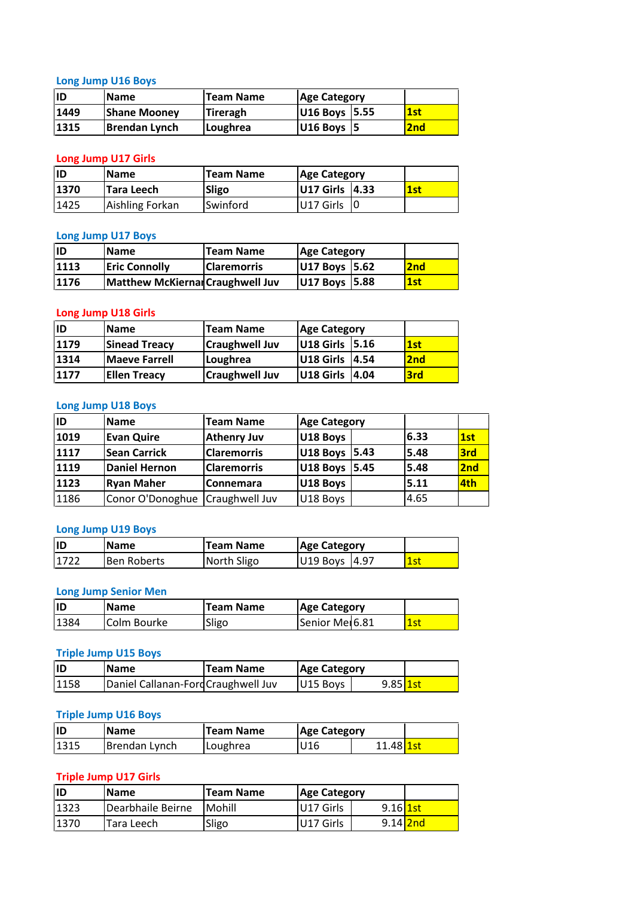## **Jump U16 Boys** <u>Lo</u>

|      | <b>Long Jump U16 Boys</b>  |                  |                        |     |
|------|----------------------------|------------------|------------------------|-----|
| ID   | <b>Name</b>                | <b>Team Name</b> | <b>Age Category</b>    |     |
| 1449 | <b>Shane Mooney</b>        | <b>Tireragh</b>  | U16 Boys 5.55          | 1st |
| 1315 | <b>Brendan Lynch</b>       | Loughrea         | U16 Boys   5           | 2nd |
|      |                            |                  |                        |     |
|      | <b>Long Jump U17 Girls</b> |                  |                        |     |
| ID   | <b>Name</b>                | <b>Team Name</b> | <b>Age Category</b>    |     |
| 1370 | Tara Leech                 | <b>Sligo</b>     | <b>U17 Girls 14.33</b> | 1st |

#### **Long Jump U17 Girls**

|      | <b>Shane Mooney</b>        | <b>Tireragh</b>  | U16 Boys   5.55     |      | 1st |
|------|----------------------------|------------------|---------------------|------|-----|
| 1315 | <b>Brendan Lynch</b>       | Loughrea         | U16 Boys   5        |      | 2nd |
|      |                            |                  |                     |      |     |
|      | <b>Long Jump U17 Girls</b> |                  |                     |      |     |
| ID   | <b>Name</b>                | <b>Team Name</b> | <b>Age Category</b> |      |     |
| 1370 | Tara Leech                 | Sligo            | U17 Girls           | 4.33 | 1st |
| 1425 | Aishling Forkan            | Swinford         | U17 Girls           | 10   |     |

#### **Long Jump U17 Boys**

| 1370 | <b>Tara Leech</b>          | Sligo                                   | U17 Girls              | 4.33 | 1st             |
|------|----------------------------|-----------------------------------------|------------------------|------|-----------------|
| 1425 | Aishling Forkan            | Swinford                                | U17 Girls              | 10   |                 |
|      |                            |                                         |                        |      |                 |
|      | <b>Long Jump U17 Boys</b>  |                                         |                        |      |                 |
| İID  | <b>Name</b>                | <b>Team Name</b>                        | <b>Age Category</b>    |      |                 |
| 1113 | <b>Eric Connolly</b>       | <b>Claremorris</b>                      | U17 Boys 5.62          |      | 2 <sub>nd</sub> |
| 1176 |                            | <b>Matthew McKiernal Craughwell Juv</b> | U17 Boys 5.88          |      | 1st             |
|      |                            |                                         |                        |      |                 |
|      | <b>Long Jump U18 Girls</b> |                                         |                        |      |                 |
| ID   | <b>Name</b>                | <b>Team Name</b>                        | <b>Age Category</b>    |      |                 |
| 1179 | <b>Sinead Treacy</b>       | <b>Craughwell Juv</b>                   | <b>U18 Girls 15.16</b> |      | 1st             |

#### **Long Jump U18 Girls**

| 1176      |                                         |                       | U17 Boys   5.62     |       | 2 <sub>nd</sub> |  |
|-----------|-----------------------------------------|-----------------------|---------------------|-------|-----------------|--|
|           | <b>Matthew McKiernal Craughwell Juv</b> |                       | U17 Boys 5.88       |       | 1st             |  |
|           | <b>Long Jump U18 Girls</b>              |                       |                     |       |                 |  |
| <b>ID</b> | <b>Name</b>                             | <b>Team Name</b>      | <b>Age Category</b> |       |                 |  |
| 1179      | <b>Sinead Treacy</b>                    | <b>Craughwell Juv</b> | U18 Girls 5.16      |       | 1st             |  |
| 1314      | <b>Maeve Farrell</b>                    | Loughrea              | U18 Girls           | 4.54  | 2 <sub>nd</sub> |  |
| 1177      | <b>Ellen Treacy</b>                     | <b>Craughwell Juv</b> | U18 Girls           | 14.04 | 3rd             |  |

#### Long Jump U18 Boys

| 1314      | <b>Maeve Farrell</b>      | Loughrea              | <b>U18 Girls 14.54</b> | <b>2nd</b> |                 |
|-----------|---------------------------|-----------------------|------------------------|------------|-----------------|
| 1177      | <b>Ellen Treacy</b>       | <b>Craughwell Juv</b> | U18 Girls 4.04         | 3rd        |                 |
|           | <b>Long Jump U18 Boys</b> |                       |                        |            |                 |
| <b>ID</b> | <b>Name</b>               | <b>Team Name</b>      | <b>Age Category</b>    |            |                 |
| 1019      | <b>Evan Quire</b>         | <b>Athenry Juv</b>    | U18 Boys               | 6.33       | 1st             |
| 1117      | <b>Sean Carrick</b>       | <b>Claremorris</b>    | U18 Boys 5.43          | 5.48       | 3rd             |
| 1119      | <b>Daniel Hernon</b>      | <b>Claremorris</b>    | U18 Boys 5.45          | 5.48       | 2 <sub>nd</sub> |
| 1123      | <b>Ryan Maher</b>         | <b>Connemara</b>      | U18 Boys               | 5.11       | 4th             |
| 1186      | Conor O'Donoghue          | Craughwell Juv        | U18 Boys               | 4.65       |                 |
|           | <b>Long Jump U19 Boys</b> |                       |                        |            |                 |
| ID        | <b>Name</b>               | <b>Team Name</b>      | <b>Age Category</b>    |            |                 |
| 1722      | <b>Ben Roberts</b>        | North Sligo           | U19 Boys 14.97         | 1st        |                 |

## Long Jump U19 Boys

| 1186 | Conor O'Donoghue   Craughwell Juv |                  | U18 Boys                   | 4.65 |
|------|-----------------------------------|------------------|----------------------------|------|
|      |                                   |                  |                            |      |
|      | <b>Long Jump U19 Boys</b>         |                  |                            |      |
| lıd  | <b>Name</b>                       | <b>Team Name</b> | <b>Age Category</b>        |      |
| 1722 | <b>Ben Roberts</b>                | North Sligo      | U19 Boys 4.97              | 1st  |
|      |                                   |                  |                            |      |
|      | <b>Long Jump Senior Men</b>       |                  |                            |      |
| İID  | <b>Name</b>                       | <b>Team Name</b> | <b>Age Category</b>        |      |
| 1384 | Colm Bourke                       | Sligo            | Senior Me <sub>16.81</sub> | 1st  |

#### <u>Long</u>

| 1722 | <b>Ben Roberts</b>                 | North Sligo      | U19 Boys 14.97      |            | 1st |
|------|------------------------------------|------------------|---------------------|------------|-----|
|      | <b>Long Jump Senior Men</b>        |                  |                     |            |     |
| ID   | <b>Name</b>                        | <b>Team Name</b> | <b>Age Category</b> |            |     |
| 1384 | Colm Bourke                        | Sligo            | Senior Mer6.81      |            | 1st |
|      | <b>Triple Jump U15 Boys</b>        |                  |                     |            |     |
| İID  | <b>Name</b>                        | <b>Team Name</b> | <b>Age Category</b> |            |     |
| 1158 | Daniel Callanan-FordCraughwell Juv |                  | U15 Boys            | $9.85$ 1st |     |

#### **Triple Jump U15 Boys**

| 1384 | Colm Bourke                 | Sligo                               | Senior Mer <sub>6.81</sub> |                  | 1st |
|------|-----------------------------|-------------------------------------|----------------------------|------------------|-----|
|      | <b>Triple Jump U15 Boys</b> |                                     |                            |                  |     |
| ID   | <b>Name</b>                 | <b>Team Name</b>                    | <b>Age Category</b>        |                  |     |
| 1158 |                             | Daniel Callanan-Ford Craughwell Juv | U15 Boys                   | $9.85$ 1st       |     |
|      | <b>Triple Jump U16 Boys</b> |                                     |                            |                  |     |
| ID   | <b>Name</b>                 | <b>Team Name</b>                    | <b>Age Category</b>        |                  |     |
| 1315 | Brendan Lynch               | Loughrea                            | U <sub>16</sub>            | 11.48 <b>1st</b> |     |

#### <u>Tripl</u>

| 1158 | Daniel Callanan-Ford Craughwell Juv<br>9.85 <u>1st</u><br>U <sub>15</sub> Boys |                  |                     |                        |  |  |  |  |
|------|--------------------------------------------------------------------------------|------------------|---------------------|------------------------|--|--|--|--|
|      |                                                                                |                  |                     |                        |  |  |  |  |
|      | <b>Triple Jump U16 Boys</b>                                                    |                  |                     |                        |  |  |  |  |
| lıd  | <b>Name</b>                                                                    | <b>Team Name</b> | <b>Age Category</b> |                        |  |  |  |  |
| 1315 | Brendan Lynch                                                                  | Loughrea         | U16                 | 11.48 <mark>1st</mark> |  |  |  |  |
|      |                                                                                |                  |                     |                        |  |  |  |  |
|      | <b>Triple Jump U17 Girls</b>                                                   |                  |                     |                        |  |  |  |  |
| lıd  | <b>Name</b>                                                                    | <b>Team Name</b> | <b>Age Category</b> |                        |  |  |  |  |
| 1323 | Dearbhaile Beirne                                                              | Mohill           | U17 Girls           | $9.16$ 1st             |  |  |  |  |

| lID                          | <b>Name</b>                                            | <b>Team Name</b> | <b>Age Category</b> |            |  |  |  |  |  |  |
|------------------------------|--------------------------------------------------------|------------------|---------------------|------------|--|--|--|--|--|--|
| 1315                         | Brendan Lynch                                          | Loughrea         | U16                 | 11.48 1st  |  |  |  |  |  |  |
| <b>Triple Jump U17 Girls</b> |                                                        |                  |                     |            |  |  |  |  |  |  |
| ID                           | <b>Team Name</b><br><b>Name</b><br><b>Age Category</b> |                  |                     |            |  |  |  |  |  |  |
| 1323                         | Dearbhaile Beirne                                      | Mohill           | U17 Girls           | $9.16$ 1st |  |  |  |  |  |  |
| 1370                         | Tara Leech                                             | Sligo            | U17 Girls           | 9.14 2nd   |  |  |  |  |  |  |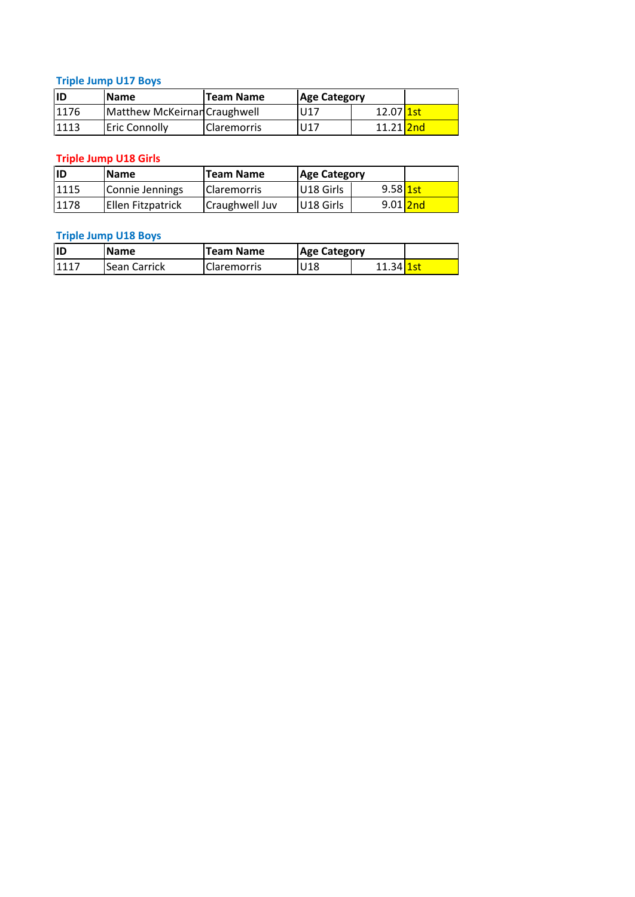## **Jump U17 Boys** <u>**T**r</u>

|      | <b>Triple Jump U17 Boys</b>  |                  |                     |                  |  |
|------|------------------------------|------------------|---------------------|------------------|--|
| ID   | <b>Name</b>                  | <b>Team Name</b> | <b>Age Category</b> |                  |  |
| 1176 | Matthew McKeirnan Craughwell |                  | U17                 | 12.07 <b>1st</b> |  |
| 1113 | <b>Eric Connolly</b>         | Claremorris      | U17                 | 11.21 2nd        |  |
|      |                              |                  |                     |                  |  |
|      | <b>Triple Jump U18 Girls</b> |                  |                     |                  |  |
| ID   | <b>Name</b>                  | <b>Team Name</b> | <b>Age Category</b> |                  |  |
| 1115 | Connie Jennings              | Claremorris      | U18 Girls           | $9.58$ 1st       |  |

## <u>**I**r</u>

| 1176 | Matthew McKeirnan Craughwell |                  | U17                 |                        |          |
|------|------------------------------|------------------|---------------------|------------------------|----------|
| 1113 | Eric Connolly                | Claremorris      | U17                 | 11.21 2nd              |          |
|      |                              |                  |                     |                        |          |
|      | <b>Triple Jump U18 Girls</b> |                  |                     |                        |          |
| ID   | Name                         | <b>Team Name</b> | <b>Age Category</b> |                        |          |
| 1115 | Connie Jennings              | Claremorris      | U18 Girls           | $9.58$ 1st             |          |
| 1178 | Ellen Fitzpatrick            | Craughwell Juv   | U18 Girls           |                        | 9.01 2nd |
|      |                              |                  |                     |                        |          |
|      | <b>Triple Jump U18 Boys</b>  |                  |                     |                        |          |
| ID   | <b>Name</b>                  | <b>Team Name</b> | <b>Age Category</b> |                        |          |
| 1117 | Sean Carrick                 | Claremorris      | U18                 | 11.34 <mark>1st</mark> |          |

| IID  | <b>Name</b>         | <b>Team Name</b>   | <b>Age Category</b> |                        |  |
|------|---------------------|--------------------|---------------------|------------------------|--|
| 1117 | <b>Sean Carrick</b> | <b>Claremorris</b> | U18                 | 11.34 <mark>1st</mark> |  |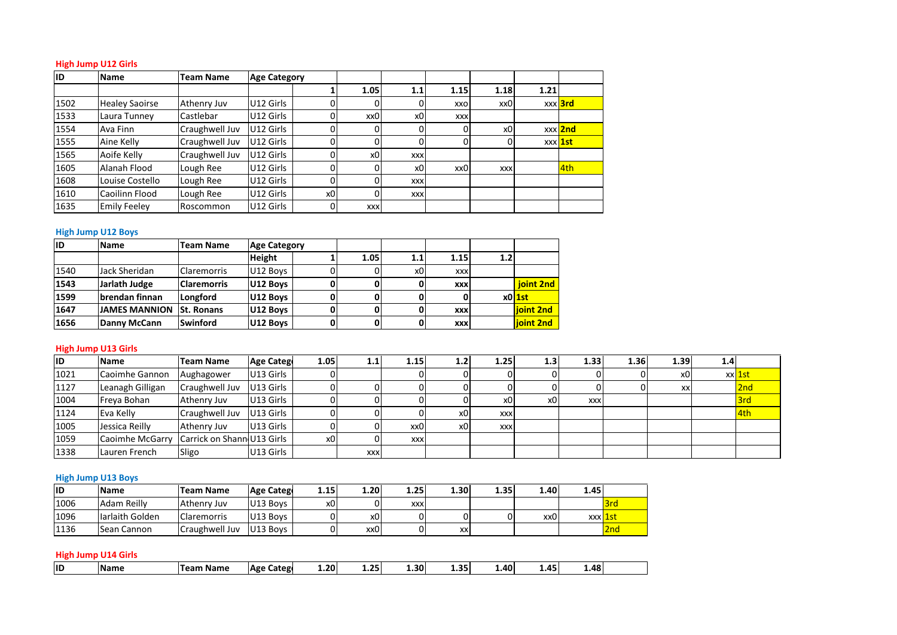## **Jump U12 Girls** High Jump U12 Girls

| ID   | <b>High Jump U12 Girls</b><br><b>Name</b> | <b>Team Name</b> | <b>Age Category</b> |                |            |                |            |                |      |                |
|------|-------------------------------------------|------------------|---------------------|----------------|------------|----------------|------------|----------------|------|----------------|
|      |                                           |                  |                     |                | 1.05       | 1.1            | 1.15       | 1.18           | 1.21 |                |
| 1502 | <b>Healey Saoirse</b>                     | Athenry Juv      | U12 Girls           | 0              | 0          | 0              | XXO        | xx0            |      | xxx 3rd        |
| 1533 | Laura Tunney                              | Castlebar        | U12 Girls           | $\overline{0}$ | xx0        | x <sub>0</sub> | <b>XXX</b> |                |      |                |
| 1554 | Ava Finn                                  | Craughwell Juv   | U12 Girls           | 0              | 0          | 0              | 0          | x <sub>0</sub> |      | xxx 2nd        |
| 1555 | Aine Kelly                                | Craughwell Juv   | U12 Girls           | 0              | 0          | 0              | 0          | $\Omega$       |      | xxx <b>1st</b> |
| 1565 | Aoife Kelly                               | Craughwell Juv   | U12 Girls           | 0              | x0         | <b>XXX</b>     |            |                |      |                |
| 1605 | Alanah Flood                              | Lough Ree        | U12 Girls           | $\mathbf 0$    | 0          | x0             | xx0        | <b>XXX</b>     |      | 4th            |
| 1608 | Louise Costello                           | Lough Ree        | U12 Girls           | $\mathbf{0}$   | $\Omega$   | <b>XXX</b>     |            |                |      |                |
| 1610 | Caoilinn Flood                            | Lough Ree        | U12 Girls           | x0             | $\Omega$   | <b>XXX</b>     |            |                |      |                |
| 1635 | <b>Emily Feeley</b>                       | Roscommon        | U12 Girls           | $\mathbf 0$    | <b>XXX</b> |                |            |                |      |                |
|      |                                           |                  |                     |                |            |                |            |                |      |                |
|      | <b>High Jump U12 Boys</b>                 |                  |                     |                |            |                |            |                |      |                |
| ID   | <b>Age Category</b><br>Name<br>Team Name  |                  |                     |                |            |                |            |                |      |                |
|      |                                           |                  | Height              |                | 1.05       | 1.1            | 1.15       | 1.2            |      |                |

#### **High Jump U12 Boys**

| 1610 | Caoilinn Flood             | Lough Ree          | U12 Girls           | x0   | $\Omega$   | <b>XXX</b> |            |                  |           |      |          |      |        |  |
|------|----------------------------|--------------------|---------------------|------|------------|------------|------------|------------------|-----------|------|----------|------|--------|--|
| 1635 | <b>Emily Feeley</b>        | Roscommon          | U12 Girls           |      | <b>XXX</b> |            |            |                  |           |      |          |      |        |  |
|      |                            |                    |                     |      |            |            |            |                  |           |      |          |      |        |  |
|      | <b>High Jump U12 Boys</b>  |                    |                     |      |            |            |            |                  |           |      |          |      |        |  |
| ID   | <b>Name</b>                | <b>Team Name</b>   | <b>Age Category</b> |      |            |            |            |                  |           |      |          |      |        |  |
|      |                            |                    | <b>Height</b>       |      | 1.05       | 1.1        | 1.15       | 1.2 <sub>1</sub> |           |      |          |      |        |  |
| 1540 | Jack Sheridan              | <b>Claremorris</b> | U12 Boys            |      |            | x0         | <b>XXX</b> |                  |           |      |          |      |        |  |
| 1543 | Jarlath Judge              | <b>Claremorris</b> | U12 Boys            |      |            | 0          | <b>XXX</b> |                  | joint 2nd |      |          |      |        |  |
| 1599 | brendan finnan             | Longford           | U12 Boys            | 0    |            | 0          |            |                  | $x0$ 1st  |      |          |      |        |  |
| 1647 | <b>JAMES MANNION</b>       | <b>St. Ronans</b>  | U12 Boys            |      |            | 0          | <b>XXX</b> |                  | ioint 2nd |      |          |      |        |  |
| 1656 | Danny McCann               | Swinford           | U12 Boys            | 0    | 0          | 0          | <b>XXX</b> |                  | ioint 2nd |      |          |      |        |  |
|      |                            |                    |                     |      |            |            |            |                  |           |      |          |      |        |  |
|      | <b>High Jump U13 Girls</b> |                    |                     |      |            |            |            |                  |           |      |          |      |        |  |
| ID   | <b>Name</b>                | <b>Team Name</b>   | <b>Age Catego</b>   | 1.05 | 1.1        | 1.15       | 1.2        | 1.25             | 1.3       | 1.33 | 1.36     | 1.39 | 1.4    |  |
| 1021 | lCaoimhe Gannon            | Aughagower         | U13 Girls           |      |            | $\Omega$   |            |                  | ΩI        |      | $\Omega$ | x0   | xxldst |  |

#### High Jump U13 Girls

| 1647 | <b>JAMES MANNION</b>       | <b>St. Ronans</b>          | U12 Boys          | 01             | 0I         |            | <b>XXX</b> |            | <b>lioint 2nd</b> |            |      |      |     |        |
|------|----------------------------|----------------------------|-------------------|----------------|------------|------------|------------|------------|-------------------|------------|------|------|-----|--------|
| 1656 | Danny McCann               | <b>Swinford</b>            | U12 Boys          | 0              |            |            | XXX        |            | joint 2nd         |            |      |      |     |        |
|      | <b>High Jump U13 Girls</b> |                            |                   |                |            |            |            |            |                   |            |      |      |     |        |
| ID   | <b>Name</b>                | <b>Team Name</b>           | <b>Age Catego</b> | 1.05           | 1.1        | 1.15       | 1.2        | 1.25       | 1.3               | 1.33       | 1.36 | 1.39 | 1.4 |        |
| 1021 | Caoimhe Gannon             | Aughagower                 | U13 Girls         |                |            |            |            |            |                   |            |      | x0   |     | xx 1st |
| 1127 | Leanagh Gilligan           | Craughwell Juv             | U13 Girls         | $\Omega$       |            |            |            |            |                   |            |      | XX   |     | 2nd    |
| 1004 | Freya Bohan                | Athenry Juv                | U13 Girls         |                |            |            |            | x0         | x <sub>0</sub>    | <b>XXX</b> |      |      |     | 3rd    |
| 1124 | Eva Kelly                  | Craughwell Juv             | U13 Girls         |                |            |            | x0         | <b>XXX</b> |                   |            |      |      |     | 4th    |
| 1005 | Jessica Reilly             | Athenry Juv                | U13 Girls         | O١             |            | xx0        | x0         | <b>XXX</b> |                   |            |      |      |     |        |
| 1059 | Caoimhe McGarry            | Carrick on Shann U13 Girls |                   | x <sub>0</sub> |            | <b>XXX</b> |            |            |                   |            |      |      |     |        |
| 1338 | Lauren French              | Sligo                      | U13 Girls         |                | <b>XXX</b> |            |            |            |                   |            |      |      |     |        |
|      |                            |                            |                   |                |            |            |            |            |                   |            |      |      |     |        |
|      | <b>High Jump U13 Boys</b>  |                            |                   |                |            |            |            |            |                   |            |      |      |     |        |
| ID   | <b>Name</b>                | <b>Team Name</b>           | <b>Age Catego</b> | 1.15           | 1.20       | 1.25       | 1.30       | 1.35       | 1.40              | 1.45       |      |      |     |        |
| 1006 | Adam Reilly                | Athenry Juv                | U13 Boys          | x0             |            | <b>XXX</b> |            |            |                   |            | 3rd  |      |     |        |

#### **High Jump U13 Boys**

| lıD       | <b>Name</b>                                 | <b>Team Name</b>   | Age Catego        | 1.20 | 1.25       | 1.30       | 1.35 | 1.40 | 1.45 | 1.48 |                 |
|-----------|---------------------------------------------|--------------------|-------------------|------|------------|------------|------|------|------|------|-----------------|
|           | <b>High Jump U14 Girls</b>                  |                    |                   |      |            |            |      |      |      |      |                 |
| 1136      | lSean Cannon                                | Craughwell Juv     | U13 Boys          |      | xx0        |            | xxl  |      |      |      | 2 <sub>nd</sub> |
| 1096      | Iarlaith Golden                             | <b>Claremorris</b> | U13 Boys          |      | x0         |            |      |      | xx0  |      | xxx 1st         |
| 1006      | Adam Reilly                                 | Athenry Juv        | U13 Boys          | x0   |            | <b>XXX</b> |      |      |      |      | 3rd             |
| <b>ID</b> | Name                                        | <b>Team Name</b>   | <b>Age Catego</b> | 1.15 | 1.20       | 1.25       | 1.30 | 1.35 | 1.40 | 1.45 |                 |
|           | <b>High Jump U13 Boys</b>                   |                    |                   |      |            |            |      |      |      |      |                 |
|           |                                             |                    |                   |      |            |            |      |      |      |      |                 |
| 1338      | Lauren French                               | Sligo              | U13 Girls         |      | <b>XXX</b> |            |      |      |      |      |                 |
| 1059      | Caoimhe McGarry  Carrick on Shann U13 Girls |                    |                   | x0   | 0          | <b>XXX</b> |      |      |      |      |                 |

| ШD | <b>INam</b> | Name<br>Tean | .atego<br>Age | $\mathbf{0}$ | <b>25</b><br>∸∙∸ | 4.30 <sup>1</sup> | .,<br>--- | ا 40. | $\mathbf{A}^{\mathsf{r}}$ | 48<br>. то |  |
|----|-------------|--------------|---------------|--------------|------------------|-------------------|-----------|-------|---------------------------|------------|--|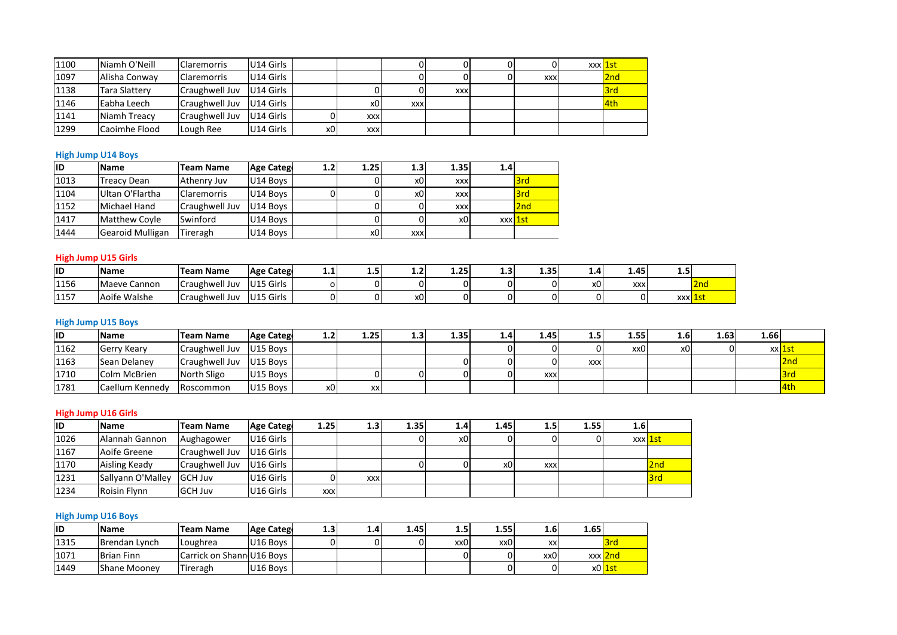| 1100 | Niamh O'Neill             | <b>Claremorris</b> | U14 Girls         |     |                | 0          | 0          | 0   | $\overline{0}$ | xxx 1st |
|------|---------------------------|--------------------|-------------------|-----|----------------|------------|------------|-----|----------------|---------|
| 1097 | Alisha Conway             | <b>Claremorris</b> | U14 Girls         |     |                | 0          | 0          | 0   | <b>XXX</b>     | 2nd     |
| 1138 | <b>Tara Slattery</b>      | Craughwell Juv     | U14 Girls         |     | $\overline{0}$ | 0          | <b>XXX</b> |     |                | 3rd     |
| 1146 | Eabha Leech               | Craughwell Juv     | U14 Girls         |     | x <sub>0</sub> | <b>XXX</b> |            |     |                | 4th     |
| 1141 | Niamh Treacy              | Craughwell Juv     | U14 Girls         | 0   | <b>XXX</b>     |            |            |     |                |         |
| 1299 | Caoimhe Flood             | Lough Ree          | U14 Girls         | x0  | <b>XXX</b>     |            |            |     |                |         |
|      |                           |                    |                   |     |                |            |            |     |                |         |
|      | <b>High Jump U14 Boys</b> |                    |                   |     |                |            |            |     |                |         |
| ID   | <b>Name</b>               | <b>Team Name</b>   | <b>Age Catego</b> | 1.2 | 1.25           | 1.3        | 1.35       | 1.4 |                |         |
| 1013 | <b>Treacy Dean</b>        | Athenry Juv        | U14 Boys          |     | $\Omega$       | xOI        | <b>XXX</b> |     | 3rd            |         |

#### High Jump U14 Boys

| 1141      | Niamh Treacy               | Craughwell Juv     | U14 Girls         | 0              | <b>XXX</b> |            |                |         |      |     |            |     |     |
|-----------|----------------------------|--------------------|-------------------|----------------|------------|------------|----------------|---------|------|-----|------------|-----|-----|
| 1299      | Caoimhe Flood              | Lough Ree          | U14 Girls         | x <sub>0</sub> | <b>XXX</b> |            |                |         |      |     |            |     |     |
|           |                            |                    |                   |                |            |            |                |         |      |     |            |     |     |
|           | <b>High Jump U14 Boys</b>  |                    |                   |                |            |            |                |         |      |     |            |     |     |
| ID        | <b>Name</b>                | <b>Team Name</b>   | <b>Age Catego</b> | 1.2            | 1.25       | 1.3        | 1.35           | 1.4     |      |     |            |     |     |
| 1013      | <b>Treacy Dean</b>         | Athenry Juv        | U14 Boys          |                |            | x0         | <b>XXX</b>     |         | 3rd  |     |            |     |     |
| 1104      | Ultan O'Flartha            | <b>Claremorris</b> | U14 Boys          | 0              |            | x0         | <b>XXX</b>     |         | 3rd  |     |            |     |     |
| 1152      | Michael Hand               | Craughwell Juv     | U14 Boys          |                | ΩI         |            | <b>XXX</b>     |         | 2nd  |     |            |     |     |
| 1417      | <b>Matthew Coyle</b>       | Swinford           | U14 Boys          |                | 0          |            | x <sub>0</sub> | xxx 1st |      |     |            |     |     |
| 1444      | Gearoid Mulligan           | Tireragh           | U14 Boys          |                | x0         | <b>XXX</b> |                |         |      |     |            |     |     |
|           |                            |                    |                   |                |            |            |                |         |      |     |            |     |     |
|           | <b>High Jump U15 Girls</b> |                    |                   |                |            |            |                |         |      |     |            |     |     |
| <b>ID</b> | <b>Name</b>                | <b>Team Name</b>   | <b>Age Catego</b> | 1.1            | 1.5        | 1.2        | 1.25           | 1.3     | 1.35 | 1.4 | 1.45       | 1.5 |     |
| 1156      | Maeve Cannon               | Craughwell Juv     | U15 Girls         | $\Omega$       |            |            | 0              |         |      | x0  | <b>XXX</b> |     | 2nd |

#### **High Jump U15 Girls**

| 1417 | Matthew Coyle              | <b>Swinford</b>          | U14 Boys          |     |               | 01             | x0   | xxx 1st |      |     |            |     |         |                      |  |
|------|----------------------------|--------------------------|-------------------|-----|---------------|----------------|------|---------|------|-----|------------|-----|---------|----------------------|--|
| 1444 | Gearoid Mulligan           | Tireragh                 | U14 Boys          |     | x0            | <b>XXX</b>     |      |         |      |     |            |     |         |                      |  |
|      |                            |                          |                   |     |               |                |      |         |      |     |            |     |         |                      |  |
|      | <b>High Jump U15 Girls</b> |                          |                   |     |               |                |      |         |      |     |            |     |         |                      |  |
| ID   | <b>Name</b>                | <b>Team Name</b>         | Age Catego        | 1.1 | $1.5^{\circ}$ | 1.2            | 1.25 | 1.3     | 1.35 | 1.4 | 1.45       | 1.5 |         |                      |  |
| 1156 | Maeve Cannon               | Craughwell Juv           | U15 Girls         |     |               |                |      |         |      | x0l | <b>XXX</b> |     | 2nd     |                      |  |
| 1157 | Aoife Walshe               | Craughwell Juv U15 Girls |                   |     |               | x <sub>0</sub> |      |         |      |     |            |     | xxx 1st |                      |  |
|      |                            |                          |                   |     |               |                |      |         |      |     |            |     |         |                      |  |
|      | <b>High Jump U15 Boys</b>  |                          |                   |     |               |                |      |         |      |     |            |     |         |                      |  |
| ID   | <b>Name</b>                | <b>Team Name</b>         | <b>Age Catego</b> | 1.2 | 1.25          | 1.3            | 1.35 | 1.4     | 1.45 | 1.5 | 1.55       | 1.6 | 1.63    | 1.66                 |  |
| 1162 | Gerry Keary                | Craughwell Juv U15 Boys  |                   |     |               |                |      |         | 01   |     | xx0        | x0  |         | xxl <mark>1st</mark> |  |

| 1156      | Maeve Cannon               | Craughwell Juv   U15 Girls |                   | O    |      |      |                  | $\Omega$ |      | x0         | <b>XXX</b> |                      | 2nd  |      |          |
|-----------|----------------------------|----------------------------|-------------------|------|------|------|------------------|----------|------|------------|------------|----------------------|------|------|----------|
| 1157      | Aoife Walshe               | Craughwell Juv             | U15 Girls         |      |      | x0   |                  |          |      | 0          |            | xxx <mark>1st</mark> |      |      |          |
|           |                            |                            |                   |      |      |      |                  |          |      |            |            |                      |      |      |          |
|           | <b>High Jump U15 Boys</b>  |                            |                   |      |      |      |                  |          |      |            |            |                      |      |      |          |
| <b>ID</b> | Name                       | Team Name                  | <b>Age Catego</b> | 1.2  | 1.25 | 1.3  | 1.35             | 1.4      | 1.45 | 1.5        | 1.55       | 1.6                  | 1.63 | 1.66 |          |
| 1162      | Gerry Keary                | Craughwell Juv             | U15 Boys          |      |      |      |                  |          |      | 0          | xx0        | x0                   |      |      | $xx$ 1st |
| 1163      | Sean Delaney               | Craughwell Juv             | U15 Boys          |      |      |      |                  |          |      | <b>XXX</b> |            |                      |      |      | 2nd      |
| 1710      | <b>Colm McBrien</b>        | North Sligo                | U15 Boys          |      |      |      |                  |          | XXX  |            |            |                      |      |      | 3rd      |
| 1781      | Caellum Kennedy            | Roscommon                  | U15 Boys          | x0   | XX   |      |                  |          |      |            |            |                      |      |      | 4th      |
|           |                            |                            |                   |      |      |      |                  |          |      |            |            |                      |      |      |          |
|           | <b>High Jump U16 Girls</b> |                            |                   |      |      |      |                  |          |      |            |            |                      |      |      |          |
| ID        | Name                       | Team Name                  | Age Catego        | 1.25 | 1.3  | 1.35 | 1.4 <sub>1</sub> | 1.45     | 1.5  | 1.55       | 1.6        |                      |      |      |          |
| 1026      | Alannah Gannon             | Aughagower                 | U16 Girls         |      |      |      | x0               |          |      | $\Omega$   | xxx 1st    |                      |      |      |          |

#### High Jump U16 Girls

| 1710      | Colm McBrien               | North Sligo      | U15 Boys          |            |            | 0        | $\Omega$ | 01             | <b>XXX</b> |      |     |         |
|-----------|----------------------------|------------------|-------------------|------------|------------|----------|----------|----------------|------------|------|-----|---------|
| 1781      | Caellum Kennedy            | Roscommon        | U15 Boys          | x0         | xx         |          |          |                |            |      |     |         |
|           |                            |                  |                   |            |            |          |          |                |            |      |     |         |
|           | <b>High Jump U16 Girls</b> |                  |                   |            |            |          |          |                |            |      |     |         |
| <b>ID</b> | <b>Name</b>                | <b>Team Name</b> | <b>Age Catego</b> | 1.25       | 1.3        | 1.35     | 1.4      | 1.45           | 1.5        | 1.55 | 1.6 |         |
| 1026      | Alannah Gannon             | Aughagower       | U16 Girls         |            |            | 0        | x0       | 0              | 0          |      |     | xxx 1st |
| 1167      | Aoife Greene               | Craughwell Juv   | U16 Girls         |            |            |          |          |                |            |      |     |         |
| 1170      | Aisling Keady              | Craughwell Juv   | U16 Girls         |            |            | 0        | $\Omega$ | x <sub>0</sub> | <b>XXX</b> |      |     | 2nd     |
| 1231      | Sallyann O'Malley          | <b>GCH Juv</b>   | U16 Girls         | 0          | <b>XXX</b> |          |          |                |            |      |     | 3rd     |
| 1234      | <b>Roisin Flynn</b>        | <b>GCH Juv</b>   | U16 Girls         | <b>XXX</b> |            |          |          |                |            |      |     |         |
|           |                            |                  |                   |            |            |          |          |                |            |      |     |         |
|           | <b>High Jump U16 Boys</b>  |                  |                   |            |            |          |          |                |            |      |     |         |
| lid       | <b>Name</b>                | <b>Team Name</b> | <b>Age Catego</b> | 1.3        | 1.4        | 1.45     | 1.5      | 1.55           | 1.6        | 1.65 |     |         |
| 1315      | lBrendan Lvnch             | Loughrea         | U16 Boys          | 01         |            | $\Omega$ | xx0      | xx0            | <b>XX</b>  |      | 3rd |         |

| 1231      | ISallvann O'Mallev        | IGCH Juv                  | U16 Girls  |            | <b>XXX</b> |      |     |      |                |      |          | 3r |
|-----------|---------------------------|---------------------------|------------|------------|------------|------|-----|------|----------------|------|----------|----|
| 1234      | <b>Roisin Flynn</b>       | <b>GCH Juv</b>            | U16 Girls  | <b>XXX</b> |            |      |     |      |                |      |          |    |
|           | <b>High Jump U16 Boys</b> |                           |            |            |            |      |     |      |                |      |          |    |
| <b>ID</b> | <b>Name</b>               | <b>Team Name</b>          | Age Catego | 1.3        | 1.41       | 1.45 | 1.5 | 1.55 | 1.6            | 1.65 |          |    |
| 1315      | Brendan Lynch             | Loughrea                  | U16 Boys   |            |            |      | xx0 | xx0  | xxl            |      | 3rd      |    |
| 1071      | <b>Brian Finn</b>         | Carrick on Shann U16 Boys |            |            |            |      |     |      | xx0            |      | xxx 2nd  |    |
| 1449      | <b>Shane Mooney</b>       | Tireragh                  | U16 Boys   |            |            |      |     |      | $\overline{0}$ |      | $x0$ 1st |    |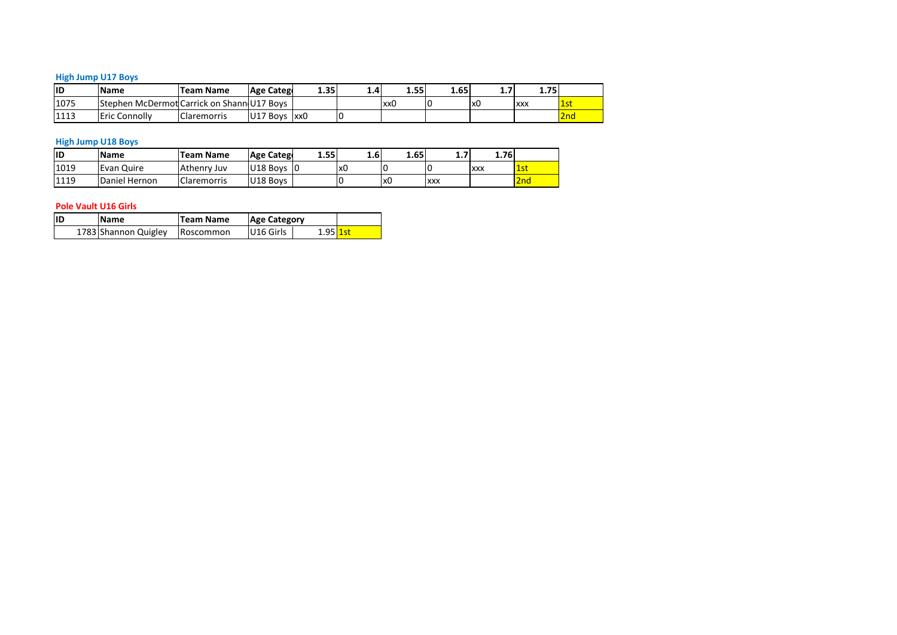## **Jump U17 Boys <u>Hi</u>**

|           | <b>High Jump U17 Boys</b>                  |                    |                         |      |     |      |      |                |            |     |
|-----------|--------------------------------------------|--------------------|-------------------------|------|-----|------|------|----------------|------------|-----|
| <b>ID</b> | <b>Name</b>                                | <b>Team Name</b>   | <b>Age Catego</b>       | 1.35 | 1.4 | 1.55 | 1.65 | 1.7            | 1.75       |     |
| 1075      | Stephen McDermot Carrick on Shann U17 Boys |                    |                         |      |     | xx0  | C    | x <sub>0</sub> | <b>XXX</b> | 1st |
| 1113      | <b>Eric Connolly</b>                       | <b>Claremorris</b> | U17 Boys xx0            |      | 0   |      |      |                |            | 2nd |
|           |                                            |                    |                         |      |     |      |      |                |            |     |
|           | <b>High Jump U18 Boys</b>                  |                    |                         |      |     |      |      |                |            |     |
| <b>ID</b> | <b>Name</b>                                | <b>Team Name</b>   | <b>Age Catego</b>       | 1.55 | 1.6 | 1.65 | 1.7  | 1.76           |            |     |
| 1019      | Evan Ouire                                 | Athenry Juv        | U <sub>18</sub> Boys 10 |      | lx0 |      |      | <b>XXX</b>     | 1st        |     |

#### **High Jump U18 Boys**

| 1075 |                             |               | Stephen McDermot Carrick on Shann U17 Boys |                     |      |            | xx0  | 10         | lx0        | <b>XXX</b>      | $\overline{\textbf{1}}$ s |
|------|-----------------------------|---------------|--------------------------------------------|---------------------|------|------------|------|------------|------------|-----------------|---------------------------|
| 1113 | Eric Connolly               |               | <b>Claremorris</b>                         | U17 Boys xx0        |      | 0          |      |            |            |                 | 2r                        |
|      |                             |               |                                            |                     |      |            |      |            |            |                 |                           |
|      | <b>High Jump U18 Boys</b>   |               |                                            |                     |      |            |      |            |            |                 |                           |
| ID   | <b>Name</b>                 |               | Team Name                                  | <b>Age Catego</b>   | 1.55 | 1.6        | 1.65 | 1.7        | 1.76       |                 |                           |
| 1019 | Evan Quire                  |               | Athenry Juv                                | $U18$ Boys $ 0$     |      | x0         | 0    |            | <b>XXX</b> | 1st             |                           |
| 1119 |                             | Daniel Hernon | <b>Claremorris</b>                         | U18 Boys            |      | 0          | x0   | <b>XXX</b> |            | 2 <sub>nd</sub> |                           |
|      |                             |               |                                            |                     |      |            |      |            |            |                 |                           |
|      | <b>Pole Vault U16 Girls</b> |               |                                            |                     |      |            |      |            |            |                 |                           |
| ID   | <b>Name</b>                 |               | Team Name                                  | <b>Age Category</b> |      |            |      |            |            |                 |                           |
|      | 1783 Shannon Quigley        |               | <b>Roscommon</b>                           | U16 Girls           |      | $1.95$ 1st |      |            |            |                 |                           |

| <b>Name</b>          | Team Name | <b>Age Category</b> |              |  |
|----------------------|-----------|---------------------|--------------|--|
| 1783 Shannon Quigley | Roscommon | U16 Girls           | $1.95$ $15'$ |  |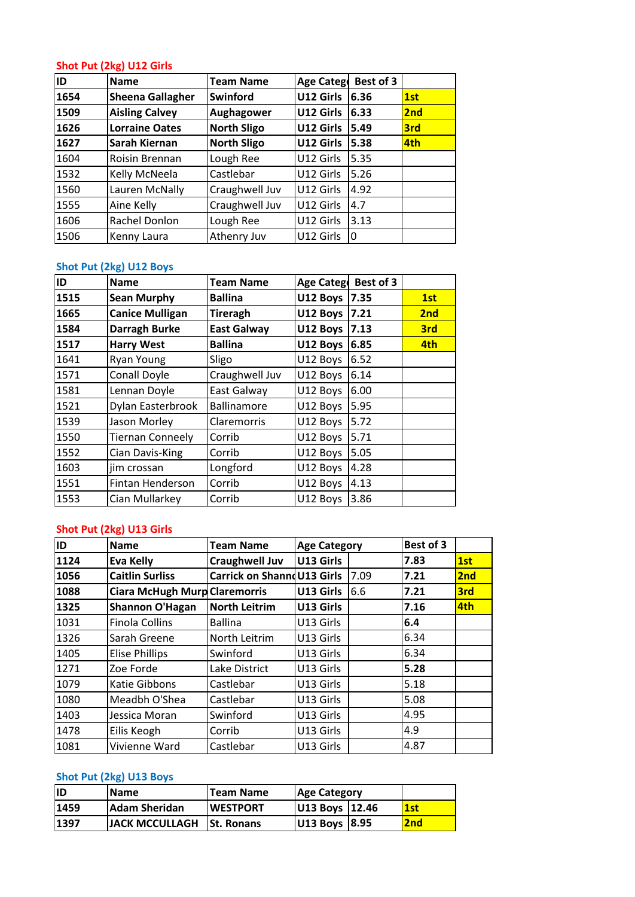## **Put (2kg) U12 Girls** <u>Shot</u>

| ID   | Shot Put (2kg) U12 Girls<br><b>Name</b> | <b>Team Name</b>   | Age Catego            | Best of 3 |     |
|------|-----------------------------------------|--------------------|-----------------------|-----------|-----|
| 1654 | <b>Sheena Gallagher</b>                 | <b>Swinford</b>    | U12 Girls             | 6.36      | 1st |
| 1509 | <b>Aisling Calvey</b>                   | <b>Aughagower</b>  | U12 Girls             | 6.33      | 2nd |
| 1626 | <b>Lorraine Oates</b>                   | <b>North Sligo</b> | U12 Girls             | 5.49      | 3rd |
| 1627 | Sarah Kiernan                           | <b>North Sligo</b> | U12 Girls             | 5.38      | 4th |
| 1604 | Roisin Brennan                          | Lough Ree          | U12 Girls             | 5.35      |     |
| 1532 | Kelly McNeela                           | Castlebar          | U12 Girls             | 5.26      |     |
| 1560 | Lauren McNally                          | Craughwell Juv     | U12 Girls             | 4.92      |     |
| 1555 | Aine Kelly                              | Craughwell Juv     | U12 Girls             | 4.7       |     |
| 1606 | Rachel Donlon                           | Lough Ree          | U12 Girls             | 3.13      |     |
| 1506 | Kenny Laura                             | Athenry Juv        | U12 Girls             | 0         |     |
|      |                                         |                    |                       |           |     |
|      | <b>Shot Put (2kg) U12 Boys</b>          |                    |                       |           |     |
| ID   | <b>Name</b>                             | <b>Team Name</b>   | <b>Age Catego</b>     | Best of 3 |     |
| 1515 | Sean Murphy                             | <b>Ballina</b>     | <b>U12 Boys 17.35</b> |           | 1st |

## <u>Shot</u>

| 1124 | Eva Kelly                | <b>Craughwell Juv</b> | U13 Girls           |           | 7.83            | 1st |
|------|--------------------------|-----------------------|---------------------|-----------|-----------------|-----|
| ID   | <b>Name</b>              | <b>Team Name</b>      | <b>Age Category</b> |           | Best of 3       |     |
|      | Shot Put (2kg) U13 Girls |                       |                     |           |                 |     |
| 1553 | Cian Mullarkey           | Corrib                | U12 Boys            | 3.86      |                 |     |
| 1551 | <b>Fintan Henderson</b>  | Corrib                | U12 Boys            | 4.13      |                 |     |
| 1603 | iim crossan              | Longford              | U12 Boys            | 4.28      |                 |     |
| 1552 | Cian Davis-King          | Corrib                | U12 Boys            | 5.05      |                 |     |
| 1550 | Tiernan Conneely         | Corrib                | U12 Boys            | 5.71      |                 |     |
| 1539 | Jason Morley             | Claremorris           | U12 Boys            | 5.72      |                 |     |
| 1521 | Dylan Easterbrook        | Ballinamore           | U12 Boys            | 5.95      |                 |     |
| 1581 | Lennan Doyle             | East Galway           | U12 Boys            | 6.00      |                 |     |
| 1571 | Conall Doyle             | Craughwell Juv        | U12 Boys            | 6.14      |                 |     |
| 1641 | Ryan Young               | Sligo                 | U12 Boys            | 6.52      |                 |     |
| 1517 | <b>Harry West</b>        | <b>Ballina</b>        | U12 Boys            | 6.85      | 4th             |     |
| 1584 | Darragh Burke            | <b>East Galway</b>    | U12 Boys            | 7.13      | 3rd             |     |
| 1665 | <b>Canice Mulligan</b>   | <b>Tireragh</b>       | U12 Boys            | 7.21      | 2 <sub>nd</sub> |     |
| 1515 | <b>Sean Murphy</b>       | <b>Ballina</b>        | U12 Boys            | 7.35      | 1st             |     |
| ID   | <b>Name</b>              | <b>Team Name</b>      | Age Catego          | Best of 3 |                 |     |
|      | Shot Put (2kg) U12 Boys  |                       |                     |           |                 |     |
| 1506 | Kenny Laura              | Athenry Juv           | U12 Girls           | 0         |                 |     |
| 1606 | Rachel Donlon            | Lough Ree             | U12 Girls           | 3.13      |                 |     |

## Shot Put (2kg) U13 Girls

| 1553 |                                      |                             | U12 Boys            | 4.13 |           |     |
|------|--------------------------------------|-----------------------------|---------------------|------|-----------|-----|
|      | Cian Mullarkey                       | Corrib                      | U12 Boys 3.86       |      |           |     |
|      | Shot Put (2kg) U13 Girls             |                             |                     |      |           |     |
| ID   | <b>Name</b>                          | <b>Team Name</b>            | <b>Age Category</b> |      | Best of 3 |     |
| 1124 | <b>Eva Kelly</b>                     | <b>Craughwell Juv</b>       | U13 Girls           |      | 7.83      | 1st |
| 1056 | <b>Caitlin Surliss</b>               | Carrick on Shannd U13 Girls |                     | 7.09 | 7.21      | 2nd |
| 1088 | <b>Ciara McHugh Murp Claremorris</b> |                             | U13 Girls           | 6.6  | 7.21      | 3rd |
| 1325 | <b>Shannon O'Hagan</b>               | <b>North Leitrim</b>        | U13 Girls           |      | 7.16      | 4th |
| 1031 | <b>Finola Collins</b>                | <b>Ballina</b>              | U13 Girls           |      | 6.4       |     |
| 1326 | Sarah Greene                         | North Leitrim               | U13 Girls           |      | 6.34      |     |
| 1405 | <b>Elise Phillips</b>                | Swinford                    | U13 Girls           |      | 6.34      |     |
| 1271 | Zoe Forde                            | Lake District               | U13 Girls           |      | 5.28      |     |
| 1079 | Katie Gibbons                        | Castlebar                   | U13 Girls           |      | 5.18      |     |
| 1080 | Meadbh O'Shea                        | Castlebar                   | U13 Girls           |      | 5.08      |     |
| 1403 | Jessica Moran                        | Swinford                    | U13 Girls           |      | 4.95      |     |
| 1478 | Eilis Keogh                          | Corrib                      | U13 Girls           |      | 4.9       |     |
| 1081 | Vivienne Ward                        | Castlebar                   | U13 Girls           |      | 4.87      |     |

| 1478 | Eilis Keogh             | Corrib            | U13 Girls           | 4.9  |
|------|-------------------------|-------------------|---------------------|------|
| 1081 | Vivienne Ward           | Castlebar         | U13 Girls           | 4.87 |
|      | Shot Put (2kg) U13 Boys |                   |                     |      |
| lID  | <b>Name</b>             | <b>Team Name</b>  | <b>Age Category</b> |      |
| 1459 | <b>Adam Sheridan</b>    | <b>WESTPORT</b>   | U13 Boys<br>12.46   | 1st  |
| 1397 | <b>JACK MCCULLAGH</b>   | <b>St. Ronans</b> | U13 Boys<br>18.95   | 2nd  |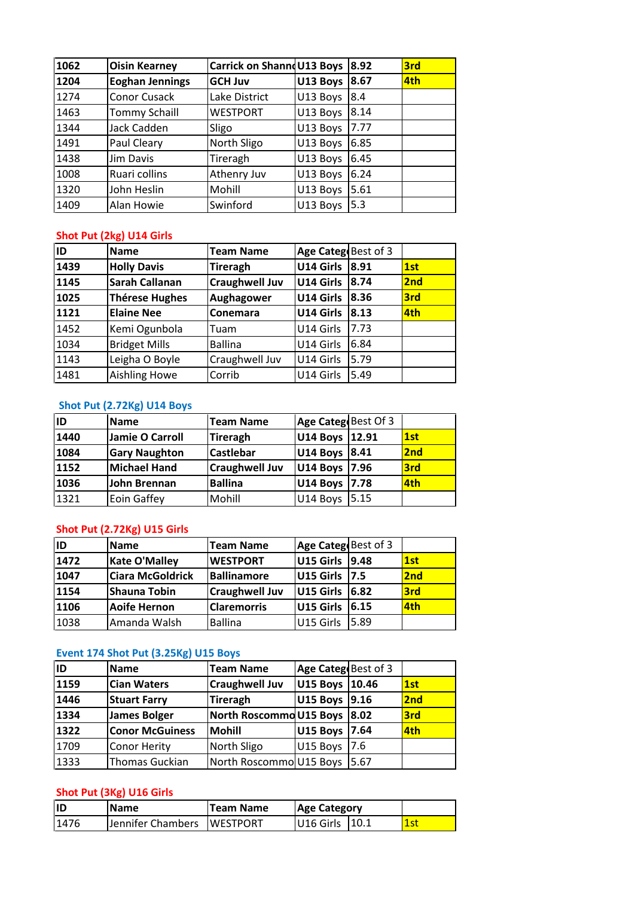| 1062 | <b>Oisin Kearney</b>     | Carrick on Shannd U13 Boys |                        | 8.92 | 3rd |
|------|--------------------------|----------------------------|------------------------|------|-----|
| 1204 | <b>Eoghan Jennings</b>   | <b>GCH Juv</b>             | U13 Boys               | 8.67 | 4th |
| 1274 | Conor Cusack             | Lake District              | U13 Boys               | 8.4  |     |
| 1463 | <b>Tommy Schaill</b>     | <b>WESTPORT</b>            | U13 Boys               | 8.14 |     |
| 1344 | Jack Cadden              | Sligo                      | U13 Boys               | 7.77 |     |
| 1491 | Paul Cleary              | North Sligo                | U13 Boys               | 6.85 |     |
| 1438 | Jim Davis                | Tireragh                   | U13 Boys               | 6.45 |     |
| 1008 | Ruari collins            | Athenry Juv                | U13 Boys               | 6.24 |     |
| 1320 | John Heslin              | Mohill                     | U13 Boys               | 5.61 |     |
| 1409 | Alan Howie               | Swinford                   | U13 Boys               | 5.3  |     |
|      |                          |                            |                        |      |     |
|      | Shot Put (2kg) U14 Girls |                            |                        |      |     |
| ID   | <b>Name</b>              | <b>Team Name</b>           | Age Categ Best of 3    |      |     |
| 1439 | <b>Holly Davis</b>       | Tireragh                   | <b>U14 Girls 18.91</b> |      | 1st |

### Shot Put (2kg) U14 Girls

| 1440 | <b>Jamie O Carroll</b>     | Tireragh              | U14 Boys 12.91      |      | 1st |
|------|----------------------------|-----------------------|---------------------|------|-----|
| ID   | <b>Name</b>                | <b>Team Name</b>      | Age Categ Best Of 3 |      |     |
|      | Shot Put (2.72Kg) U14 Boys |                       |                     |      |     |
| 1481 | <b>Aishling Howe</b>       | Corrib                | U14 Girls           | 5.49 |     |
| 1143 | Leigha O Boyle             | Craughwell Juv        | U14 Girls           | 5.79 |     |
| 1034 | <b>Bridget Mills</b>       | <b>Ballina</b>        | U14 Girls           | 6.84 |     |
| 1452 | Kemi Ogunbola              | Tuam                  | U14 Girls           | 7.73 |     |
| 1121 | <b>Elaine Nee</b>          | Conemara              | U14 Girls           | 8.13 | 4th |
| 1025 | <b>Thérese Hughes</b>      | Aughagower            | U14 Girls           | 8.36 | 3rd |
| 1145 | <b>Sarah Callanan</b>      | <b>Craughwell Juv</b> | U14 Girls           | 8.74 | 2nd |
| 1439 | <b>Holly Davis</b>         | Tireragh              | U14 Girls           | 8.91 | 1st |
| ID   | <b>Name</b>                | <b>Team Name</b>      | Age Categ Best of 3 |      |     |
|      | Shot Put (2kg) U14 Girls   |                       |                     |      |     |
| 1409 | Alan Howie                 | Swinford              | U13 Boys            | 5.3  |     |
| 1320 | John Heslin                | Mohill                | U13 Boys            | 5.61 |     |

### <u>Shot</u>

| 1143 | Leigha O Boyle              | Craughwell Juv        | U14 Girls              | 5.79  |            |
|------|-----------------------------|-----------------------|------------------------|-------|------------|
| 1481 | <b>Aishling Howe</b>        | Corrib                | U14 Girls              | 5.49  |            |
|      | Shot Put (2.72Kg) U14 Boys  |                       |                        |       |            |
| ID   | <b>Name</b>                 | <b>Team Name</b>      | Age Categ Best Of 3    |       |            |
| 1440 | Jamie O Carroll             | Tireragh              | U14 Boys               | 12.91 | 1st        |
| 1084 | <b>Gary Naughton</b>        | <b>Castlebar</b>      | U14 Boys               | 8.41  | 2nd        |
| 1152 | <b>Michael Hand</b>         | <b>Craughwell Juv</b> | U14 Boys               | 7.96  | <b>3rd</b> |
| 1036 | John Brennan                | <b>Ballina</b>        | U14 Boys               | 7.78  | 4th        |
| 1321 | Eoin Gaffey                 | Mohill                | U14 Boys               | 5.15  |            |
|      | Shot Put (2.72Kg) U15 Girls |                       |                        |       |            |
| ID   | <b>Name</b>                 | <b>Team Name</b>      | Age Categ Best of 3    |       |            |
| 1472 | <b>Kate O'Mallev</b>        | <b>WESTPORT</b>       | <b>U15 Girls 19.48</b> |       | 1st        |

### <u>Shot</u>

| 1036 | John Brennan                         | <b>Ballina</b>        | U14 Boys            | 17.78 | <b>4th</b> |
|------|--------------------------------------|-----------------------|---------------------|-------|------------|
| 1321 | Eoin Gaffey                          | Mohill                | U14 Boys            | 5.15  |            |
|      | Shot Put (2.72Kg) U15 Girls          |                       |                     |       |            |
| ID   | <b>Name</b>                          | <b>Team Name</b>      | Age Categ Best of 3 |       |            |
| 1472 | <b>Kate O'Malley</b>                 | <b>WESTPORT</b>       | U15 Girls           | 9.48  | 1st        |
| 1047 | <b>Ciara McGoldrick</b>              | <b>Ballinamore</b>    | U15 Girls           | 7.5   | 2nd        |
| 1154 | <b>Shauna Tobin</b>                  | <b>Craughwell Juv</b> | U15 Girls           | 6.82  | 3rd        |
| 1106 | <b>Aoife Hernon</b>                  | <b>Claremorris</b>    | U15 Girls           | 6.15  | 4th        |
| 1038 | Amanda Walsh                         | <b>Ballina</b>        | U15 Girls           | 5.89  |            |
|      | Event 174 Shot Put (3.25Kg) U15 Boys |                       |                     |       |            |
| ID   | <b>Name</b>                          | <b>Team Name</b>      | Age Categ Best of 3 |       |            |
| 1159 | <b>Cian Waters</b>                   | lCraughwell Juv       | U15 Boys 10.46      |       | 1st        |

#### Event 174 Shot Put (3.25Kg) U15 Boys

| 1106 | <b>Aoife Hernon</b>                  | <b>Claremorris</b>      | U15 Girls           | 6.15  | <b>4th</b> |
|------|--------------------------------------|-------------------------|---------------------|-------|------------|
| 1038 | Amanda Walsh                         | <b>Ballina</b>          | U15 Girls           | 5.89  |            |
|      |                                      |                         |                     |       |            |
|      | Event 174 Shot Put (3.25Kg) U15 Boys |                         |                     |       |            |
| ID   | <b>Name</b>                          | <b>Team Name</b>        | Age Categ Best of 3 |       |            |
| 1159 | <b>Cian Waters</b>                   | <b>Craughwell Juv</b>   | U15 Boys            | 10.46 | 1st        |
| 1446 | <b>Stuart Farry</b>                  | <b>Tireragh</b>         | U15 Boys            | 9.16  | 2nd        |
| 1334 | <b>James Bolger</b>                  | North Roscommo U15 Boys |                     | 8.02  | 3rd        |
| 1322 | <b>Conor McGuiness</b>               | <b>Mohill</b>           | U15 Boys            | 7.64  | 4th        |
| 1709 | <b>Conor Herity</b>                  | North Sligo             | U15 Boys            | 7.6   |            |
| 1333 | Thomas Guckian                       | North Roscommo U15 Boys |                     | 5.67  |            |
|      |                                      |                         |                     |       |            |
|      | Shot Put (3Kg) U16 Girls             |                         |                     |       |            |
| İD   | <b>Name</b>                          | <b>Team Name</b>        | <b>Age Category</b> |       |            |
| 1476 | Jennifer Chambers                    | <b>WESTPORT</b>         | U16 Girls           | 10.1  | 1st        |

| lid  | <b>IName</b>                 | Team Name | <b>Age Category</b> |       |
|------|------------------------------|-----------|---------------------|-------|
| 1476 | Jennifer Chambers   WESTPORT |           | U16 Girls   10.1    | l 1st |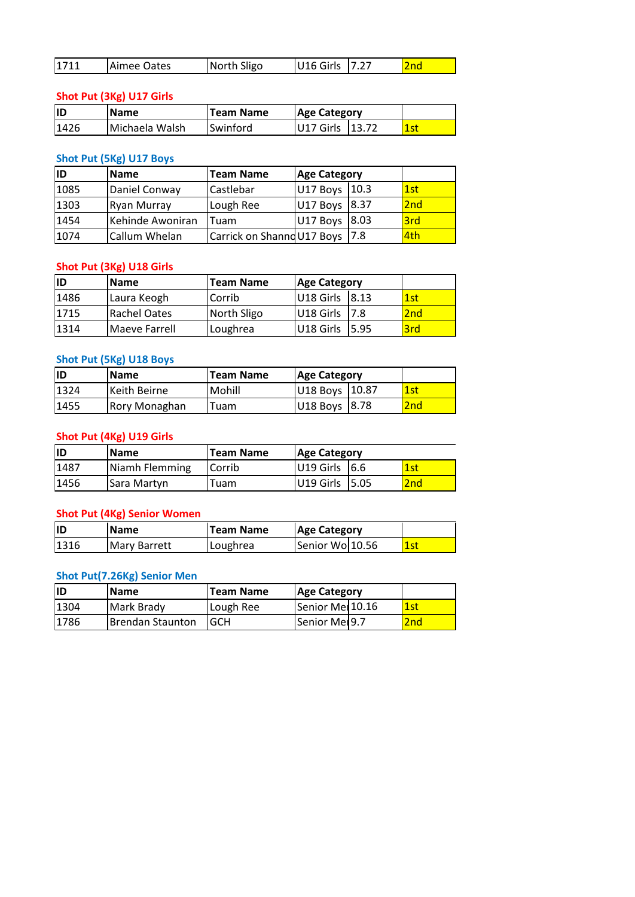| 1711<br>U16 Girls<br>7.27<br>2nd<br>North Sligo<br>Aimee Oates<br>Shot Put (3Kg) U17 Girls |
|--------------------------------------------------------------------------------------------|
|                                                                                            |
|                                                                                            |
|                                                                                            |

#### Shot Put (3Kg) U17 Girls

| 1711 | Aimee Oates              | North Sligo | U16 Girls           | 7.27  | 2nd |
|------|--------------------------|-------------|---------------------|-------|-----|
|      |                          |             |                     |       |     |
|      | Shot Put (3Kg) U17 Girls |             |                     |       |     |
| ID   | <b>Name</b>              | Team Name   | <b>Age Category</b> |       |     |
| 1426 | Michaela Walsh           | Swinford    | U17 Girls           | 13.72 | 1st |
|      |                          |             |                     |       |     |
|      | Shot Put (5Kg) U17 Boys  |             |                     |       |     |
| ID   | <b>Name</b>              | Team Name   | <b>Age Category</b> |       |     |
| 1085 | Daniel Conway            | Castlebar   | U17 Boys 10.3       |       | 1st |

| ID   | <b>Name</b>              | <b>Team Name</b>           | <b>Age Category</b> |       |     |
|------|--------------------------|----------------------------|---------------------|-------|-----|
| 1426 | Michaela Walsh           | Swinford                   | U17 Girls           | 13.72 | 1st |
|      |                          |                            |                     |       |     |
|      | Shot Put (5Kg) U17 Boys  |                            |                     |       |     |
| ID   | <b>Name</b>              | <b>Team Name</b>           | <b>Age Category</b> |       |     |
| 1085 | Daniel Conway            | Castlebar                  | U17 Boys            | 10.3  | 1st |
| 1303 | <b>Ryan Murray</b>       | Lough Ree                  | U17 Boys            | 8.37  | 2nd |
| 1454 | Kehinde Awoniran         | Tuam                       | U17 Boys            | 8.03  | 3rd |
| 1074 | Callum Whelan            | Carrick on Shanno U17 Boys |                     | 7.8   | 4th |
|      |                          |                            |                     |       |     |
|      | Shot Put (3Kg) U18 Girls |                            |                     |       |     |
| ID   | Name                     | <b>Team Name</b>           | <b>Age Category</b> |       |     |
| 1486 | Laura Keogh              | Corrib                     | U18 Girls           | 8.13  | 1st |

#### **Shot Put (3Kg) U18 Girls**

| 1454 | lKehinde Awoniran                       | Tuam                       | U17 Boys            | 18.03 | 3rd |
|------|-----------------------------------------|----------------------------|---------------------|-------|-----|
| 1074 | Callum Whelan                           | Carrick on Shanno U17 Boys |                     | 7.8   | 4th |
|      |                                         |                            |                     |       |     |
| ID   | Shot Put (3Kg) U18 Girls<br><b>Name</b> | <b>Team Name</b>           | <b>Age Category</b> |       |     |
| 1486 | Laura Keogh                             | Corrib                     | U18 Girls           | 8.13  | 1st |
| 1715 | <b>Rachel Oates</b>                     | North Sligo                | U18 Girls           | 7.8   | 2nd |
| 1314 | Maeve Farrell                           | Loughrea                   | U18 Girls           | 5.95  | 3rd |

### <u>Sh</u>

| 1715 | <b>Rachel Oates</b>      | North Sligo      | U18 Girls           | 7.8   | 2nd             |
|------|--------------------------|------------------|---------------------|-------|-----------------|
| 1314 | Maeve Farrell            | Loughrea         | U18 Girls           | 5.95  | 3rd             |
|      |                          |                  |                     |       |                 |
|      | Shot Put (5Kg) U18 Boys  |                  |                     |       |                 |
| ID   | <b>Name</b>              | <b>Team Name</b> | <b>Age Category</b> |       |                 |
| 1324 | Keith Beirne             | Mohill           | U18 Boys            | 10.87 | 1st             |
| 1455 | Rory Monaghan            | Tuam             | U18 Boys            | 8.78  | 2 <sub>nd</sub> |
|      | Shot Put (4Kg) U19 Girls |                  |                     |       |                 |
|      |                          |                  |                     |       |                 |
| ID   | <b>Name</b>              | <b>Team Name</b> | <b>Age Category</b> |       |                 |
| 1487 | <b>INiamh Flemming</b>   | Corrib           | U19 Girls           | 16.6  | 1st             |

## **Shot Put (4Kg) U19 Girls**

| 1324 | lKeith Beirne                      | Mohill           | U18 Boys 10.87      | l 1st |  |
|------|------------------------------------|------------------|---------------------|-------|--|
| 1455 | Rory Monaghan                      | Tuam             | U18 Boys<br>8.78    | 2nd   |  |
|      |                                    |                  |                     |       |  |
|      | Shot Put (4Kg) U19 Girls           |                  |                     |       |  |
| ID   | <b>Name</b>                        | <b>Team Name</b> | <b>Age Category</b> |       |  |
| 1487 | Niamh Flemming                     | Corrib           | U19 Girls<br>6.6    | 1st   |  |
| 1456 | Sara Martyn                        | Tuam             | U19 Girls<br>5.05   | 2nd   |  |
|      |                                    |                  |                     |       |  |
|      | <b>Shot Put (4Kg) Senior Women</b> |                  |                     |       |  |
| İID  | <b>Name</b>                        | <b>Team Name</b> | <b>Age Category</b> |       |  |
| 1316 | <b>Mary Barrett</b>                | Loughrea         | Senior Wol 10.56    | 1st   |  |

#### <u>Shot</u>

| 1456 | Sara Martyn                        | Tuam             | U19 Girls 15.05     | 2 <sub>nd</sub> |
|------|------------------------------------|------------------|---------------------|-----------------|
|      | <b>Shot Put (4Kg) Senior Women</b> |                  |                     |                 |
| lıd  | Name                               | <b>Team Name</b> | <b>Age Category</b> |                 |
| 1316 | <b>Mary Barrett</b>                | Loughrea         | Senior Wo 10.56     | 1st             |
|      | Shot Put(7.26Kg) Senior Men        |                  |                     |                 |
| İID  | <b>Name</b>                        | <b>Team Name</b> | <b>Age Category</b> |                 |
| 1304 | Mark Brady                         | Lough Ree        | Senior Mel 10.16    | 1st             |

| lID  | <b>Name</b>                        | <b>Team Name</b> | <b>Age Category</b> |     |
|------|------------------------------------|------------------|---------------------|-----|
| 1316 | <b>Mary Barrett</b>                | Loughrea         | Senior Wo 10.56     | 1st |
|      | <b>Shot Put(7.26Kg) Senior Men</b> |                  |                     |     |
| lıD  | <b>Name</b>                        | <b>Team Name</b> | <b>Age Category</b> |     |
| 1304 | Mark Brady                         | Lough Ree        | Senior Mel 10.16    | 1st |
| 1786 | <b>Brendan Staunton</b>            | <b>GCH</b>       | Senior Mer9.7       | 2nd |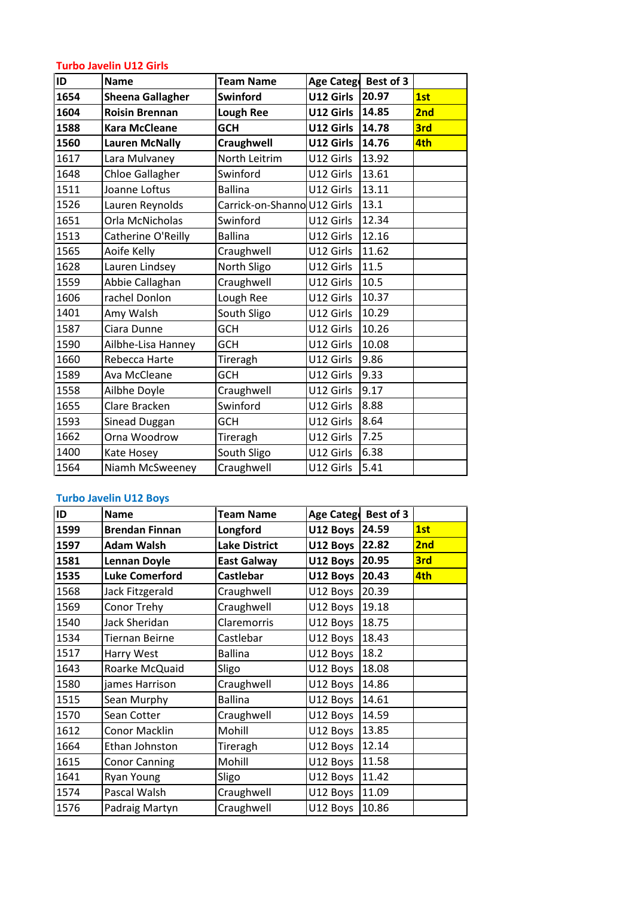## **Javelin U12 Girls Turbo Javelin U12 Girls**

|      | <b>Turbo Javelin U12 Girls</b> |                             |                      |       |     |
|------|--------------------------------|-----------------------------|----------------------|-------|-----|
| İID  | <b>Name</b>                    | <b>Team Name</b>            | Age Catego Best of 3 |       |     |
| 1654 | <b>Sheena Gallagher</b>        | Swinford                    | U12 Girls            | 20.97 | 1st |
| 1604 | <b>Roisin Brennan</b>          | <b>Lough Ree</b>            | U12 Girls            | 14.85 | 2nd |
| 1588 | <b>Kara McCleane</b>           | <b>GCH</b>                  | U12 Girls            | 14.78 | 3rd |
| 1560 | <b>Lauren McNally</b>          | <b>Craughwell</b>           | U12 Girls            | 14.76 | 4th |
| 1617 | Lara Mulvaney                  | North Leitrim               | U12 Girls            | 13.92 |     |
| 1648 | <b>Chloe Gallagher</b>         | Swinford                    | U12 Girls            | 13.61 |     |
| 1511 | Joanne Loftus                  | <b>Ballina</b>              | U12 Girls            | 13.11 |     |
| 1526 | Lauren Reynolds                | Carrick-on-Shanno U12 Girls |                      | 13.1  |     |
| 1651 | Orla McNicholas                | Swinford                    | U12 Girls            | 12.34 |     |
| 1513 | Catherine O'Reilly             | <b>Ballina</b>              | U12 Girls            | 12.16 |     |
| 1565 | Aoife Kelly                    | Craughwell                  | U12 Girls            | 11.62 |     |
| 1628 | Lauren Lindsey                 | North Sligo                 | U12 Girls            | 11.5  |     |
| 1559 | Abbie Callaghan                | Craughwell                  | U12 Girls            | 10.5  |     |
| 1606 | rachel Donlon                  | Lough Ree                   | U12 Girls            | 10.37 |     |
| 1401 | Amy Walsh                      | South Sligo                 | U12 Girls            | 10.29 |     |
| 1587 | Ciara Dunne                    | GCH                         | U12 Girls            | 10.26 |     |
| 1590 | Ailbhe-Lisa Hanney             | <b>GCH</b>                  | U12 Girls            | 10.08 |     |
| 1660 | Rebecca Harte                  | Tireragh                    | U12 Girls            | 9.86  |     |
| 1589 | Ava McCleane                   | GCH                         | U12 Girls            | 9.33  |     |
| 1558 | Ailbhe Doyle                   | Craughwell                  | U12 Girls            | 9.17  |     |
| 1655 | Clare Bracken                  | Swinford                    | U12 Girls            | 8.88  |     |
| 1593 | <b>Sinead Duggan</b>           | GCH                         | U12 Girls            | 8.64  |     |
| 1662 | Orna Woodrow                   | Tireragh                    | U12 Girls            | 7.25  |     |
| 1400 | Kate Hosey                     | South Sligo                 | U12 Girls            | 6.38  |     |
| 1564 | Niamh McSweeney                | Craughwell                  | U12 Girls            | 5.41  |     |

#### **Turbo Javelin U12 Boys**

| 1400 | Kate Hosey                    | South Sligo          | U12 Girls         | 6.38      |     |
|------|-------------------------------|----------------------|-------------------|-----------|-----|
| 1564 | Niamh McSweeney               | Craughwell           | U12 Girls         | 5.41      |     |
|      |                               |                      |                   |           |     |
|      | <b>Turbo Javelin U12 Boys</b> |                      |                   |           |     |
| ID   | <b>Name</b>                   | <b>Team Name</b>     | <b>Age Catego</b> | Best of 3 |     |
| 1599 | <b>Brendan Finnan</b>         | Longford             | U12 Boys          | 24.59     | 1st |
| 1597 | <b>Adam Walsh</b>             | <b>Lake District</b> | U12 Boys 22.82    |           | 2nd |
| 1581 | <b>Lennan Doyle</b>           | <b>East Galway</b>   | U12 Boys          | 20.95     | 3rd |
| 1535 | <b>Luke Comerford</b>         | <b>Castlebar</b>     | U12 Boys          | 20.43     | 4th |
| 1568 | Jack Fitzgerald               | Craughwell           | U12 Boys          | 20.39     |     |
| 1569 | Conor Trehy                   | Craughwell           | U12 Boys          | 19.18     |     |
| 1540 | Jack Sheridan                 | <b>Claremorris</b>   | U12 Boys          | 18.75     |     |
| 1534 | <b>Tiernan Beirne</b>         | Castlebar            | U12 Boys          | 18.43     |     |
| 1517 | Harry West                    | <b>Ballina</b>       | U12 Boys          | 18.2      |     |
| 1643 | Roarke McQuaid                | Sligo                | U12 Boys          | 18.08     |     |
| 1580 | james Harrison                | Craughwell           | U12 Boys          | 14.86     |     |
| 1515 | Sean Murphy                   | <b>Ballina</b>       | U12 Boys          | 14.61     |     |
| 1570 | Sean Cotter                   | Craughwell           | U12 Boys          | 14.59     |     |
| 1612 | <b>Conor Macklin</b>          | Mohill               | U12 Boys          | 13.85     |     |
| 1664 | Ethan Johnston                | Tireragh             | U12 Boys          | 12.14     |     |
| 1615 | <b>Conor Canning</b>          | Mohill               | U12 Boys          | 11.58     |     |
| 1641 | Ryan Young                    | Sligo                | U12 Boys          | 11.42     |     |
| 1574 | Pascal Walsh                  | Craughwell           | U12 Boys          | 11.09     |     |
| 1576 | Padraig Martyn                | Craughwell           | U12 Boys          | 10.86     |     |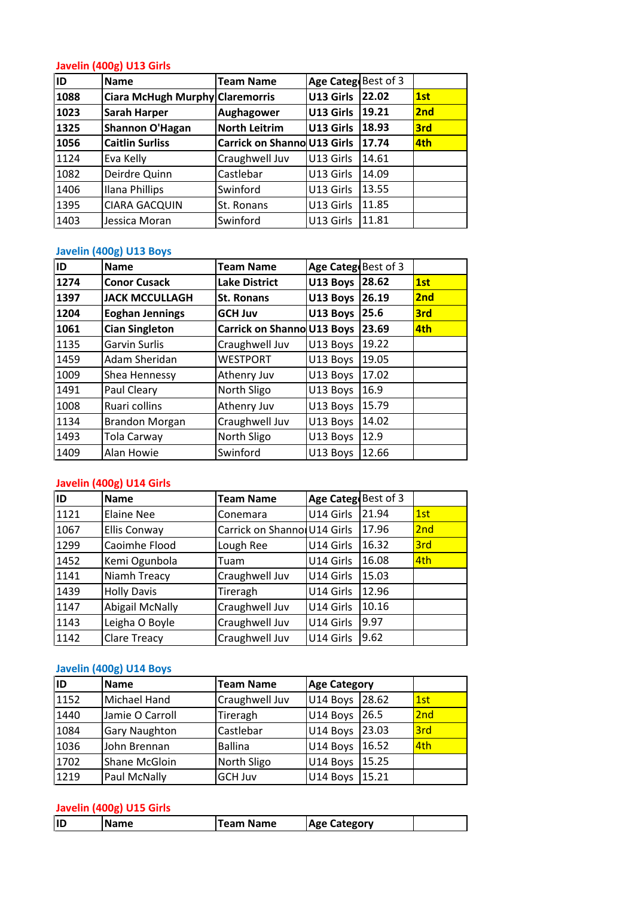## **(400g) U13 Girls** <u>Javel</u>

|      | Javelin (400g) U13 Girls        |                                    |                     |       |     |
|------|---------------------------------|------------------------------------|---------------------|-------|-----|
| ID   | <b>Name</b>                     | <b>Team Name</b>                   | Age Categ Best of 3 |       |     |
| 1088 | Ciara McHugh Murphy Claremorris |                                    | U13 Girls           | 22.02 | 1st |
| 1023 | <b>Sarah Harper</b>             | <b>Aughagower</b>                  | U13 Girls           | 19.21 | 2nd |
| 1325 | Shannon O'Hagan                 | <b>North Leitrim</b>               | U13 Girls           | 18.93 | 3rd |
| 1056 | <b>Caitlin Surliss</b>          | <b>Carrick on Shanno U13 Girls</b> |                     | 17.74 | 4th |
| 1124 | Eva Kelly                       | Craughwell Juv                     | U13 Girls           | 14.61 |     |
| 1082 | Deirdre Quinn                   | Castlebar                          | U13 Girls           | 14.09 |     |
| 1406 | Ilana Phillips                  | Swinford                           | U13 Girls           | 13.55 |     |
| 1395 | <b>CIARA GACQUIN</b>            | St. Ronans                         | U13 Girls           | 11.85 |     |
| 1403 | Jessica Moran                   | Swinford                           | U13 Girls           | 11.81 |     |
|      |                                 |                                    |                     |       |     |
|      | Javelin (400g) U13 Boys         |                                    |                     |       |     |
| ID   | <b>Name</b>                     | <b>Team Name</b>                   | Age Categ Best of 3 |       |     |
| 1274 | <b>Conor Cusack</b>             | Lake District                      | U13 Boys 28.62      |       | 1st |

#### <u>Javel</u>

| 1395 | CIARA GACQUIN            | St. Ronans                       | U13 Girls           | 111.85 |     |
|------|--------------------------|----------------------------------|---------------------|--------|-----|
| 1403 | Jessica Moran            | Swinford                         | U13 Girls           | 11.81  |     |
|      | Javelin (400g) U13 Boys  |                                  |                     |        |     |
| ID   | <b>Name</b>              | <b>Team Name</b>                 | Age Categ Best of 3 |        |     |
| 1274 | <b>Conor Cusack</b>      | <b>Lake District</b>             | U13 Boys 28.62      |        | 1st |
| 1397 | <b>JACK MCCULLAGH</b>    | <b>St. Ronans</b>                | U13 Boys 26.19      |        | 2nd |
| 1204 | <b>Eoghan Jennings</b>   | <b>GCH Juv</b>                   | U13 Boys 25.6       |        | 3rd |
| 1061 | <b>Cian Singleton</b>    | Carrick on Shanno U13 Boys 23.69 |                     |        | 4th |
| 1135 | <b>Garvin Surlis</b>     | Craughwell Juv                   | U13 Boys            | 19.22  |     |
| 1459 | Adam Sheridan            | <b>WESTPORT</b>                  | U13 Boys            | 19.05  |     |
| 1009 | Shea Hennessy            | Athenry Juv                      | U13 Boys            | 17.02  |     |
| 1491 | Paul Cleary              | North Sligo                      | U13 Boys            | 16.9   |     |
| 1008 | Ruari collins            | Athenry Juv                      | U13 Boys            | 15.79  |     |
| 1134 | <b>Brandon Morgan</b>    | Craughwell Juv                   | U13 Boys            | 14.02  |     |
| 1493 | Tola Carway              | North Sligo                      | U13 Boys            | 12.9   |     |
| 1409 | Alan Howie               | Swinford                         | U13 Boys            | 12.66  |     |
|      | Javelin (400g) U14 Girls |                                  |                     |        |     |
| ID   | <b>Name</b>              | <b>Team Name</b>                 | Age Categ Best of 3 |        |     |
| 1121 | <b>Elaine Nee</b>        | Conemara                         | U14 Girls           | 21.94  | 1st |

## Javelin (400g) U14 Girls

| 1493 | Tola Carway              | North Sligo                  | U13 Boys            | <b>12.9</b> |     |
|------|--------------------------|------------------------------|---------------------|-------------|-----|
| 1409 | Alan Howie               | Swinford                     | U13 Boys            | 12.66       |     |
|      |                          |                              |                     |             |     |
|      | Javelin (400g) U14 Girls |                              |                     |             |     |
| ID   | <b>Name</b>              | <b>Team Name</b>             | Age Categ Best of 3 |             |     |
| 1121 | <b>Elaine Nee</b>        | Conemara                     | U14 Girls           | 21.94       | 1st |
| 1067 | <b>Ellis Conway</b>      | Carrick on Shannol U14 Girls |                     | 17.96       | 2nd |
| 1299 | Caoimhe Flood            | Lough Ree                    | U14 Girls           | 16.32       | 3rd |
| 1452 | Kemi Ogunbola            | Tuam                         | U14 Girls           | 16.08       | 4th |
| 1141 | Niamh Treacy             | Craughwell Juv               | U14 Girls           | 15.03       |     |
| 1439 | <b>Holly Davis</b>       | Tireragh                     | U14 Girls           | 12.96       |     |
| 1147 | <b>Abigail McNally</b>   | Craughwell Juv               | U14 Girls           | 10.16       |     |
| 1143 | Leigha O Boyle           | Craughwell Juv               | U14 Girls           | 9.97        |     |
| 1142 | <b>Clare Treacy</b>      | Craughwell Juv               | U14 Girls           | 9.62        |     |
|      |                          |                              |                     |             |     |
|      | Javelin (400g) U14 Boys  |                              |                     |             |     |
| ID   | <b>Name</b>              | Team Name                    | <b>Age Category</b> |             |     |
| 1152 | Michael Hand             | Craughwell Juv               | U14 Boys 28.62      |             | 1st |

## Javelin (400g) U14 Boys

| lıd  | <b>Name</b>              | <b>Team Name</b> | <b>Age Category</b> |       |     |
|------|--------------------------|------------------|---------------------|-------|-----|
|      | Javelin (400g) U15 Girls |                  |                     |       |     |
| 1219 | Paul McNally             | <b>GCH Juv</b>   | U14 Boys            | 15.21 |     |
| 1702 | Shane McGloin            | North Sligo      | U14 Boys            | 15.25 |     |
| 1036 | John Brennan             | <b>Ballina</b>   | U14 Boys            | 16.52 | 4th |
| 1084 | Gary Naughton            | Castlebar        | U14 Boys            | 23.03 | 3rd |
| 1440 | Jamie O Carroll          | Tireragh         | U14 Boys            | 26.5  | 2nd |
| 1152 | Michael Hand             | Craughwell Juv   | U14 Boys            | 28.62 | 1st |
| ID   | <b>Name</b>              | <b>Team Name</b> | <b>Age Category</b> |       |     |
|      | Javelin (400g) U14 Boys  |                  |                     |       |     |
|      |                          |                  |                     |       |     |
| 1142 | <b>Clare Treacy</b>      | Craughwell Juv   | U14 Girls           | 9.62  |     |
| 1143 | Leigha O Boyle           | Craughwell Juv   | U14 Girls           | 9.97  |     |

| lid<br><b>Age</b><br>eam"<br><b>Name</b><br>Lategory<br>$-$<br>vame |
|---------------------------------------------------------------------|
|---------------------------------------------------------------------|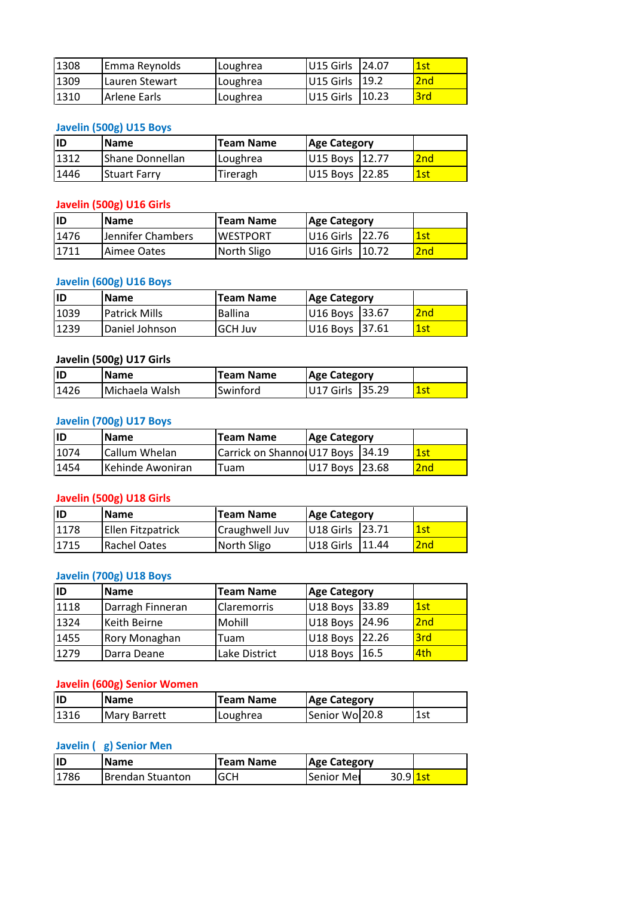| 1308 | Emma Reynolds           | Loughrea         | U15 Girls           | 24.07 | 1st |
|------|-------------------------|------------------|---------------------|-------|-----|
| 1309 | Lauren Stewart          | Loughrea         | U15 Girls           | 19.2  | 2nd |
| 1310 | Arlene Earls            | Loughrea         | U15 Girls           | 10.23 | 3rd |
|      |                         |                  |                     |       |     |
|      | Javelin (500g) U15 Boys |                  |                     |       |     |
| ID.  | <b>Name</b>             | <b>Team Name</b> | <b>Age Category</b> |       |     |
| 1312 | Shane Donnellan         | Loughrea         | U15 Boys 12.77      |       | 2nd |

#### **Javelin (500g) U15 Boys**

| 1309 | Lauren Stewart           | Loughrea         | U15 Girls<br>119.2  | <b>2nd</b>                            |
|------|--------------------------|------------------|---------------------|---------------------------------------|
| 1310 | <b>Arlene Earls</b>      | Loughrea         | U15 Girls           | 10.23<br>3rd                          |
|      |                          |                  |                     |                                       |
|      | Javelin (500g) U15 Boys  |                  |                     |                                       |
| ID   | <b>Name</b>              | <b>Team Name</b> | <b>Age Category</b> |                                       |
| 1312 | Shane Donnellan          | Loughrea         | U15 Boys            | 2 <sub>nd</sub><br>12.77              |
| 1446 | <b>Stuart Farry</b>      | Tireragh         | U15 Boys            | 22.85<br>$\overline{\phantom{a}1}$ st |
|      |                          |                  |                     |                                       |
|      | Javelin (500g) U16 Girls |                  |                     |                                       |
| ID   | Name                     | <b>Team Name</b> | <b>Age Category</b> |                                       |
| 1476 | Jennifer Chambers        | <b>WESTPORT</b>  | U16 Girls           | 22.76<br>1st                          |

#### **Javelin (500g) U16 Girls**

| 1312 | Shane Donnellan          | Loughrea         | <b>12.77</b><br>U15 Boys | 2nd             |
|------|--------------------------|------------------|--------------------------|-----------------|
| 1446 | <b>Stuart Farry</b>      | Tireragh         | 22.85<br>U15 Boys        | 1st             |
|      |                          |                  |                          |                 |
|      | Javelin (500g) U16 Girls |                  |                          |                 |
| ID   | <b>Name</b>              | <b>Team Name</b> | <b>Age Category</b>      |                 |
| 1476 | Jennifer Chambers        | <b>WESTPORT</b>  | U16 Girls<br>22.76       | 1st             |
| 1711 | Aimee Oates              | North Sligo      | U16 Girls<br>10.72       | 2nd             |
|      |                          |                  |                          |                 |
|      | Javelin (600g) U16 Boys  |                  |                          |                 |
| ID   | <b>Name</b>              | <b>Team Name</b> | <b>Age Category</b>      |                 |
| 1039 | <b>Patrick Mills</b>     | <b>Ballina</b>   | 33.67<br>U16 Boys        | 2 <sub>nd</sub> |

#### **Javelin (600g) U16 Boys**

| 1476 | Jennifer Chambers        | <b>WESTPORT</b>  | U <sub>16</sub> Girls<br>122.76 | l1st |
|------|--------------------------|------------------|---------------------------------|------|
| 1711 | Aimee Oates              | North Sligo      | U16 Girls<br>10.72              | 2nd  |
|      |                          |                  |                                 |      |
|      | Javelin (600g) U16 Boys  |                  |                                 |      |
| ID   | <b>Name</b>              | <b>Team Name</b> | <b>Age Category</b>             |      |
| 1039 | <b>Patrick Mills</b>     | <b>Ballina</b>   | 33.67<br>U16 Boys               | 2nd  |
| 1239 | Daniel Johnson           | <b>GCH Juv</b>   | U16 Boys<br>37.61               | 1st  |
|      |                          |                  |                                 |      |
|      | Javelin (500g) U17 Girls |                  |                                 |      |
| ID   | <b>Name</b>              | <b>Team Name</b> | <b>Age Category</b>             |      |
| 1426 | Michaela Walsh           | Swinford         | 35.29<br>U17 Girls              | 1st  |

## <u>Javel</u>

| 1239 | Daniel Johnson           | <b>GCH Juv</b>                     | U16 Boys 37.61      | l 1st                       |
|------|--------------------------|------------------------------------|---------------------|-----------------------------|
|      | Javelin (500g) U17 Girls |                                    |                     |                             |
| ID   | <b>Name</b>              | <b>Team Name</b>                   | <b>Age Category</b> |                             |
| 1426 | Michaela Walsh           | Swinford                           | U17 Girls 35.29     | $\overline{\phantom{a}1st}$ |
|      | Javelin (700g) U17 Boys  |                                    |                     |                             |
| ID   | <b>Name</b>              | <b>Team Name</b>                   | <b>Age Category</b> |                             |
| 1074 | lCallum Whelan           | Carrick on Shannol U17 Boys 134.19 |                     | 1st                         |

#### **Javelin (700g) U17 Boys**

| lID  | <b>Name</b>              | Team Name                   | <b>Age Category</b> |        |     |
|------|--------------------------|-----------------------------|---------------------|--------|-----|
| 1426 | Michaela Walsh           | Swinford                    | U17 Girls           | 35.29  | 1st |
|      |                          |                             |                     |        |     |
|      | Javelin (700g) U17 Boys  |                             |                     |        |     |
| ID   | <b>Name</b>              | Team Name                   | <b>Age Category</b> |        |     |
| 1074 | Callum Whelan            | Carrick on Shannol U17 Boys |                     | 34.19  | 1st |
| 1454 | Kehinde Awoniran         | Tuam                        | U17 Boys            | 23.68  | 2nd |
|      |                          |                             |                     |        |     |
|      | Javelin (500g) U18 Girls |                             |                     |        |     |
| lıd  | <b>Name</b>              | <b>Team Name</b>            | <b>Age Category</b> |        |     |
| 1178 | Ellen Fitzpatrick        | Craughwell Juv              | U18 Girls           | 123.71 | 1st |

### **ID**

| 1074      | Callum Whelan            | Carrick on Shannol U17 Boys |                     | 34.19  | 1st |
|-----------|--------------------------|-----------------------------|---------------------|--------|-----|
| 1454      | Kehinde Awoniran         | Tuam                        | U17 Boys            | 23.68  | 2nd |
|           |                          |                             |                     |        |     |
|           | Javelin (500g) U18 Girls |                             |                     |        |     |
| <b>ID</b> | <b>Name</b>              | Team Name                   | <b>Age Category</b> |        |     |
| 1178      | Ellen Fitzpatrick        | Craughwell Juv              | U18 Girls           | 123.71 | 1st |
| 1715      | <b>Rachel Oates</b>      | North Sligo                 | U18 Girls           | 11.44  | 2nd |
|           |                          |                             |                     |        |     |
|           | Javelin (700g) U18 Boys  |                             |                     |        |     |
| lıd       | <b>Name</b>              | Team Name                   | <b>Age Category</b> |        |     |
| 1118      | Darragh Finneran         | <b>Claremorris</b>          | U18 Boys 33.89      |        | 1st |

| 1178 | Ellen Fitzpatrick           | Craughwell Juv   | U18 Girls           | 23.71 | $\overline{1}$ st |
|------|-----------------------------|------------------|---------------------|-------|-------------------|
| 1715 | <b>Rachel Oates</b>         | North Sligo      | U18 Girls           | 11.44 | 2nd               |
|      |                             |                  |                     |       |                   |
|      | Javelin (700g) U18 Boys     |                  |                     |       |                   |
| ID   | <b>Name</b>                 | <b>Team Name</b> | <b>Age Category</b> |       |                   |
| 1118 | Darragh Finneran            | Claremorris      | U18 Boys            | 33.89 | 1st               |
| 1324 | Keith Beirne                | Mohill           | U18 Boys            | 24.96 | 2nd               |
| 1455 | Rory Monaghan               | Tuam             | U18 Boys            | 22.26 | 3rd               |
| 1279 | Darra Deane                 | Lake District    | U18 Boys            | 16.5  | 4th               |
|      |                             |                  |                     |       |                   |
|      | Javelin (600g) Senior Women |                  |                     |       |                   |
| ID   | <b>Name</b>                 | <b>Team Name</b> | <b>Age Category</b> |       |                   |
| 1316 | <b>Mary Barrett</b>         | Loughrea         | Senior Wol20.8      |       | 1st               |

#### <u>Javel</u>

| 1279 | Darra Deane                 | Lake District    | U18 Boys 16.5       | l4th            |
|------|-----------------------------|------------------|---------------------|-----------------|
|      | Javelin (600g) Senior Women |                  |                     |                 |
| lıd  | <b>Name</b>                 | <b>Team Name</b> | <b>Age Category</b> |                 |
| 1316 | <b>Mary Barrett</b>         | Loughrea         | Senior Wo 20.8      | 1st             |
|      |                             |                  |                     |                 |
|      | Javelin (g) Senior Men      |                  |                     |                 |
| İID  | <b>Name</b>                 | <b>Team Name</b> | <b>Age Category</b> |                 |
| 1786 | <b>Brendan Stuanton</b>     | <b>GCH</b>       | Senior Mei          | 30.9 <b>1st</b> |

| lid   | <b>Name</b>      | <b>Team Name</b> | <b>Age Category</b> |                 |  |
|-------|------------------|------------------|---------------------|-----------------|--|
| 11786 | Brendan Stuanton | <b>GCH</b>       | <b>Senior Mei</b>   | 30.9 <b>1st</b> |  |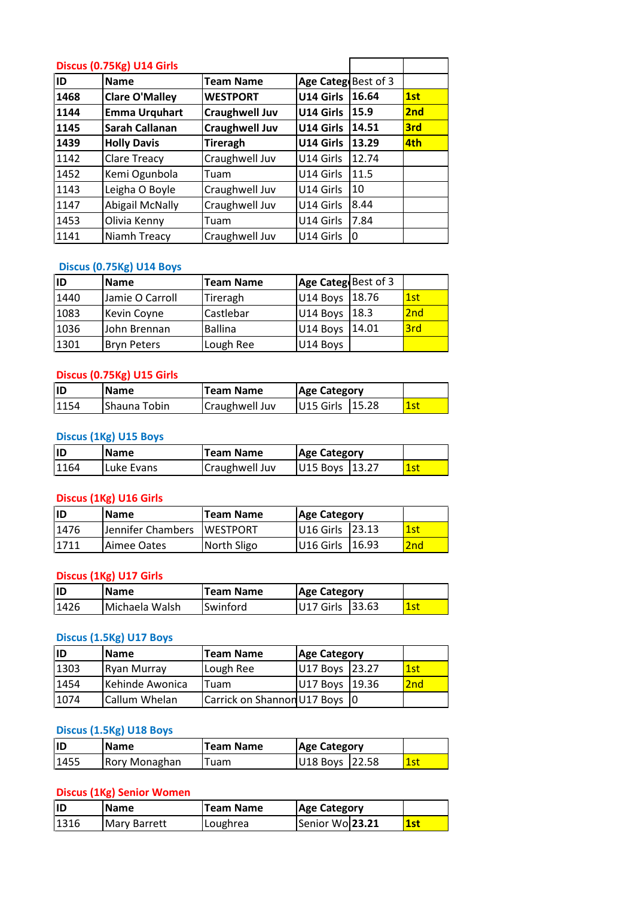|      | Discus (0.75Kg) U14 Girls |                       |                      |       |     |
|------|---------------------------|-----------------------|----------------------|-------|-----|
| ID   | <b>Name</b>               | <b>Team Name</b>      | Age Categ Best of 3  |       |     |
| 1468 | <b>Clare O'Malley</b>     | <b>WESTPORT</b>       | U14 Girls            | 16.64 | 1st |
| 1144 | <b>Emma Urquhart</b>      | <b>Craughwell Juv</b> | U14 Girls            | 15.9  | 2nd |
| 1145 | <b>Sarah Callanan</b>     | <b>Craughwell Juv</b> | U14 Girls            | 14.51 | 3rd |
| 1439 | <b>Holly Davis</b>        | <b>Tireragh</b>       | U14 Girls            | 13.29 | 4th |
| 1142 | Clare Treacy              | Craughwell Juv        | U14 Girls            | 12.74 |     |
| 1452 | Kemi Ogunbola             | Tuam                  | U14 Girls            | 11.5  |     |
| 1143 | Leigha O Boyle            | Craughwell Juv        | U14 Girls            | 10    |     |
| 1147 | <b>Abigail McNally</b>    | Craughwell Juv        | U14 Girls            | 8.44  |     |
| 1453 | Olivia Kenny              | Tuam                  | U14 Girls            | 7.84  |     |
| 1141 | Niamh Treacy              | Craughwell Juv        | U14 Girls            | 0     |     |
|      |                           |                       |                      |       |     |
|      | Discus (0.75Kg) U14 Boys  |                       |                      |       |     |
| ID   | <b>Name</b>               | <b>Team Name</b>      | Age Catego Best of 3 |       |     |
| 1440 | Jamie O Carroll           | Tireragh              | U14 Boys 18.76       |       | 1st |

## Discus (0.75Kg) U14 Boys

| 1453 | Olivia Kenny              | Tuam             | U14 Girls            | 7.84  |     |
|------|---------------------------|------------------|----------------------|-------|-----|
| 1141 | Niamh Treacy              | Craughwell Juv   | U14 Girls            | 10    |     |
|      |                           |                  |                      |       |     |
|      | Discus (0.75Kg) U14 Boys  |                  |                      |       |     |
| ID   | <b>Name</b>               | <b>Team Name</b> | Age Catego Best of 3 |       |     |
| 1440 | Jamie O Carroll           | Tireragh         | U14 Boys             | 18.76 | 1st |
| 1083 | Kevin Coyne               | Castlebar        | U14 Boys             | 18.3  | 2nd |
| 1036 | John Brennan              | <b>Ballina</b>   | U14 Boys             | 14.01 | 3rd |
| 1301 | <b>Bryn Peters</b>        | Lough Ree        | U14 Boys             |       |     |
|      |                           |                  |                      |       |     |
|      | Discus (0.75Kg) U15 Girls |                  |                      |       |     |
| ID   | <b>Name</b>               | <b>Team Name</b> | <b>Age Category</b>  |       |     |
| 1154 | Shauna Tobin              | Craughwell Juv   | U15 Girls            | 15.28 | 1st |

### <u>Discu</u>

| 1301 | <b>Bryn Peters</b>        | Lough Ree        | U14 Boys            |                     |     |
|------|---------------------------|------------------|---------------------|---------------------|-----|
|      | Discus (0.75Kg) U15 Girls |                  |                     |                     |     |
| ID   | <b>Name</b>               | <b>Team Name</b> | <b>Age Category</b> |                     |     |
| 1154 | Shauna Tobin              | Craughwell Juv   | U15 Girls           | 115.28              | 1st |
|      | Discus (1Kg) U15 Boys     |                  |                     |                     |     |
| ID   | <b>Name</b>               | <b>Team Name</b> |                     | <b>Age Category</b> |     |
| 1164 | Luke Evans                | Craughwell Juv   | U15 Boys 13.27      |                     | 1st |

#### <u>Discu</u>

| 1154 | Shauna Tobin           | Craughwell Juv   | U15 Girls 15.28     |                     | 1st |
|------|------------------------|------------------|---------------------|---------------------|-----|
|      | Discus (1Kg) U15 Boys  |                  |                     |                     |     |
| ID   | <b>Name</b>            | <b>Team Name</b> | <b>Age Category</b> |                     |     |
| 1164 | Luke Evans             | Craughwell Juv   | U15 Boys 13.27      |                     | 1st |
|      | Discus (1Kg) U16 Girls |                  |                     |                     |     |
| ID   | <b>Name</b>            | <b>Team Name</b> |                     | <b>Age Category</b> |     |
| 1476 | Jennifer Chambers      | <b>WESTPORT</b>  | U16 Girls           | 123.13              | 1st |

#### Discus (1Kg) U16 Girls

| ID   | <b>Name</b>            | <b>Team Name</b> | <b>Age Category</b> |     |
|------|------------------------|------------------|---------------------|-----|
| 1164 | Luke Evans             | Craughwell Juv   | 13.27<br>U15 Boys   | 1st |
|      |                        |                  |                     |     |
|      | Discus (1Kg) U16 Girls |                  |                     |     |
| ID   | <b>Name</b>            | <b>Team Name</b> | <b>Age Category</b> |     |
| 1476 | Jennifer Chambers      | <b>WESTPORT</b>  | 23.13<br>U16 Girls  | 1st |
| 1711 | Aimee Oates            | North Sligo      | 16.93<br>U16 Girls  | 2nd |
|      | Discus (1Kg) U17 Girls |                  |                     |     |
| ID   | Name                   | <b>Team Name</b> | <b>Age Category</b> |     |
|      |                        |                  |                     |     |
| 1426 | Michaela Walsh         | Swinford         | 33.63<br>U17 Girls  | 1st |

## <u>Discu</u>

| 1711 | Aimee Oates             | North Sligo      | U16 Girls 16.93     |       | 2nd |
|------|-------------------------|------------------|---------------------|-------|-----|
|      | Discus (1Kg) U17 Girls  |                  |                     |       |     |
| ID   | <b>Name</b>             | <b>Team Name</b> | <b>Age Category</b> |       |     |
| 1426 | Michaela Walsh          | Swinford         | U17 Girls           | 33.63 | 1st |
|      | Discus (1.5Kg) U17 Boys |                  |                     |       |     |
| ID   | <b>Name</b>             | <b>Team Name</b> | <b>Age Category</b> |       |     |
| 1303 | <b>Ryan Murray</b>      | Lough Ree        | U17 Boys            | 23.27 | 1st |

#### **Discus (1.5Kg) U17 Boys**

| ID   | <b>Name</b>             | <b>Team Name</b>              | <b>Age Category</b> |       |       |
|------|-------------------------|-------------------------------|---------------------|-------|-------|
| 1426 | Michaela Walsh          | Swinford                      | U17 Girls           | 33.63 | l 1st |
|      | Discus (1.5Kg) U17 Boys |                               |                     |       |       |
| ID   | <b>Name</b>             | <b>Team Name</b>              | <b>Age Category</b> |       |       |
| 1303 | Ryan Murray             | Lough Ree                     | U17 Boys            | 23.27 | 1st   |
| 1454 | Kehinde Awonica         | Tuam                          | U17 Boys            | 19.36 | 2nd   |
| 1074 | Callum Whelan           | Carrick on Shannon U17 Boys 0 |                     |       |       |

## **Discus (1.5Kg) U18 Boys**

| 1074 | Callum Whelan                    |                  | Carrick on Shannon U17 Boys 10 |     |
|------|----------------------------------|------------------|--------------------------------|-----|
|      | Discus (1.5Kg) U18 Boys          |                  |                                |     |
| ID   | <b>Name</b>                      | <b>Team Name</b> | <b>Age Category</b>            |     |
| 1455 | Rory Monaghan                    | Tuam             | U18 Boys 22.58                 | 1st |
|      | <b>Discus (1Kg) Senior Women</b> |                  |                                |     |
| ID   | Name                             | <b>Team Name</b> | <b>Age Category</b>            |     |
| 1316 | <b>Mary Barrett</b>              | Loughrea         | Senior Wo 23.21                | 1st |

| lid  | <b>Name</b>         | <b>Team Name</b> | <b>Age Category</b> |     |
|------|---------------------|------------------|---------------------|-----|
| 1316 | <b>Mary Barrett</b> | Loughrea         | Senior Wo 23.21     | 1st |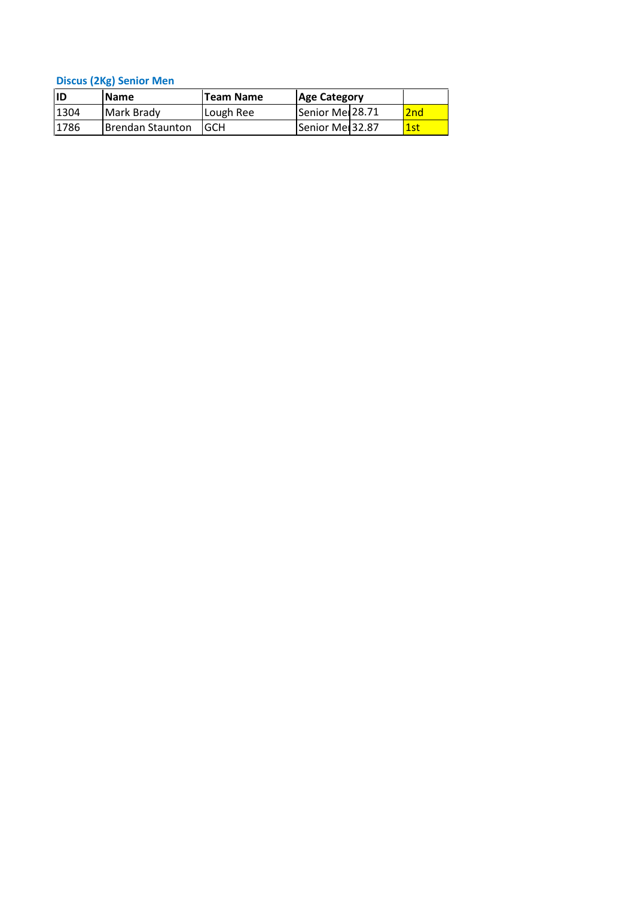**(2Kg) Senior Men**

|           | <b>Discus (2Kg) Senior Men</b> |                  |                             |     |  |
|-----------|--------------------------------|------------------|-----------------------------|-----|--|
| <b>ID</b> | Name                           | <b>Team Name</b> | <b>Age Category</b>         |     |  |
|           |                                |                  |                             |     |  |
| 1304      | Mark Brady                     | Lough Ree        | Senior Mer <sup>28.71</sup> | 2nd |  |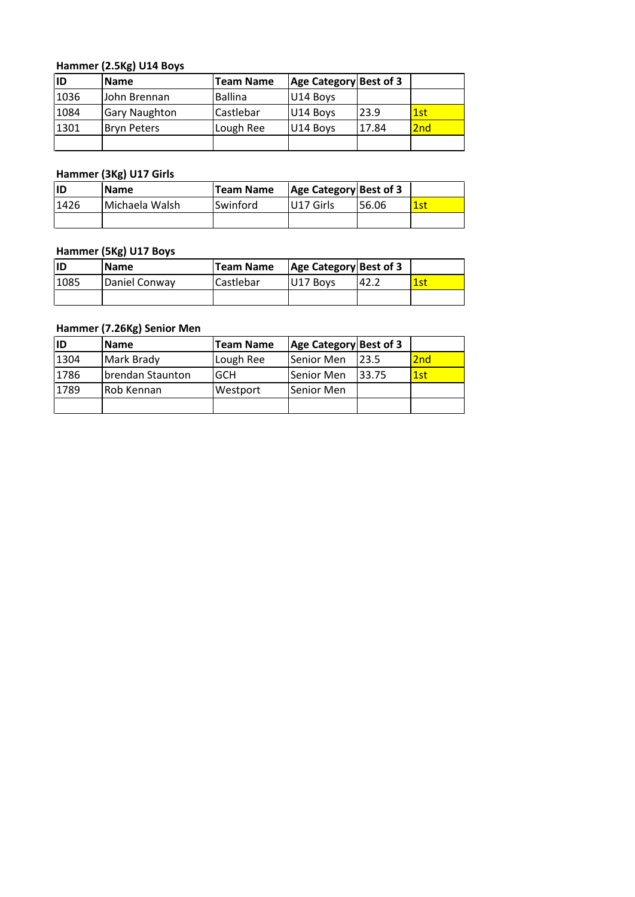# **(2.5Kg) U14 Boys**

|      | Hammer (2.5Kg) U14 Boys |                  |                        |       |     |
|------|-------------------------|------------------|------------------------|-------|-----|
| ID   | <b>Name</b>             | <b>Team Name</b> | Age Category Best of 3 |       |     |
| 1036 | John Brennan            | <b>Ballina</b>   | U14 Boys               |       |     |
| 1084 | <b>Gary Naughton</b>    | Castlebar        | U14 Boys               | 23.9  | 1st |
| 1301 | <b>Bryn Peters</b>      | Lough Ree        | U14 Boys               | 17.84 | 2nd |
|      |                         |                  |                        |       |     |
|      |                         |                  |                        |       |     |
|      | Hammer (3Kg) U17 Girls  |                  |                        |       |     |
| ID   | <b>Name</b>             | <b>Team Name</b> | Age Category Best of 3 |       |     |
| 1426 | Michaela Walsh          | Swinford         | U17 Girls              | 56.06 | 1st |

## <u> Ha</u>

|      | Hammer (3Kg) U17 Girls |                  |                               |       |     |  |  |
|------|------------------------|------------------|-------------------------------|-------|-----|--|--|
| ID   | Name                   | <b>Team Name</b> | <b>Age Category Best of 3</b> |       |     |  |  |
| 1426 | Michaela Walsh         | Swinford         | U17 Girls                     | 56.06 | 1st |  |  |
|      |                        |                  |                               |       |     |  |  |
|      | Hammer (5Kg) U17 Boys  |                  |                               |       |     |  |  |
| ID   | <b>Name</b>            | <b>Team Name</b> | Age Category Best of 3        |       |     |  |  |
| 1085 | Daniel Conway          | Castlebar        | U17 Boys                      | 42.2  | 1st |  |  |

#### <u> Ha</u>

| Hammer (5Kg) U17 Boys |                            |                  |                        |      |     |  |  |
|-----------------------|----------------------------|------------------|------------------------|------|-----|--|--|
| İID                   | <b>Name</b>                | <b>Team Name</b> | Age Category Best of 3 |      |     |  |  |
| 1085                  | Daniel Conway              | Castlebar        | U17 Boys               | 42.2 | 1st |  |  |
|                       |                            |                  |                        |      |     |  |  |
|                       | Hammer (7.26Kg) Senior Men |                  |                        |      |     |  |  |
| İID                   | <b>Name</b>                | <b>Team Name</b> | Age Category Best of 3 |      |     |  |  |
| 1304                  | Mark Brady                 | Lough Ree        | Senior Men             | 23.5 | 2nd |  |  |

| 1085 | Daniel Conway              | Castlebar        | U17 Boys                      | 42.2  | <b>1st</b>                  |
|------|----------------------------|------------------|-------------------------------|-------|-----------------------------|
|      |                            |                  |                               |       |                             |
|      |                            |                  |                               |       |                             |
|      | Hammer (7.26Kg) Senior Men |                  |                               |       |                             |
| ID   | <b>Name</b>                | <b>Team Name</b> | <b>Age Category Best of 3</b> |       |                             |
| 1304 | Mark Brady                 | Lough Ree        | Senior Men                    | 23.5  | 2 <sub>nd</sub>             |
| 1786 | brendan Staunton           | <b>GCH</b>       | Senior Men                    | 33.75 | $\overline{\phantom{a}1st}$ |
| 1789 | Rob Kennan                 | Westport         | Senior Men                    |       |                             |
|      |                            |                  |                               |       |                             |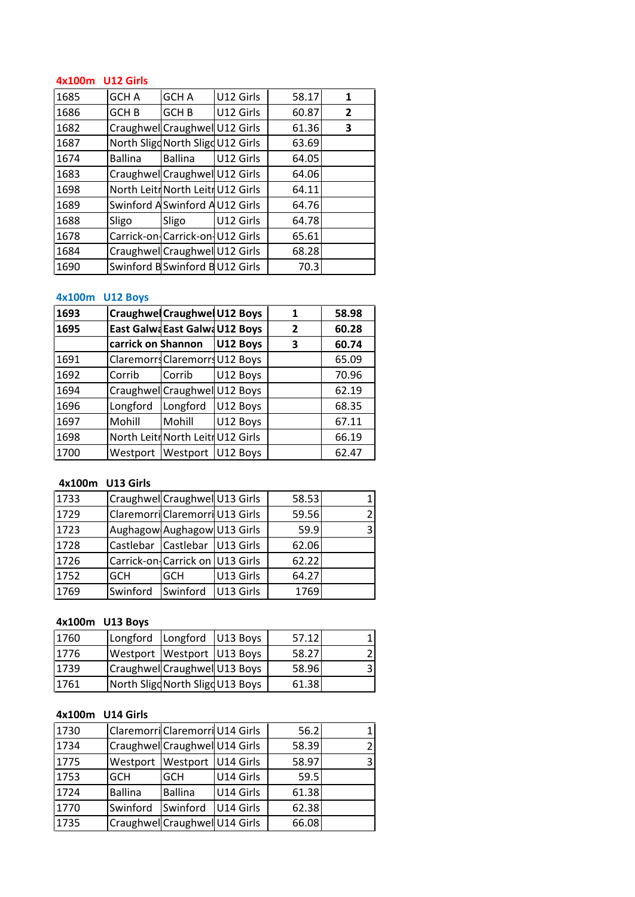## **U12 Girls** 4x100m U12 Girls

| 4x100m | U12 Girls        |                                   |           |              |                |
|--------|------------------|-----------------------------------|-----------|--------------|----------------|
| 1685   | GCH A            | <b>GCH A</b>                      | U12 Girls | 58.17        | 1              |
| 1686   | GCH <sub>B</sub> | <b>GCH B</b>                      | U12 Girls | 60.87        | $\overline{2}$ |
| 1682   |                  | Craughwel Craughwel U12 Girls     |           | 61.36        | 3              |
| 1687   |                  | North Sligd North Sligd U12 Girls |           | 63.69        |                |
| 1674   | <b>Ballina</b>   | <b>Ballina</b>                    | U12 Girls | 64.05        |                |
| 1683   |                  | Craughwell Craughwell U12 Girls   |           | 64.06        |                |
| 1698   |                  | North Leitr North Leitr U12 Girls |           | 64.11        |                |
| 1689   |                  | Swinford A Swinford AU12 Girls    |           | 64.76        |                |
| 1688   | Sligo            | Sligo                             | U12 Girls | 64.78        |                |
| 1678   |                  | Carrick-on-Carrick-on-U12 Girls   |           | 65.61        |                |
| 1684   |                  | Craughwel Craughwel U12 Girls     |           | 68.28        |                |
| 1690   |                  | Swinford B Swinford B U12 Girls   |           | 70.3         |                |
|        |                  |                                   |           |              |                |
|        | 4x100m U12 Boys  |                                   |           |              |                |
| 1693   |                  | Craughwel Craughwel U12 Boys      |           | $\mathbf{1}$ | 58.98          |
| 1695   |                  | East Galwa East Galwa U12 Boys    |           | 2            | 60.28          |

## 4x100m U12 Boys

| 1684   |                    | Craughwell Craughwell U12 Girls       |          | 68.28 |       |
|--------|--------------------|---------------------------------------|----------|-------|-------|
| 1690   |                    | Swinford B Swinford B U12 Girls       |          | 70.3  |       |
|        |                    |                                       |          |       |       |
| 4x100m | <b>U12 Boys</b>    |                                       |          |       |       |
| 1693   |                    | <b>Craughwel Craughwel U12 Boys</b>   |          | 1     | 58.98 |
| 1695   |                    | East Galwa East Galwa U12 Boys        |          | 2     | 60.28 |
|        | carrick on Shannon |                                       | U12 Boys | 3     | 60.74 |
| 1691   |                    | <b>Claremorrs Claremorrs U12 Boys</b> |          |       | 65.09 |
| 1692   | Corrib             | Corrib                                | U12 Boys |       | 70.96 |
| 1694   |                    | Craughwell Craughwell U12 Boys        |          |       | 62.19 |
| 1696   | Longford           | Longford                              | U12 Boys |       | 68.35 |
| 1697   | Mohill             | Mohill                                | U12 Boys |       | 67.11 |
| 1698   |                    | North Leitr North Leitr U12 Girls     |          |       | 66.19 |
| 1700   |                    | Westport Westport                     | U12 Boys |       | 62.47 |
|        |                    |                                       |          |       |       |
| 4x100m | U13 Girls          |                                       |          |       |       |
| 1733   |                    | Craughwell Craughwell U13 Girls       |          | 58.53 | 1     |
| 1729   |                    | Claremorri Claremorri U13 Girls       |          | 59.56 | 2     |

### 4x100m U13 Girls

| 1698   |            | North Leitr North Leitr U12 Girls |           |       | 66.19 |
|--------|------------|-----------------------------------|-----------|-------|-------|
| 1700   | Westport   | Westport                          | U12 Boys  |       | 62.47 |
|        |            |                                   |           |       |       |
| 4x100m | U13 Girls  |                                   |           |       |       |
| 1733   |            | Craughwell Craughwell U13 Girls   |           | 58.53 | 1     |
| 1729   |            | Claremorri Claremorri U13 Girls   |           | 59.56 | 2     |
| 1723   |            | Aughagow Aughagow U13 Girls       |           | 59.9  | 3     |
| 1728   | Castlebar  | Castlebar                         | U13 Girls | 62.06 |       |
| 1726   |            | Carrick-on-Carrick on             | U13 Girls | 62.22 |       |
| 1752   | <b>GCH</b> | GCH                               | U13 Girls | 64.27 |       |
| 1769   | Swinford   | Swinford                          | U13 Girls | 1769  |       |
|        |            |                                   |           |       |       |
| 4x100m | U13 Boys   |                                   |           |       |       |
| 1760   | Longford   | Longford                          | U13 Boys  | 57.12 |       |
| 1776   | Westport   | Westport                          | U13 Boys  | 58.27 | 2     |

## **4x100m**

| 1752            | GCH       | GCH                              | U13 Girls | 64.27 |   |
|-----------------|-----------|----------------------------------|-----------|-------|---|
| 1769            | Swinford  | Swinford                         | U13 Girls | 1769  |   |
|                 |           |                                  |           |       |   |
| 4x100m U13 Boys |           |                                  |           |       |   |
| 1760            | Longford  | Longford                         | U13 Boys  | 57.12 |   |
| 1776            | Westport  | Westport                         | U13 Boys  | 58.27 |   |
| 1739            |           | Craughwell Craughwell U13 Boys   |           | 58.96 | 3 |
| 1761            |           | North Sligd North Sligd U13 Boys |           | 61.38 |   |
|                 |           |                                  |           |       |   |
| 4x100m          | U14 Girls |                                  |           |       |   |
| 1730            |           | Claremorri Claremorri U14 Girls  |           | 56.2  |   |
| 1734            |           | Craughwell Craughwell U14 Girls  |           | 58.39 |   |

### 4x100m U14 Girls

| 1739   |                | Craughwell Craughwell U13 Boys   |           | 58.96 | 3 |
|--------|----------------|----------------------------------|-----------|-------|---|
| 1761   |                | North Sligd North Sligd U13 Boys |           | 61.38 |   |
|        |                |                                  |           |       |   |
| 4x100m | U14 Girls      |                                  |           |       |   |
| 1730   |                | Claremorri Claremorri U14 Girls  |           | 56.2  |   |
| 1734   |                | Craughwell Craughwell U14 Girls  |           | 58.39 |   |
| 1775   | Westport       | Westport                         | U14 Girls | 58.97 | 3 |
| 1753   | <b>GCH</b>     | <b>GCH</b>                       | U14 Girls | 59.5  |   |
| 1724   | <b>Ballina</b> | <b>Ballina</b>                   | U14 Girls | 61.38 |   |
| 1770   | Swinford       | Swinford                         | U14 Girls | 62.38 |   |
| 1735   |                | Craughwell Craughwell U14 Girls  |           | 66.08 |   |